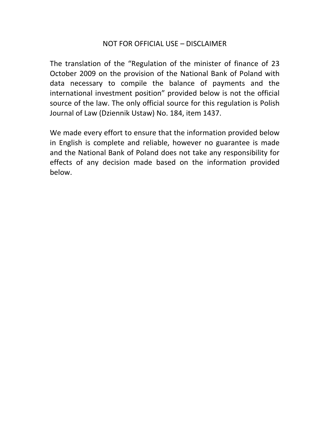# NOT FOR OFFICIAL USE – DISCLAIMER

The translation of the "Regulation of the minister of finance of 23 October 2009 on the provision of the National Bank of Poland with data necessary to compile the balance of payments and the international investment position" provided below is not the official source of the law. The only official source for this regulation is Polish Journal of Law (Dziennik Ustaw) No. 184, item 1437.

We made every effort to ensure that the information provided below in English is complete and reliable, however no guarantee is made and the National Bank of Poland does not take any responsibility for effects of any decision made based on the information provided below.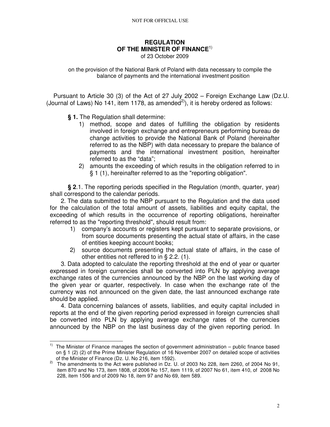### **REGULATION OF THE MINISTER OF FINANCE**1) of 23 October 2009

on the provision of the National Bank of Poland with data necessary to compile the balance of payments and the international investment position

 Pursuant to Article 30 (3) of the Act of 27 July 2002 – Foreign Exchange Law (Dz.U. (Journal of Laws) No 141, item 1178, as amended $^{2}$ ), it is hereby ordered as follows:

**§ 1.** The Regulation shall determine:

- 1) method, scope and dates of fulfilling the obligation by residents involved in foreign exchange and entrepreneurs performing bureau de change activities to provide the National Bank of Poland (hereinafter referred to as the NBP) with data necessary to prepare the balance of payments and the international investment position, hereinafter referred to as the "data";
- 2) amounts the exceeding of which results in the obligation referred to in § 1 (1), hereinafter referred to as the "reporting obligation".

**§ 2**.1. The reporting periods specified in the Regulation (month, quarter, year) shall correspond to the calendar periods.

2. The data submitted to the NBP pursuant to the Regulation and the data used for the calculation of the total amount of assets, liabilities and equity capital, the exceeding of which results in the occurrence of reporting obligations, hereinafter referred to as the "reporting threshold", should result from:

- 1) company's accounts or registers kept pursuant to separate provisions, or from source documents presenting the actual state of affairs, in the case of entities keeping account books;
- 2) source documents presenting the actual state of affairs, in the case of other entities not reffered to in § 2.2. (1).

3. Data adopted to calculate the reporting threshold at the end of year or quarter expressed in foreign currencies shall be converted into PLN by applying average exchange rates of the currencies announced by the NBP on the last working day of the given year or quarter, respectively. In case when the exchange rate of the currency was not announced on the given date, the last announced exchange rate should be applied.

4. Data concerning balances of assets, liabilities, and equity capital included in reports at the end of the given reporting period expressed in foreign currencies shall be converted into PLN by applying average exchange rates of the currencies announced by the NBP on the last business day of the given reporting period. In

 $\overline{a}$  $1)$  The Minister of Finance manages the section of government administration – public finance based on § 1 (2) (2) of the Prime Minister Regulation of 16 November 2007 on detailed scope of activities of the Minister of Finance (Dz. U. No 216, item 1592).

 $2)$  The amendments to the Act were published in Dz. U. of 2003 No 228, item 2260, of 2004 No 91, item 870 and No 173, item 1808, of 2006 No 157, item 1119, of 2007 No 61, item 410, of 2008 No 228, item 1506 and of 2009 No 18, item 97 and No 69, item 589.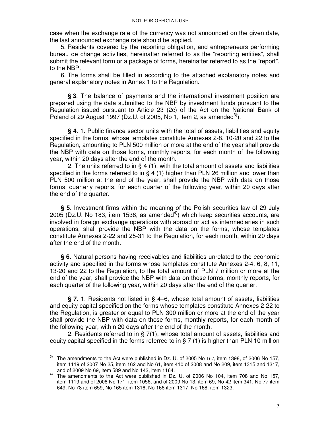case when the exchange rate of the currency was not announced on the given date, the last announced exchange rate should be applied.

5. Residents covered by the reporting obligation, and entrepreneurs performing bureau de change activities, hereinafter referred to as the "reporting entities", shall submit the relevant form or a package of forms, hereinafter referred to as the "report", to the NBP.

6. The forms shall be filled in according to the attached explanatory notes and general explanatory notes in Annex 1 to the Regulation.

**§ 3**. The balance of payments and the international investment position are prepared using the data submitted to the NBP by investment funds pursuant to the Regulation issued pursuant to Article 23 (2c) of the Act on the National Bank of Poland of 29 August 1997 (Dz.U. of 2005, No 1, item 2, as amended<sup>3)</sup>).

**§ 4**. 1. Public finance sector units with the total of assets, liabilities and equity specified in the forms, whose templates constitute Annexes 2-8, 10-20 and 22 to the Regulation, amounting to PLN 500 million or more at the end of the year shall provide the NBP with data on those forms, monthly reports, for each month of the following year, within 20 days after the end of the month.

2. The units referred to in § 4 (1), with the total amount of assets and liabilities specified in the forms referred to in § 4 (1) higher than PLN 26 million and lower than PLN 500 million at the end of the year, shall provide the NBP with data on those forms, quarterly reports, for each quarter of the following year, within 20 days after the end of the quarter.

**§ 5**. Investment firms within the meaning of the Polish securities law of 29 July  $2005$  (Dz.U. No 183, item 1538, as amended<sup>4)</sup>) which keep securities accounts, are involved in foreign exchange operations with abroad or act as intermediaries in such operations, shall provide the NBP with the data on the forms, whose templates constitute Annexes 2-22 and 25-31 to the Regulation, for each month, within 20 days after the end of the month.

**§ 6.** Natural persons having receivables and liabilities unrelated to the economic activity and specified in the forms whose templates constitute Annexes 2-4, 6, 8, 11, 13-20 and 22 to the Regulation, to the total amount of PLN 7 million or more at the end of the year, shall provide the NBP with data on those forms, monthly reports, for each quarter of the following year, within 20 days after the end of the quarter.

**§ 7.** 1. Residents not listed in § 4–6, whose total amount of assets, liabilities and equity capital specified on the forms whose templates constitute Annexes 2-22 to the Regulation, is greater or equal to PLN 300 million or more at the end of the year shall provide the NBP with data on those forms, monthly reports, for each month of the following year, within 20 days after the end of the month.

2. Residents referred to in § 7(1), whose total amount of assets, liabilities and equity capital specified in the forms referred to in § 7 (1) is higher than PLN 10 million

 $\overline{a}$  $^{3)}$  The amendments to the Act were published in Dz. U. of 2005 No 167, item 1398, of 2006 No 157, item 1119 of 2007 No 25, item 162 and No 61, item 410 of 2008 and No 209, item 1315 and 1317, and of 2009 No 69, item 589 and No 143, item 1164.

<sup>4)</sup> The amendments to the Act were published in Dz. U. of 2006 No 104, item 708 and No 157, item 1119 and of 2008 No 171, item 1056, and of 2009 No 13, item 69, No 42 item 341, No 77 item 649, No 78 item 659, No 165 item 1316, No 166 item 1317, No 168, item 1323.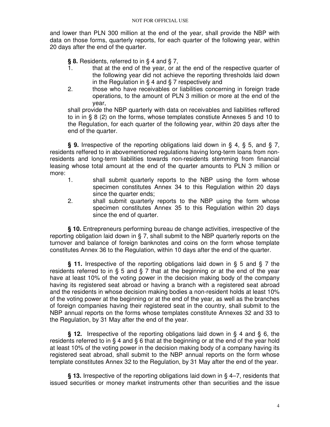and lower than PLN 300 million at the end of the year, shall provide the NBP with data on those forms, quarterly reports, for each quarter of the following year, within 20 days after the end of the quarter.

**§ 8.** Residents, referred to in § 4 and § 7,

- 1. that at the end of the year, or at the end of the respective quarter of the following year did not achieve the reporting thresholds laid down in the Regulation in § 4 and § 7 respectively and
- 2. those who have receivables or liabilities concerning in foreign trade operations, to the amount of PLN 3 million or more at the end of the year,

shall provide the NBP quarterly with data on receivables and liabilities reffered to in in § 8 (2) on the forms, whose templates constiute Annexes 5 and 10 to the Regulation, for each quarter of the following year, within 20 days after the end of the quarter.

**§ 9.** Irrespective of the reporting obligations laid down in § 4, § 5, and § 7, residents reffered to in abovementioned regulations having long-term loans from nonresidents and long-term liabilities towards non-residents stemming from financial leasing whose total amount at the end of the quarter amounts to PLN 3 million or more:

- 1. shall submit quarterly reports to the NBP using the form whose specimen constitutes Annex 34 to this Regulation within 20 days since the quarter ends;
- 2. shall submit quarterly reports to the NBP using the form whose specimen constitutes Annex 35 to this Regulation within 20 days since the end of quarter.

**§ 10.** Entrepreneurs performing bureau de change activities, irrespective of the reporting obligation laid down in § 7, shall submit to the NBP quarterly reports on the turnover and balance of foreign banknotes and coins on the form whose template constitutes Annex 36 to the Regulation, within 10 days after the end of the quarter.

**§ 11.** Irrespective of the reporting obligations laid down in § 5 and § 7 the residents referred to in § 5 and § 7 that at the beginning or at the end of the year have at least 10% of the voting power in the decision making body of the company having its registered seat abroad or having a branch with a registered seat abroad and the residents in whose decision making bodies a non-resident holds at least 10% of the voting power at the beginning or at the end of the year, as well as the branches of foreign companies having their registered seat in the country, shall submit to the NBP annual reports on the forms whose templates constitute Annexes 32 and 33 to the Regulation, by 31 May after the end of the year.

**§ 12.** Irrespective of the reporting obligations laid down in § 4 and § 6, the residents referred to in § 4 and § 6 that at the beginning or at the end of the year hold at least 10% of the voting power in the decision making body of a company having its registered seat abroad, shall submit to the NBP annual reports on the form whose template constitutes Annex 32 to the Regulation, by 31 May after the end of the year.

**§ 13.** Irrespective of the reporting obligations laid down in § 4–7, residents that issued securities or money market instruments other than securities and the issue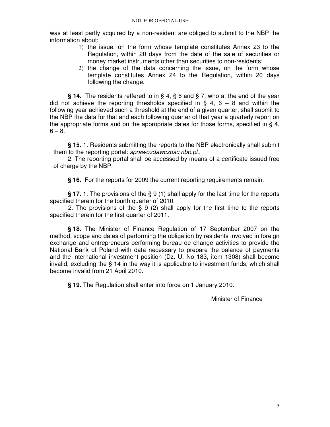was at least partly acquired by a non-resident are obliged to submit to the NBP the information about:

- 1) the issue, on the form whose template constitutes Annex 23 to the Regulation, within 20 days from the date of the sale of securities or money market instruments other than securities to non-residents;
- 2) the change of the data concerning the issue, on the form whose template constitutes Annex 24 to the Regulation, within 20 days following the change.

**§ 14.** The residents reffered to in § 4, § 6 and § 7, who at the end of the year did not achieve the reporting thresholds specified in  $\S$  4, 6 – 8 and within the following year achieved such a threshold at the end of a given quarter, shall submit to the NBP the data for that and each following quarter of that year a quarterly report on the appropriate forms and on the appropriate dates for those forms, specified in § 4,  $6 - 8.$ 

**§ 15.** 1. Residents submitting the reports to the NBP electronically shall submit them to the reporting portal: sprawozdawczosc.nbp.pl..

2. The reporting portal shall be accessed by means of a certificate issued free of charge by the NBP.

**§ 16.** For the reports for 2009 the current reporting requirements remain.

**§ 17.** 1. The provisions of the § 9 (1) shall apply for the last time for the reports specified therein for the fourth quarter of 2010.

2. The provisions of the § 9 (2) shall apply for the first time to the reports specified therein for the first quarter of 2011.

**§ 18.** The Minister of Finance Regulation of 17 September 2007 on the method, scope and dates of performing the obligation by residents involved in foreign exchange and entrepreneurs performing bureau de change activities to provide the National Bank of Poland with data necessary to prepare the balance of payments and the international investment position (Dz. U. No 183, item 1308) shall become invalid, excluding the § 14 in the way it is applicable to investment funds, which shall become invalid from 21 April 2010.

**§ 19.** The Regulation shall enter into force on 1 January 2010.

Minister of Finance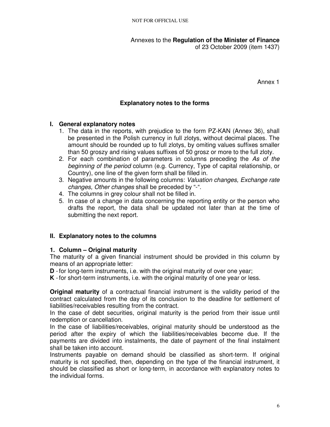Annexes to the **Regulation of the Minister of Finance**  of 23 October 2009 (item 1437)

Annex 1

# **Explanatory notes to the forms**

### **I. General explanatory notes**

- 1. The data in the reports, with prejudice to the form PZ-KAN (Annex 36), shall be presented in the Polish currency in full zlotys, without decimal places. The amount should be rounded up to full zlotys, by omiting values suffixes smaller than 50 groszy and rising values suffixes of 50 grosz or more to the full zloty.
- 2. For each combination of parameters in columns preceding the As of the beginning of the period column (e.g. Currency, Type of capital relationship, or Country), one line of the given form shall be filled in.
- 3. Negative amounts in the following columns: Valuation changes, Exchange rate changes, Other changes shall be preceded by "-".
- 4. The columns in grey colour shall not be filled in.
- 5. In case of a change in data concerning the reporting entity or the person who drafts the report, the data shall be updated not later than at the time of submitting the next report.

### **II. Explanatory notes to the columns**

### **1. Column – Original maturity**

The maturity of a given financial instrument should be provided in this column by means of an appropriate letter:

**D** - for long-term instruments, i.e. with the original maturity of over one year;

**K** - for short-term instruments, i.e. with the original maturity of one year or less.

**Original maturity** of a contractual financial instrument is the validity period of the contract calculated from the day of its conclusion to the deadline for settlement of liabilities/receivables resulting from the contract.

In the case of debt securities, original maturity is the period from their issue until redemption or cancellation.

In the case of liabilities/receivables, original maturity should be understood as the period after the expiry of which the liabilities/receivables become due. If the payments are divided into instalments, the date of payment of the final instalment shall be taken into account.

Instruments payable on demand should be classified as short-term. If original maturity is not specified, then, depending on the type of the financial instrument, it should be classified as short or long-term, in accordance with explanatory notes to the individual forms.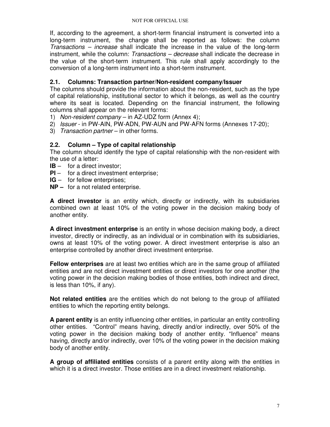If, according to the agreement, a short-term financial instrument is converted into a long-term instrument, the change shall be reported as follows: the column Transactions – increase shall indicate the increase in the value of the long-term instrument, while the column: Transactions – decrease shall indicate the decrease in the value of the short-term instrument. This rule shall apply accordingly to the conversion of a long-term instrument into a short-term instrument.

# **2.1. Columns: Transaction partner/Non-resident company/Issuer**

The columns should provide the information about the non-resident, such as the type of capital relationship, institutional sector to which it belongs, as well as the country where its seat is located. Depending on the financial instrument, the following columns shall appear on the relevant forms:

- 1) Non-resident company in AZ-UDZ form (Annex 4);
- 2) Issuer in PW-AIN, PW-ADN, PW-AUN and PW-AFN forms (Annexes 17-20);
- 3) Transaction partner in other forms.

# **2.2. Column – Type of capital relationship**

The column should identify the type of capital relationship with the non-resident with the use of a letter:

- **IB** for a direct investor;
- **PI** for a direct investment enterprise;
- **IG** for fellow enterprises;
- **NP** for a not related enterprise.

**A direct investor** is an entity which, directly or indirectly, with its subsidiaries combined own at least 10% of the voting power in the decision making body of another entity.

**A direct investment enterprise** is an entity in whose decision making body, a direct investor, directly or indirectly, as an individual or in combination with its subsidiaries, owns at least 10% of the voting power. A direct investment enterprise is also an enterprise controlled by another direct investment enterprise.

**Fellow enterprises** are at least two entities which are in the same group of affiliated entities and are not direct investment entities or direct investors for one another (the voting power in the decision making bodies of those entities, both indirect and direct, is less than 10%, if any).

**Not related entities** are the entities which do not belong to the group of affiliated entities to which the reporting entity belongs.

**A parent entity** is an entity influencing other entities, in particular an entity controlling other entities. "Control" means having, directly and/or indirectly, over 50% of the voting power in the decision making body of another entity. "Influence" means having, directly and/or indirectly, over 10% of the voting power in the decision making body of another entity.

**A group of affiliated entities** consists of a parent entity along with the entities in which it is a direct investor. Those entities are in a direct investment relationship.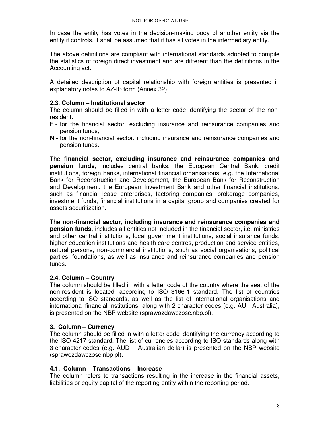In case the entity has votes in the decision-making body of another entity via the entity it controls, it shall be assumed that it has all votes in the intermediary entity.

The above definitions are compliant with international standards adopted to compile the statistics of foreign direct investment and are different than the definitions in the Accounting act.

A detailed description of capital relationship with foreign entities is presented in explanatory notes to AZ-IB form (Annex 32).

### **2.3. Column – Institutional sector**

The column should be filled in with a letter code identifying the sector of the nonresident.

- **F** for the financial sector, excluding insurance and reinsurance companies and pension funds;
- **N -** for the non-financial sector, including insurance and reinsurance companies and pension funds.

The **financial sector, excluding insurance and reinsurance companies and pension funds**, includes central banks, the European Central Bank, credit institutions, foreign banks, international financial organisations, e.g. the International Bank for Reconstruction and Development, the European Bank for Reconstruction and Development, the European Investment Bank and other financial institutions, such as financial lease enterprises, factoring companies, brokerage companies, investment funds, financial institutions in a capital group and companies created for assets securitization.

The **non-financial sector, including insurance and reinsurance companies and pension funds**, includes all entities not included in the financial sector, i.e. ministries and other central institutions, local government institutions, social insurance funds, higher education institutions and health care centres, production and service entities, natural persons, non-commercial institutions, such as social organisations, political parties, foundations, as well as insurance and reinsurance companies and pension funds.

### **2.4. Column – Country**

The column should be filled in with a letter code of the country where the seat of the non-resident is located, according to ISO 3166-1 standard. The list of countries according to ISO standards, as well as the list of international organisations and international financial institutions, along with 2-character codes (e.g. AU - Australia), is presented on the NBP website (sprawozdawczosc.nbp.pl).

### **3. Column – Currency**

The column should be filled in with a letter code identifying the currency according to the ISO 4217 standard. The list of currencies according to ISO standards along with 3-character codes (e.g. AUD – Australian dollar) is presented on the NBP website (sprawozdawczosc.nbp.pl).

### **4.1. Column – Transactions – Increase**

The column refers to transactions resulting in the increase in the financial assets, liabilities or equity capital of the reporting entity within the reporting period.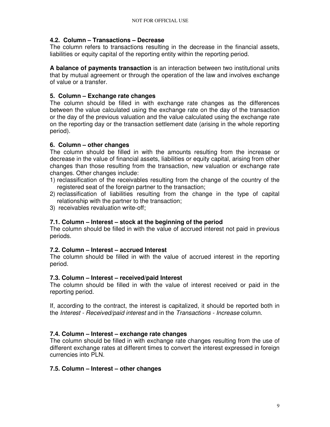### **4.2. Column – Transactions – Decrease**

The column refers to transactions resulting in the decrease in the financial assets, liabilities or equity capital of the reporting entity within the reporting period.

**A balance of payments transaction** is an interaction between two institutional units that by mutual agreement or through the operation of the law and involves exchange of value or a transfer.

### **5. Column – Exchange rate changes**

The column should be filled in with exchange rate changes as the differences between the value calculated using the exchange rate on the day of the transaction or the day of the previous valuation and the value calculated using the exchange rate on the reporting day or the transaction settlement date (arising in the whole reporting period).

## **6. Column – other changes**

The column should be filled in with the amounts resulting from the increase or decrease in the value of financial assets, liabilities or equity capital, arising from other changes than those resulting from the transaction, new valuation or exchange rate changes. Other changes include:

- 1) reclassification of the receivables resulting from the change of the country of the registered seat of the foreign partner to the transaction;
- 2) reclassification of liabilities resulting from the change in the type of capital relationship with the partner to the transaction;
- 3) receivables revaluation write-off;

# **7.1. Column – Interest – stock at the beginning of the period**

The column should be filled in with the value of accrued interest not paid in previous periods.

### **7.2. Column – Interest – accrued Interest**

The column should be filled in with the value of accrued interest in the reporting period.

### **7.3. Column – Interest – received/paid Interest**

The column should be filled in with the value of interest received or paid in the reporting period.

If, according to the contract, the interest is capitalized, it should be reported both in the Interest - Received/paid interest and in the Transactions - Increase column.

# **7.4. Column – Interest – exchange rate changes**

The column should be filled in with exchange rate changes resulting from the use of different exchange rates at different times to convert the interest expressed in foreign currencies into PLN.

### **7.5. Column – Interest – other changes**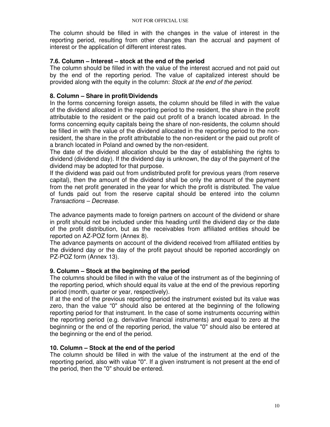The column should be filled in with the changes in the value of interest in the reporting period, resulting from other changes than the accrual and payment of interest or the application of different interest rates.

### **7.6. Column – Interest – stock at the end of the period**

The column should be filled in with the value of the interest accrued and not paid out by the end of the reporting period. The value of capitalized interest should be provided along with the equity in the column: Stock at the end of the period.

## **8. Column – Share in profit/Dividends**

In the forms concerning foreign assets, the column should be filled in with the value of the dividend allocated in the reporting period to the resident, the share in the profit attributable to the resident or the paid out profit of a branch located abroad. In the forms concerning equity capitals being the share of non-residents, the column should be filled in with the value of the dividend allocated in the reporting period to the nonresident, the share in the profit attributable to the non-resident or the paid out profit of a branch located in Poland and owned by the non-resident.

The date of the dividend allocation should be the day of establishing the rights to dividend (dividend day). If the dividend day is unknown, the day of the payment of the dividend may be adopted for that purpose.

If the dividend was paid out from undistributed profit for previous years (from reserve capital), then the amount of the dividend shall be only the amount of the payment from the net profit generated in the year for which the profit is distributed. The value of funds paid out from the reserve capital should be entered into the column Transactions – Decrease.

The advance payments made to foreign partners on account of the dividend or share in profit should not be included under this heading until the dividend day or the date of the profit distribution, but as the receivables from affiliated entities should be reported on AZ-POZ form (Annex 8).

The advance payments on account of the dividend received from affiliated entities by the dividend day or the day of the profit payout should be reported accordingly on PZ-POZ form (Annex 13).

### **9. Column – Stock at the beginning of the period**

The columns should be filled in with the value of the instrument as of the beginning of the reporting period, which should equal its value at the end of the previous reporting period (month, quarter or year, respectively).

If at the end of the previous reporting period the instrument existed but its value was zero, than the value "0" should also be entered at the beginning of the following reporting period for that instrument. In the case of some instruments occurring within the reporting period (e.g. derivative financial instruments) and equal to zero at the beginning or the end of the reporting period, the value "0" should also be entered at the beginning or the end of the period.

# **10. Column – Stock at the end of the period**

The column should be filled in with the value of the instrument at the end of the reporting period, also with value "0". If a given instrument is not present at the end of the period, then the "0" should be entered.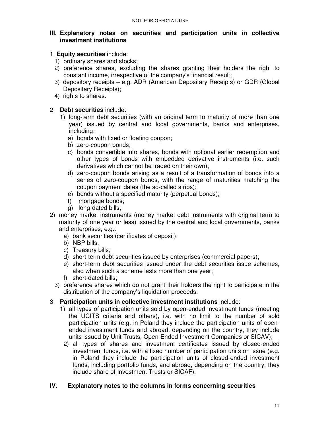### **III. Explanatory notes on securities and participation units in collective investment institutions**

### 1. **Equity securities** include:

- 1) ordinary shares and stocks;
- 2) preference shares, excluding the shares granting their holders the right to constant income, irrespective of the company's financial result;
- 3) depository receipts e.g. ADR (American Depositary Receipts) or GDR (Global Depositary Receipts);
- 4) rights to shares.

## 2. **Debt securities** include:

- 1) long-term debt securities (with an original term to maturity of more than one year) issued by central and local governments, banks and enterprises, including:
	- a) bonds with fixed or floating coupon;
	- b) zero-coupon bonds;
	- c) bonds convertible into shares, bonds with optional earlier redemption and other types of bonds with embedded derivative instruments (i.e. such derivatives which cannot be traded on their own);
	- d) zero-coupon bonds arising as a result of a transformation of bonds into a series of zero-coupon bonds, with the range of maturities matching the coupon payment dates (the so-called strips);
	- e) bonds without a specified maturity (perpetual bonds);
	- f) mortgage bonds;
	- g) long-dated bills;
- 2) money market instruments (money market debt instruments with original term to maturity of one year or less) issued by the central and local governments, banks and enterprises, e.g.:
	- a) bank securities (certificates of deposit);
	- b) NBP bills,
	- c) Treasury bills;
	- d) short-term debt securities issued by enterprises (commercial papers);
	- e) short-term debt securities issued under the debt securities issue schemes, also when such a scheme lasts more than one year;
	- f) short-dated bills;
	- 3) preference shares which do not grant their holders the right to participate in the distribution of the company's liquidation proceeds.

# 3. **Participation units in collective investment institutions** include:

- 1) all types of participation units sold by open-ended investment funds (meeting the UCITS criteria and others), i.e. with no limit to the number of sold participation units (e.g. in Poland they include the participation units of openended investment funds and abroad, depending on the country, they include units issued by Unit Trusts, Open-Ended Investment Companies or SICAV);
- 2) all types of shares and investment certificates issued by closed-ended investment funds, i.e. with a fixed number of participation units on issue (e.g. in Poland they include the participation units of closed-ended investment funds, including portfolio funds, and abroad, depending on the country, they include share of Investment Trusts or SICAF).

# **IV. Explanatory notes to the columns in forms concerning securities**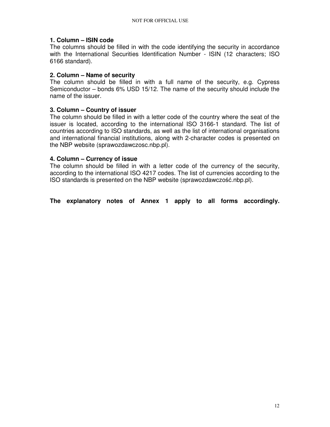### **1. Column – ISIN code**

The columns should be filled in with the code identifying the security in accordance with the International Securities Identification Number - ISIN (12 characters; ISO 6166 standard).

### **2. Column – Name of security**

The column should be filled in with a full name of the security, e.g. Cypress Semiconductor – bonds 6% USD 15/12. The name of the security should include the name of the issuer.

### **3. Column – Country of issuer**

The column should be filled in with a letter code of the country where the seat of the issuer is located, according to the international ISO 3166-1 standard. The list of countries according to ISO standards, as well as the list of international organisations and international financial institutions, along with 2-character codes is presented on the NBP website (sprawozdawczosc.nbp.pl).

### **4. Column – Currency of issue**

The column should be filled in with a letter code of the currency of the security, according to the international ISO 4217 codes. The list of currencies according to the ISO standards is presented on the NBP website (sprawozdawczość.nbp.pl).

**The explanatory notes of Annex 1 apply to all forms accordingly.**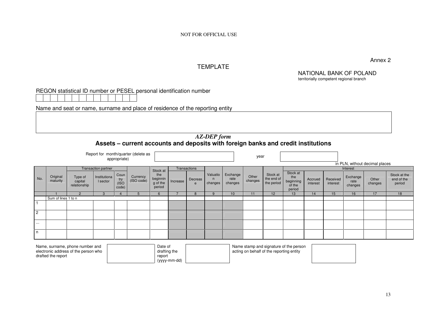## TEMPLATE

Annex 2

#### NATIONAL BANK OF POLANDterritorially competent regional branch

REGON statistical ID number or PESEL personal identification number

drafted the report

Name and seat or name, surname and place of residence of the reporting entity

report (yyyy-mm-dd)

### *AZ-DEP form* **Assets – current accounts and deposits with foreign banks and credit institutions**

|                                        |                      |                                                                         |                          | appropriate)                                                                                                  | Report for month/quarter (delete as |                                       |                           |              |                                     |                             | year             |                                      |                                                  |                     |                      |                             |                                |                                      |
|----------------------------------------|----------------------|-------------------------------------------------------------------------|--------------------------|---------------------------------------------------------------------------------------------------------------|-------------------------------------|---------------------------------------|---------------------------|--------------|-------------------------------------|-----------------------------|------------------|--------------------------------------|--------------------------------------------------|---------------------|----------------------|-----------------------------|--------------------------------|--------------------------------------|
|                                        |                      |                                                                         |                          |                                                                                                               |                                     |                                       |                           |              |                                     |                             |                  |                                      |                                                  |                     |                      |                             | in PLN, without decimal places |                                      |
| <b>Transaction partner</b><br>Stock at |                      |                                                                         |                          |                                                                                                               |                                     |                                       |                           | Transactions |                                     |                             |                  |                                      |                                                  |                     |                      | Interest                    |                                |                                      |
| No.                                    | Original<br>maturity | Type of<br>capital<br>relationship                                      | Institutiona<br>I sector | Coun<br>try<br>(ISO<br>code)                                                                                  | Currency<br>(ISO code)              | the<br>beginnin<br>g of the<br>period | Increase                  | Decreas<br>e | Valuatio<br>$\mathsf{n}$<br>changes | Exchange<br>rate<br>changes | Other<br>changes | Stock at<br>the end of<br>the period | Stock at<br>the<br>beginning<br>of the<br>period | Accrued<br>interest | Received<br>interest | Exchange<br>rate<br>changes | Other<br>changes               | Stock at the<br>end of the<br>period |
|                                        |                      |                                                                         |                          |                                                                                                               | 5                                   | 6                                     | 8<br>9<br>10 <sup>1</sup> |              |                                     |                             | 11               | 12                                   | 13                                               | 14                  | 15                   | 16                          | 17                             | 18                                   |
|                                        | Sum of lines 1 to n  |                                                                         |                          |                                                                                                               |                                     |                                       |                           |              |                                     |                             |                  |                                      |                                                  |                     |                      |                             |                                |                                      |
| $\overline{a}$                         |                      |                                                                         |                          |                                                                                                               |                                     |                                       |                           |              |                                     |                             |                  |                                      |                                                  |                     |                      |                             |                                |                                      |
| $\overline{2}$                         |                      |                                                                         |                          |                                                                                                               |                                     |                                       |                           |              |                                     |                             |                  |                                      |                                                  |                     |                      |                             |                                |                                      |
| $\cdots$                               |                      |                                                                         |                          |                                                                                                               |                                     |                                       |                           |              |                                     |                             |                  |                                      |                                                  |                     |                      |                             |                                |                                      |
| $\mathsf{n}$                           |                      |                                                                         |                          |                                                                                                               |                                     |                                       |                           |              |                                     |                             |                  |                                      |                                                  |                     |                      |                             |                                |                                      |
|                                        |                      | Name, surname, phone number and<br>electronic address of the person who |                          | Name stamp and signature of the person<br>Date of<br>acting on behalf of the reporting entity<br>drafting the |                                     |                                       |                           |              |                                     |                             |                  |                                      |                                                  |                     |                      |                             |                                |                                      |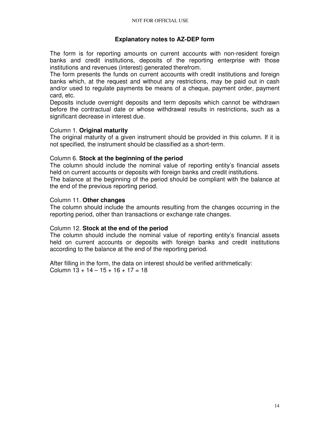### **Explanatory notes to AZ-DEP form**

The form is for reporting amounts on current accounts with non-resident foreign banks and credit institutions, deposits of the reporting enterprise with those institutions and revenues (interest) generated therefrom.

The form presents the funds on current accounts with credit institutions and foreign banks which, at the request and without any restrictions, may be paid out in cash and/or used to regulate payments be means of a cheque, payment order, payment card, etc.

Deposits include overnight deposits and term deposits which cannot be withdrawn before the contractual date or whose withdrawal results in restrictions, such as a significant decrease in interest due.

### Column 1. **Original maturity**

The original maturity of a given instrument should be provided in this column. If it is not specified, the instrument should be classified as a short-term.

### Column 6. **Stock at the beginning of the period**

The column should include the nominal value of reporting entity's financial assets held on current accounts or deposits with foreign banks and credit institutions.

The balance at the beginning of the period should be compliant with the balance at the end of the previous reporting period.

### Column 11. **Other changes**

The column should include the amounts resulting from the changes occurring in the reporting period, other than transactions or exchange rate changes.

#### Column 12. **Stock at the end of the period**

The column should include the nominal value of reporting entity's financial assets held on current accounts or deposits with foreign banks and credit institutions according to the balance at the end of the reporting period.

After filling in the form, the data on interest should be verified arithmetically: Column  $13 + 14 - 15 + 16 + 17 = 18$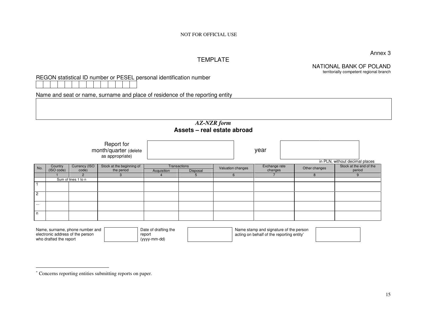Annex 3

## TEMPLATE

NATIONAL BANK OF POLAND

territorially competent regional branch

REGON statistical ID number or PESEL personal identification number

Name and seat or name, surname and place of residence of the reporting entity

#### *AZ-NZR form* **Assets – real estate abroad**

|                |                       |                        | Report for<br>month/quarter (delete<br>as appropriate) |             |                          |                   | year                     |               | in PLN, without decimal places    |
|----------------|-----------------------|------------------------|--------------------------------------------------------|-------------|--------------------------|-------------------|--------------------------|---------------|-----------------------------------|
| No.            | Country<br>(ISO code) | Currency (ISO<br>code) | Stock at the beginning of<br>the period                | Acquisition | Transactions<br>Disposal | Valuation changes | Exchange rate<br>changes | Other changes | Stock at the end of the<br>period |
|                |                       | ာ                      |                                                        |             | $\mathbf{b}$             |                   |                          | 8             | 9                                 |
|                |                       | Sum of lines 1 to n    |                                                        |             |                          |                   |                          |               |                                   |
|                |                       |                        |                                                        |             |                          |                   |                          |               |                                   |
| $\overline{2}$ |                       |                        |                                                        |             |                          |                   |                          |               |                                   |
| $\cdots$       |                       |                        |                                                        |             |                          |                   |                          |               |                                   |
| n.             |                       |                        |                                                        |             |                          |                   |                          |               |                                   |

| Name, surname, phone number and  | Date of drafting the | Name stamp and signature of the person    |
|----------------------------------|----------------------|-------------------------------------------|
| electronic address of the person | report               | acting on behalf of the reporting entity* |
| who drafted the report           | (yyyy-mm-dd)         |                                           |

<sup>∗</sup> Concerns reporting entities submitting reports on paper.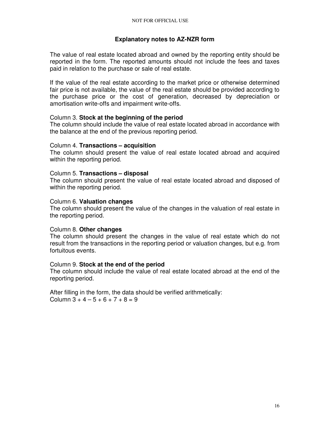### **Explanatory notes to AZ-NZR form**

The value of real estate located abroad and owned by the reporting entity should be reported in the form. The reported amounts should not include the fees and taxes paid in relation to the purchase or sale of real estate.

If the value of the real estate according to the market price or otherwise determined fair price is not available, the value of the real estate should be provided according to the purchase price or the cost of generation, decreased by depreciation or amortisation write-offs and impairment write-offs.

### Column 3. **Stock at the beginning of the period**

The column should include the value of real estate located abroad in accordance with the balance at the end of the previous reporting period.

### Column 4. **Transactions – acquisition**

The column should present the value of real estate located abroad and acquired within the reporting period.

### Column 5. **Transactions – disposal**

The column should present the value of real estate located abroad and disposed of within the reporting period.

### Column 6. **Valuation changes**

The column should present the value of the changes in the valuation of real estate in the reporting period.

#### Column 8. **Other changes**

The column should present the changes in the value of real estate which do not result from the transactions in the reporting period or valuation changes, but e.g. from fortuitous events.

#### Column 9. **Stock at the end of the period**

The column should include the value of real estate located abroad at the end of the reporting period.

After filling in the form, the data should be verified arithmetically: Column  $3 + 4 - 5 + 6 + 7 + 8 = 9$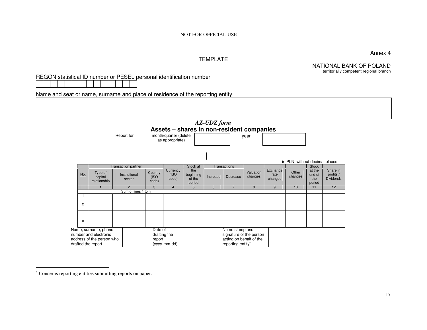Annex 4

#### TEMPLATE

NATIONAL BANK OF POLAND territorially competent regional branch

REGON statistical ID number or PESEL personal identification number

Name and seat or name, surname and place of residence of the reporting entity

|                |                                                                                                  | Report for                           |                   | month/quarter (delete<br>as appropriate) |                              | <b>AZ-UDZ</b> form | Assets - shares in non-resident companies                                                 | year                 |                  |                                |                                  |                       |
|----------------|--------------------------------------------------------------------------------------------------|--------------------------------------|-------------------|------------------------------------------|------------------------------|--------------------|-------------------------------------------------------------------------------------------|----------------------|------------------|--------------------------------|----------------------------------|-----------------------|
|                |                                                                                                  |                                      |                   |                                          |                              |                    |                                                                                           |                      |                  | in PLN, without decimal places |                                  |                       |
| No.            | Type of                                                                                          | Transaction partner<br>Institutional | Country           | Currency<br>(ISO                         | Stock at<br>the<br>beginning | Increase           | Transactions<br>Decrease                                                                  | Valuation<br>changes | Exchange<br>rate | Other<br>changes               | <b>Stock</b><br>at the<br>end of | Share in<br>profits / |
|                | (ISO<br>capital<br>sector<br>relationship<br>code)                                               |                                      | code)             | of the<br>period                         |                              |                    |                                                                                           | changes              |                  | the<br>period                  | <b>Dividends</b>                 |                       |
|                |                                                                                                  | $\overline{2}$                       | 3                 | $\overline{4}$                           | 5 <sup>5</sup>               | 6                  | $\overline{z}$                                                                            | 8                    | 9                | 10                             | 11                               | 12                    |
|                |                                                                                                  | Sum of lines 1 to n                  |                   |                                          |                              |                    |                                                                                           |                      |                  |                                |                                  |                       |
|                |                                                                                                  |                                      |                   |                                          |                              |                    |                                                                                           |                      |                  |                                |                                  |                       |
| $\overline{c}$ |                                                                                                  |                                      |                   |                                          |                              |                    |                                                                                           |                      |                  |                                |                                  |                       |
| $\cdots$       |                                                                                                  |                                      |                   |                                          |                              |                    |                                                                                           |                      |                  |                                |                                  |                       |
| n.             |                                                                                                  |                                      |                   |                                          |                              |                    |                                                                                           |                      |                  |                                |                                  |                       |
|                | Name, surname, phone<br>number and electronic<br>address of the person who<br>drafted the report |                                      | Date of<br>report | drafting the<br>(yyyy-mm-dd)             |                              |                    | Name stamp and<br>signature of the person<br>acting on behalf of the<br>reporting entity* |                      |                  |                                |                                  |                       |

<sup>∗</sup> Concerns reporting entities submitting reports on paper.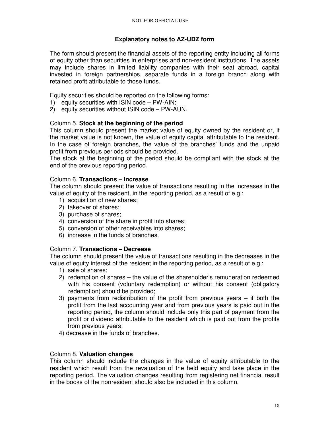### **Explanatory notes to AZ-UDZ form**

The form should present the financial assets of the reporting entity including all forms of equity other than securities in enterprises and non-resident institutions. The assets may include shares in limited liability companies with their seat abroad, capital invested in foreign partnerships, separate funds in a foreign branch along with retained profit attributable to those funds.

Equity securities should be reported on the following forms:

- 1) equity securities with ISIN code PW-AIN;
- 2) equity securities without ISIN code PW-AUN.

### Column 5. **Stock at the beginning of the period**

This column should present the market value of equity owned by the resident or, if the market value is not known, the value of equity capital attributable to the resident. In the case of foreign branches, the value of the branches' funds and the unpaid profit from previous periods should be provided.

The stock at the beginning of the period should be compliant with the stock at the end of the previous reporting period.

#### Column 6. **Transactions – Increase**

The column should present the value of transactions resulting in the increases in the value of equity of the resident, in the reporting period, as a result of e.g.:

- 1) acquisition of new shares;
- 2) takeover of shares;
- 3) purchase of shares;
- 4) conversion of the share in profit into shares;
- 5) conversion of other receivables into shares;
- 6) increase in the funds of branches.

#### Column 7. **Transactions – Decrease**

The column should present the value of transactions resulting in the decreases in the value of equity interest of the resident in the reporting period, as a result of e.g.:

- 1) sale of shares;
- 2) redemption of shares the value of the shareholder's remuneration redeemed with his consent (voluntary redemption) or without his consent (obligatory redemption) should be provided;
- 3) payments from redistribution of the profit from previous years if both the profit from the last accounting year and from previous years is paid out in the reporting period, the column should include only this part of payment from the profit or dividend attributable to the resident which is paid out from the profits from previous years;
- 4) decrease in the funds of branches.

#### Column 8. **Valuation changes**

This column should include the changes in the value of equity attributable to the resident which result from the revaluation of the held equity and take place in the reporting period. The valuation changes resulting from registering net financial result in the books of the nonresident should also be included in this column.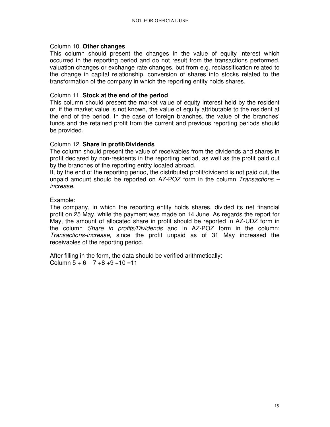### Column 10. **Other changes**

This column should present the changes in the value of equity interest which occurred in the reporting period and do not result from the transactions performed, valuation changes or exchange rate changes, but from e.g. reclassification related to the change in capital relationship, conversion of shares into stocks related to the transformation of the company in which the reporting entity holds shares.

### Column 11. **Stock at the end of the period**

This column should present the market value of equity interest held by the resident or, if the market value is not known, the value of equity attributable to the resident at the end of the period. In the case of foreign branches, the value of the branches' funds and the retained profit from the current and previous reporting periods should be provided.

### Column 12. **Share in profit/Dividends**

The column should present the value of receivables from the dividends and shares in profit declared by non-residents in the reporting period, as well as the profit paid out by the branches of the reporting entity located abroad.

If, by the end of the reporting period, the distributed profit/dividend is not paid out, the unpaid amount should be reported on  $AZ$ -POZ form in the column *Transactions* – increase.

### Example:

The company, in which the reporting entity holds shares, divided its net financial profit on 25 May, while the payment was made on 14 June. As regards the report for May, the amount of allocated share in profit should be reported in AZ-UDZ form in the column Share in profits/Dividends and in AZ-POZ form in the column: Transactions-increase, since the profit unpaid as of 31 May increased the receivables of the reporting period.

After filling in the form, the data should be verified arithmetically: Column  $5 + 6 - 7 + 8 + 9 + 10 = 11$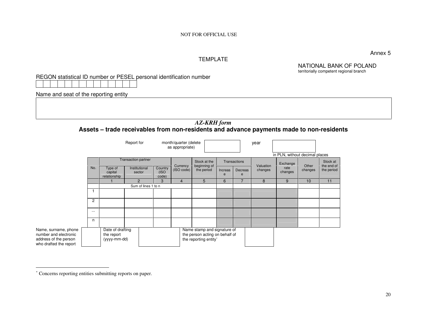Annex 5

#### TEMPLATE

NATIONAL BANK OF POLAND territorially competent regional branch

REGON statistical ID number or PESEL personal identification number

Name and seat of the reporting entity

## *AZ-KRH form* **Assets – trade receivables from non-residents and advance payments made to non-residents**

|                                                                                                  |                                                |                                    | Report for                 | month/quarter (delete<br>as appropriate) |                |                                                                                        |              |              | year      | in PLN, without decimal places |         |                        |
|--------------------------------------------------------------------------------------------------|------------------------------------------------|------------------------------------|----------------------------|------------------------------------------|----------------|----------------------------------------------------------------------------------------|--------------|--------------|-----------|--------------------------------|---------|------------------------|
|                                                                                                  |                                                |                                    | <b>Transaction partner</b> |                                          | Currency       | Stock at the<br>beginning of                                                           |              | Transactions | Valuation | Exchange                       | Other   | Stock at<br>the end of |
|                                                                                                  | No.                                            | Type of<br>capital<br>relationship | Institutional<br>sector    | Country<br>(ISO<br>code)                 | (ISO code)     | the period                                                                             | Increas<br>e | Decreas      | changes   | rate<br>changes                | changes | the period             |
|                                                                                                  |                                                |                                    | 2                          | 3                                        | $\overline{4}$ | 5                                                                                      | 6            |              | 8         | 9                              | 10      | 11                     |
|                                                                                                  |                                                |                                    | Sum of lines 1 to n        |                                          |                |                                                                                        |              |              |           |                                |         |                        |
|                                                                                                  |                                                |                                    |                            |                                          |                |                                                                                        |              |              |           |                                |         |                        |
|                                                                                                  | $\overline{c}$                                 |                                    |                            |                                          |                |                                                                                        |              |              |           |                                |         |                        |
|                                                                                                  | $\cdots$                                       |                                    |                            |                                          |                |                                                                                        |              |              |           |                                |         |                        |
|                                                                                                  | n                                              |                                    |                            |                                          |                |                                                                                        |              |              |           |                                |         |                        |
| Name, surname, phone<br>number and electronic<br>address of the person<br>who drafted the report | Date of drafting<br>the report<br>(yyyy-mm-dd) |                                    |                            |                                          |                | Name stamp and signature of<br>the person acting on behalf of<br>the reporting entity* |              |              |           |                                |         |                        |

<sup>∗</sup> Concerns reporting entities submitting reports on paper.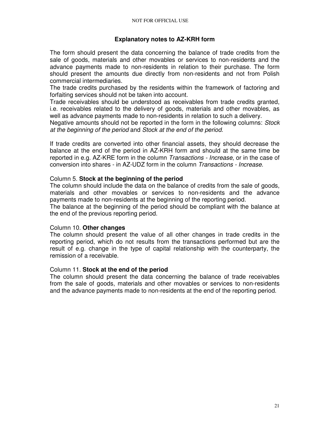### **Explanatory notes to AZ-KRH form**

The form should present the data concerning the balance of trade credits from the sale of goods, materials and other movables or services to non-residents and the advance payments made to non-residents in relation to their purchase. The form should present the amounts due directly from non-residents and not from Polish commercial intermediaries.

The trade credits purchased by the residents within the framework of factoring and forfaiting services should not be taken into account.

Trade receivables should be understood as receivables from trade credits granted, i.e. receivables related to the delivery of goods, materials and other movables, as well as advance payments made to non-residents in relation to such a delivery.

Negative amounts should not be reported in the form in the following columns: Stock at the beginning of the period and Stock at the end of the period.

If trade credits are converted into other financial assets, they should decrease the balance at the end of the period in AZ-KRH form and should at the same time be reported in e.g. AZ-KRE form in the column Transactions - Increase, or in the case of conversion into shares - in AZ-UDZ form in the column Transactions - Increase.

#### Column 5. **Stock at the beginning of the period**

The column should include the data on the balance of credits from the sale of goods, materials and other movables or services to non-residents and the advance payments made to non-residents at the beginning of the reporting period.

The balance at the beginning of the period should be compliant with the balance at the end of the previous reporting period.

#### Column 10. **Other changes**

The column should present the value of all other changes in trade credits in the reporting period, which do not results from the transactions performed but are the result of e.g. change in the type of capital relationship with the counterparty, the remission of a receivable.

#### Column 11. **Stock at the end of the period**

The column should present the data concerning the balance of trade receivables from the sale of goods, materials and other movables or services to non-residents and the advance payments made to non-residents at the end of the reporting period.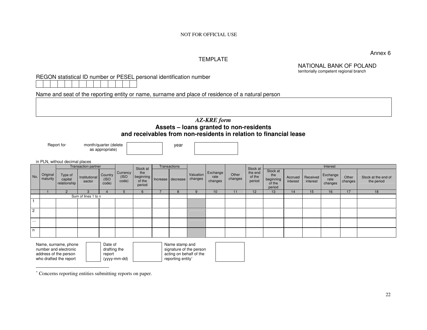Annex 6

### TEMPLATE

NATIONAL BANK OF POLAND territorially competent regional branch

REGON statistical ID number or PESEL personal identification number

Name and seat of the reporting entity or name, surname and place of residence of a natural person

#### *AZ-KRE form*  **Assets – loans granted to non-residents and receivables from non-residents in relation to financial lease**

Report for month/quarter (delete as appropriate)



in PLN, without decimal places

|                |                      | III LEN, WILHOUL GOOIHIGH PIGOCO   |                         |                          |                           |                                                    |              |                      |                             |                  |                             |                                                  |                     |                      |                             |                    |                                   |
|----------------|----------------------|------------------------------------|-------------------------|--------------------------|---------------------------|----------------------------------------------------|--------------|----------------------|-----------------------------|------------------|-----------------------------|--------------------------------------------------|---------------------|----------------------|-----------------------------|--------------------|-----------------------------------|
|                |                      |                                    | Transaction partner     |                          |                           | Stock at                                           | Transactions |                      |                             |                  | Stock at                    |                                                  |                     |                      | Interest                    |                    |                                   |
| No.            | Original<br>maturity | Type of<br>capital<br>relationship | Institutional<br>sector | Country<br>(ISO<br>code) | Currency<br>(ISO<br>code) | the<br>beginning   Increase   decrease  <br>period |              | Valuation<br>changes | Exchange<br>rate<br>changes | Other<br>changes | the end<br>of the<br>period | Stock at<br>the<br>beginning<br>of the<br>period | Accrued<br>interest | Received<br>interest | Exchange<br>rate<br>changes | Other<br>changes V | Stock at the end of<br>the period |
|                |                      |                                    |                         |                          |                           | $6\overline{6}$                                    | x            | 9                    | 10                          | 11               | 12                          | 13                                               | 14                  | 15                   | 16                          |                    | 18                                |
|                |                      |                                    | Sum of lines 1 to n     |                          |                           |                                                    |              |                      |                             |                  |                             |                                                  |                     |                      |                             |                    |                                   |
|                |                      |                                    |                         |                          |                           |                                                    |              |                      |                             |                  |                             |                                                  |                     |                      |                             |                    |                                   |
| $\overline{2}$ |                      |                                    |                         |                          |                           |                                                    |              |                      |                             |                  |                             |                                                  |                     |                      |                             |                    |                                   |
| $\cdots$       |                      |                                    |                         |                          |                           |                                                    |              |                      |                             |                  |                             |                                                  |                     |                      |                             |                    |                                   |
| n              |                      |                                    |                         |                          |                           |                                                    |              |                      |                             |                  |                             |                                                  |                     |                      |                             |                    |                                   |

| Name, surname, phone   | Date of      | Name stamp and          |
|------------------------|--------------|-------------------------|
| number and electronic  | drafting the | signature of the person |
| address of the person  | report       | acting on behalf of the |
| who drafted the report | (yyyy-mm-dd) | reporting entity*       |

<sup>∗</sup> Concerns reporting entities submitting reports on paper.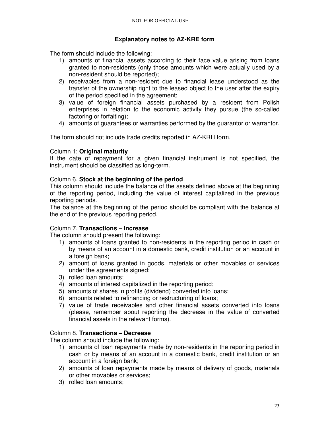## **Explanatory notes to AZ-KRE form**

The form should include the following:

- 1) amounts of financial assets according to their face value arising from loans granted to non-residents (only those amounts which were actually used by a non-resident should be reported);
- 2) receivables from a non-resident due to financial lease understood as the transfer of the ownership right to the leased object to the user after the expiry of the period specified in the agreement;
- 3) value of foreign financial assets purchased by a resident from Polish enterprises in relation to the economic activity they pursue (the so-called factoring or forfaiting);
- 4) amounts of guarantees or warranties performed by the guarantor or warrantor.

The form should not include trade credits reported in AZ-KRH form.

### Column 1: **Original maturity**

If the date of repayment for a given financial instrument is not specified, the instrument should be classified as long-term.

### Column 6. **Stock at the beginning of the period**

This column should include the balance of the assets defined above at the beginning of the reporting period, including the value of interest capitalized in the previous reporting periods.

The balance at the beginning of the period should be compliant with the balance at the end of the previous reporting period.

## Column 7. **Transactions – Increase**

The column should present the following:

- 1) amounts of loans granted to non-residents in the reporting period in cash or by means of an account in a domestic bank, credit institution or an account in a foreign bank;
- 2) amount of loans granted in goods, materials or other movables or services under the agreements signed;
- 3) rolled loan amounts;
- 4) amounts of interest capitalized in the reporting period;
- 5) amounts of shares in profits (dividend) converted into loans;
- 6) amounts related to refinancing or restructuring of loans;
- 7) value of trade receivables and other financial assets converted into loans (please, remember about reporting the decrease in the value of converted financial assets in the relevant forms).

### Column 8. **Transactions – Decrease**

The column should include the following:

- 1) amounts of loan repayments made by non-residents in the reporting period in cash or by means of an account in a domestic bank, credit institution or an account in a foreign bank;
- 2) amounts of loan repayments made by means of delivery of goods, materials or other movables or services;
- 3) rolled loan amounts;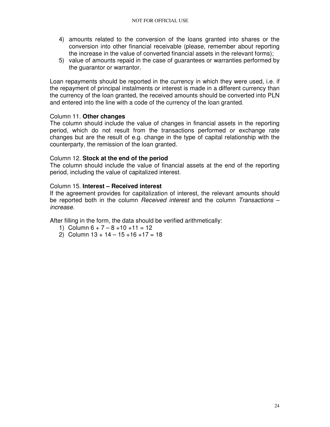- 4) amounts related to the conversion of the loans granted into shares or the conversion into other financial receivable (please, remember about reporting the increase in the value of converted financial assets in the relevant forms);
- 5) value of amounts repaid in the case of guarantees or warranties performed by the guarantor or warrantor.

Loan repayments should be reported in the currency in which they were used, i.e. if the repayment of principal instalments or interest is made in a different currency than the currency of the loan granted, the received amounts should be converted into PLN and entered into the line with a code of the currency of the loan granted.

### Column 11. **Other changes**

The column should include the value of changes in financial assets in the reporting period, which do not result from the transactions performed or exchange rate changes but are the result of e.g. change in the type of capital relationship with the counterparty, the remission of the loan granted.

### Column 12. **Stock at the end of the period**

The column should include the value of financial assets at the end of the reporting period, including the value of capitalized interest.

### Column 15. **Interest – Received interest**

If the agreement provides for capitalization of interest, the relevant amounts should be reported both in the column *Received interest* and the column *Transactions*  $$ increase.

After filling in the form, the data should be verified arithmetically:

- 1) Column  $6 + 7 8 + 10 + 11 = 12$
- 2) Column  $13 + 14 15 + 16 + 17 = 18$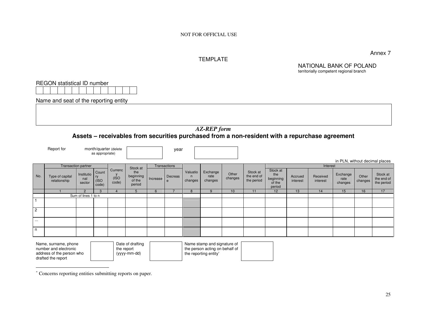### TEMPLATE

NATIONAL BANK OF POLAND territorially competent regional branch

|                | <b>REGON</b> statistical ID number                                                                                                                                                                                                           |                             |                               |                          |                                      |          |                |                          |                             |                  |                                      |                                                  |                     |                      |                             |                  |                                      |
|----------------|----------------------------------------------------------------------------------------------------------------------------------------------------------------------------------------------------------------------------------------------|-----------------------------|-------------------------------|--------------------------|--------------------------------------|----------|----------------|--------------------------|-----------------------------|------------------|--------------------------------------|--------------------------------------------------|---------------------|----------------------|-----------------------------|------------------|--------------------------------------|
|                | Name and seat of the reporting entity                                                                                                                                                                                                        |                             |                               |                          |                                      |          |                |                          |                             |                  |                                      |                                                  |                     |                      |                             |                  |                                      |
|                |                                                                                                                                                                                                                                              |                             |                               |                          |                                      |          |                |                          |                             |                  |                                      |                                                  |                     |                      |                             |                  |                                      |
|                | <b>AZ-REP</b> form                                                                                                                                                                                                                           |                             |                               |                          |                                      |          |                |                          |                             |                  |                                      |                                                  |                     |                      |                             |                  |                                      |
|                | Assets – receivables from securities purchased from a non-resident with a repurchase agreement                                                                                                                                               |                             |                               |                          |                                      |          |                |                          |                             |                  |                                      |                                                  |                     |                      |                             |                  |                                      |
|                | Report for<br>month/quarter (delete<br>year<br>as appropriate)                                                                                                                                                                               |                             |                               |                          |                                      |          |                |                          |                             |                  |                                      |                                                  |                     |                      |                             |                  |                                      |
|                | in PLN, without decimal places<br><b>Transaction partner</b><br>Transactions<br>Interest<br>Stock at                                                                                                                                         |                             |                               |                          |                                      |          |                |                          |                             |                  |                                      |                                                  |                     |                      |                             |                  |                                      |
| No.            | Type of capital<br>relationship                                                                                                                                                                                                              | Institutio<br>nal<br>sector | Count<br>ry<br>(ISO)<br>code) | Currenc<br>(ISO<br>code) | the<br>beginning<br>of the<br>period | Increase | Decreas<br>e   | Valuatio<br>n<br>changes | Exchange<br>rate<br>changes | Other<br>changes | Stock at<br>the end of<br>the period | Stock at<br>the<br>beginning<br>of the<br>period | Accrued<br>interest | Received<br>interest | Exchange<br>rate<br>changes | Other<br>changes | Stock at<br>the end of<br>the period |
|                |                                                                                                                                                                                                                                              | $\overline{2}$              |                               | $\Delta$                 | 5                                    | 6        | $\overline{7}$ | 8                        | 9                           | 10               | 11                                   | 12                                               | 13                  | 14                   | 15                          | 16               | 17                                   |
| $\mathbf{1}$   |                                                                                                                                                                                                                                              | Sum of lines 1 to n         |                               |                          |                                      |          |                |                          |                             |                  |                                      |                                                  |                     |                      |                             |                  |                                      |
| $\overline{2}$ |                                                                                                                                                                                                                                              |                             |                               |                          |                                      |          |                |                          |                             |                  |                                      |                                                  |                     |                      |                             |                  |                                      |
| $\cdots$       |                                                                                                                                                                                                                                              |                             |                               |                          |                                      |          |                |                          |                             |                  |                                      |                                                  |                     |                      |                             |                  |                                      |
| n              |                                                                                                                                                                                                                                              |                             |                               |                          |                                      |          |                |                          |                             |                  |                                      |                                                  |                     |                      |                             |                  |                                      |
|                | Date of drafting<br>Name stamp and signature of<br>Name, surname, phone<br>the person acting on behalf of<br>number and electronic<br>the report<br>address of the person who<br>(yyyy-mm-dd)<br>the reporting entity*<br>drafted the report |                             |                               |                          |                                      |          |                |                          |                             |                  |                                      |                                                  |                     |                      |                             |                  |                                      |

<sup>∗</sup> Concerns reporting entities submitting reports on paper.

Annex 7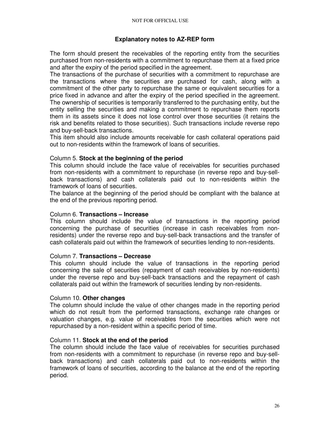### **Explanatory notes to AZ-REP form**

The form should present the receivables of the reporting entity from the securities purchased from non-residents with a commitment to repurchase them at a fixed price and after the expiry of the period specified in the agreement.

The transactions of the purchase of securities with a commitment to repurchase are the transactions where the securities are purchased for cash, along with a commitment of the other party to repurchase the same or equivalent securities for a price fixed in advance and after the expiry of the period specified in the agreement. The ownership of securities is temporarily transferred to the purchasing entity, but the entity selling the securities and making a commitment to repurchase them reports them in its assets since it does not lose control over those securities (it retains the risk and benefits related to those securities). Such transactions include reverse repo and buy-sell-back transactions.

This item should also include amounts receivable for cash collateral operations paid out to non-residents within the framework of loans of securities.

#### Column 5. **Stock at the beginning of the period**

This column should include the face value of receivables for securities purchased from non-residents with a commitment to repurchase (in reverse repo and buy-sellback transactions) and cash collaterals paid out to non-residents within the framework of loans of securities.

The balance at the beginning of the period should be compliant with the balance at the end of the previous reporting period.

#### Column 6. **Transactions – Increase**

This column should include the value of transactions in the reporting period concerning the purchase of securities (increase in cash receivables from nonresidents) under the reverse repo and buy-sell-back transactions and the transfer of cash collaterals paid out within the framework of securities lending to non-residents.

#### Column 7. **Transactions – Decrease**

This column should include the value of transactions in the reporting period concerning the sale of securities (repayment of cash receivables by non-residents) under the reverse repo and buy-sell-back transactions and the repayment of cash collaterals paid out within the framework of securities lending by non-residents.

#### Column 10. **Other changes**

The column should include the value of other changes made in the reporting period which do not result from the performed transactions, exchange rate changes or valuation changes, e.g. value of receivables from the securities which were not repurchased by a non-resident within a specific period of time.

#### Column 11. **Stock at the end of the period**

The column should include the face value of receivables for securities purchased from non-residents with a commitment to repurchase (in reverse repo and buy-sellback transactions) and cash collaterals paid out to non-residents within the framework of loans of securities, according to the balance at the end of the reporting period.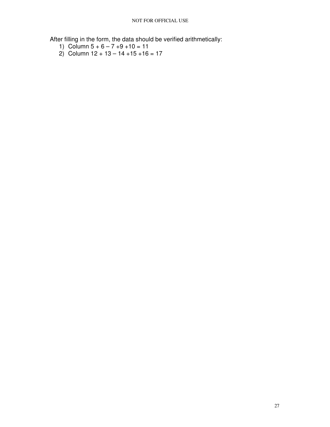After filling in the form, the data should be verified arithmetically:

- 1) Column  $5 + 6 7 + 9 + 10 = 11$
- 2) Column 12 + 13 14 +15 +16 = 17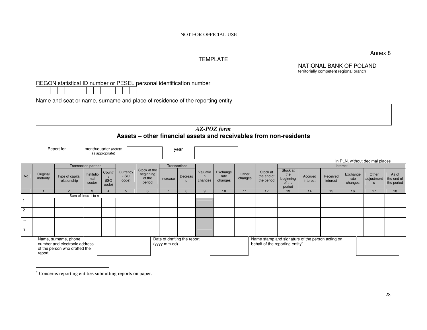TEMPLATE

Annex 8

NATIONAL BANK OF POLAND territorially competent regional branch

### REGON statistical ID number or PESEL personal identification number

Name and seat or name, surname and place of residence of the reporting entity

### *AZ-POZ form* **Assets – other financial assets and receivables from non-residents**

| Report for<br>month/quarter (delete<br>as appropriate)                                           |                      |                                 |                             |                          |                            | year                                          |              |                             |                          |                             |                  |                                                                                     |                                                  |                     |                      |                                |                                     |                                   |
|--------------------------------------------------------------------------------------------------|----------------------|---------------------------------|-----------------------------|--------------------------|----------------------------|-----------------------------------------------|--------------|-----------------------------|--------------------------|-----------------------------|------------------|-------------------------------------------------------------------------------------|--------------------------------------------------|---------------------|----------------------|--------------------------------|-------------------------------------|-----------------------------------|
|                                                                                                  |                      |                                 |                             |                          |                            |                                               |              |                             |                          |                             |                  |                                                                                     |                                                  |                     |                      | in PLN, without decimal places |                                     |                                   |
|                                                                                                  |                      |                                 | <b>Transaction partner</b>  |                          |                            |                                               |              | Transactions                |                          |                             |                  |                                                                                     |                                                  |                     | Interest             |                                |                                     |                                   |
| No.                                                                                              | Original<br>maturity | Type of capital<br>relationship | Institutio<br>nal<br>sector | Countr<br>(ISO)<br>code) | Currency<br>(ISO)<br>code) | Stock at the<br>beginning<br>of the<br>period | Increase     | Decreas<br>e                | Valuatio<br>n<br>changes | Exchange<br>rate<br>changes | Other<br>changes | Stock at<br>the end of<br>the period                                                | Stock at<br>the<br>beginning<br>of the<br>period | Accrued<br>interest | Received<br>interest | Exchange<br>rate<br>changes    | Other<br>adjustment<br>$\mathbf{s}$ | As of<br>the end of<br>the period |
|                                                                                                  |                      | $\mathcal{P}$                   | 3                           | $\Lambda$                | 5                          | 6                                             |              | 8                           | 9                        | 10                          | 11               | 12                                                                                  | 13                                               | 14                  | 15                   | 16                             | 17                                  | 18                                |
|                                                                                                  |                      |                                 | Sum of lines 1 to n         |                          |                            |                                               |              |                             |                          |                             |                  |                                                                                     |                                                  |                     |                      |                                |                                     |                                   |
|                                                                                                  |                      |                                 |                             |                          |                            |                                               |              |                             |                          |                             |                  |                                                                                     |                                                  |                     |                      |                                |                                     |                                   |
| $\overline{2}$                                                                                   |                      |                                 |                             |                          |                            |                                               |              |                             |                          |                             |                  |                                                                                     |                                                  |                     |                      |                                |                                     |                                   |
| $\cdots$                                                                                         |                      |                                 |                             |                          |                            |                                               |              |                             |                          |                             |                  |                                                                                     |                                                  |                     |                      |                                |                                     |                                   |
| n                                                                                                |                      |                                 |                             |                          |                            |                                               |              |                             |                          |                             |                  |                                                                                     |                                                  |                     |                      |                                |                                     |                                   |
| Name, surname, phone<br>number and electronic address<br>of the person who drafted the<br>report |                      |                                 |                             |                          |                            |                                               | (yyyy-mm-dd) | Date of drafting the report |                          |                             |                  | Name stamp and signature of the person acting on<br>behalf of the reporting entity* |                                                  |                     |                      |                                |                                     |                                   |

<sup>∗</sup> Concerns reporting entities submitting reports on paper.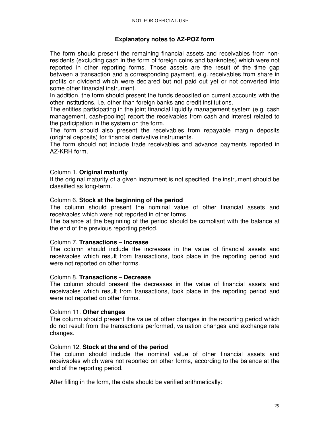### **Explanatory notes to AZ-POZ form**

The form should present the remaining financial assets and receivables from nonresidents (excluding cash in the form of foreign coins and banknotes) which were not reported in other reporting forms. Those assets are the result of the time gap between a transaction and a corresponding payment, e.g. receivables from share in profits or dividend which were declared but not paid out yet or not converted into some other financial instrument.

In addition, the form should present the funds deposited on current accounts with the other institutions, i.e. other than foreign banks and credit institutions.

The entities participating in the joint financial liquidity management system (e.g. cash management, cash-pooling) report the receivables from cash and interest related to the participation in the system on the form.

The form should also present the receivables from repayable margin deposits (original deposits) for financial derivative instruments.

The form should not include trade receivables and advance payments reported in AZ-KRH form.

### Column 1. **Original maturity**

If the original maturity of a given instrument is not specified, the instrument should be classified as long-term.

#### Column 6. **Stock at the beginning of the period**

The column should present the nominal value of other financial assets and receivables which were not reported in other forms.

The balance at the beginning of the period should be compliant with the balance at the end of the previous reporting period.

#### Column 7. **Transactions – Increase**

The column should include the increases in the value of financial assets and receivables which result from transactions, took place in the reporting period and were not reported on other forms.

#### Column 8. **Transactions – Decrease**

The column should present the decreases in the value of financial assets and receivables which result from transactions, took place in the reporting period and were not reported on other forms.

#### Column 11. **Other changes**

The column should present the value of other changes in the reporting period which do not result from the transactions performed, valuation changes and exchange rate changes.

#### Column 12. **Stock at the end of the period**

The column should include the nominal value of other financial assets and receivables which were not reported on other forms, according to the balance at the end of the reporting period.

After filling in the form, the data should be verified arithmetically: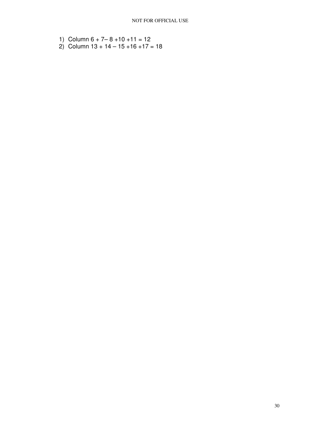- 1) Column  $6 + 7 8 + 10 + 11 = 12$
- 2) Column 13 + 14 15 +16 +17 = 18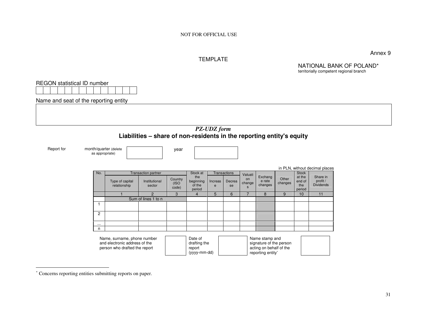#### TEMPLATE

Annex 9

NATIONAL BANK OF POLAND\*

territorially competent regional branchREGON statistical ID number Name and seat of the reporting entity *PZ-UDZ form*  **Liabilities – share of non-residents in the reporting entity's equity**  Report for month/quarter (delete as appropriate)year in PLN, without decimal placesNo. Transaction partner Stock at Transactions Type of capital relationship Institutional sector **Country** (ISO code) Stock at the beginning of the period Increase Decrease Valuation changes Exchang e rate changes **Other**  changes **Stock**  at the end of the period Share in profit / Dividends 1 2 3 4 5 6 7 8 9 10 11 Sum of lines 1 to n 1 2 ... n Name, surname, phone number and electronic address of the person who drafted the reportDate of drafting the report (yyyy-mm-dd)Name stamp and signature of the person acting on behalf of the reporting entity<sup>∗</sup>

<sup>∗</sup> Concerns reporting entities submitting reports on paper.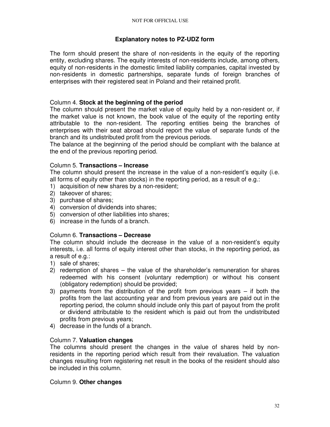### **Explanatory notes to PZ-UDZ form**

The form should present the share of non-residents in the equity of the reporting entity, excluding shares. The equity interests of non-residents include, among others, equity of non-residents in the domestic limited liability companies, capital invested by non-residents in domestic partnerships, separate funds of foreign branches of enterprises with their registered seat in Poland and their retained profit.

### Column 4. **Stock at the beginning of the period**

The column should present the market value of equity held by a non-resident or, if the market value is not known, the book value of the equity of the reporting entity attributable to the non-resident. The reporting entities being the branches of enterprises with their seat abroad should report the value of separate funds of the branch and its undistributed profit from the previous periods.

The balance at the beginning of the period should be compliant with the balance at the end of the previous reporting period.

## Column 5. **Transactions – Increase**

The column should present the increase in the value of a non-resident's equity (i.e. all forms of equity other than stocks) in the reporting period, as a result of e.g.:

- 1) acquisition of new shares by a non-resident;
- 2) takeover of shares;
- 3) purchase of shares;
- 4) conversion of dividends into shares;
- 5) conversion of other liabilities into shares;
- 6) increase in the funds of a branch.

### Column 6. **Transactions – Decrease**

The column should include the decrease in the value of a non-resident's equity interests, i.e. all forms of equity interest other than stocks, in the reporting period, as a result of e.g.:

- 1) sale of shares;
- 2) redemption of shares the value of the shareholder's remuneration for shares redeemed with his consent (voluntary redemption) or without his consent (obligatory redemption) should be provided;
- 3) payments from the distribution of the profit from previous years if both the profits from the last accounting year and from previous years are paid out in the reporting period, the column should include only this part of payout from the profit or dividend attributable to the resident which is paid out from the undistributed profits from previous years;
- 4) decrease in the funds of a branch.

# Column 7. **Valuation changes**

The columns should present the changes in the value of shares held by nonresidents in the reporting period which result from their revaluation. The valuation changes resulting from registering net result in the books of the resident should also be included in this column.

### Column 9. **Other changes**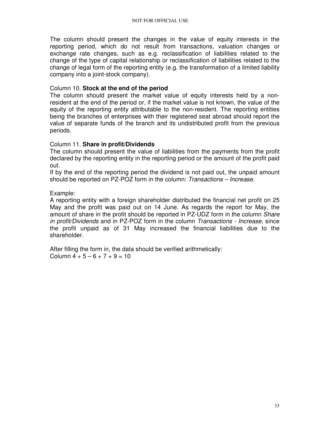The column should present the changes in the value of equity interests in the reporting period, which do not result from transactions, valuation changes or exchange rate changes, such as e.g. reclassification of liabilities related to the change of the type of capital relationship or reclassification of liabilities related to the change of legal form of the reporting entity (e.g. the transformation of a limited liability company into a joint-stock company).

### Column 10. **Stock at the end of the period**

The column should present the market value of equity interests held by a nonresident at the end of the period or, if the market value is not known, the value of the equity of the reporting entity attributable to the non-resident. The reporting entities being the branches of enterprises with their registered seat abroad should report the value of separate funds of the branch and its undistributed profit from the previous periods.

### Column 11. **Share in profit/Dividends**

The column should present the value of liabilities from the payments from the profit declared by the reporting entity in the reporting period or the amount of the profit paid out.

If by the end of the reporting period the dividend is not paid out, the unpaid amount should be reported on PZ-POZ form in the column: Transactions – Increase.

Example:

A reporting entity with a foreign shareholder distributed the financial net profit on 25 May and the profit was paid out on 14 June. As regards the report for May, the amount of share in the profit should be reported in PZ-UDZ form in the column *Share* in profit/Dividends and in PZ-POZ form in the column Transactions - Increase, since the profit unpaid as of 31 May increased the financial liabilities due to the shareholder.

After filling the form in, the data should be verified arithmetically: Column  $4 + 5 - 6 + 7 + 9 = 10$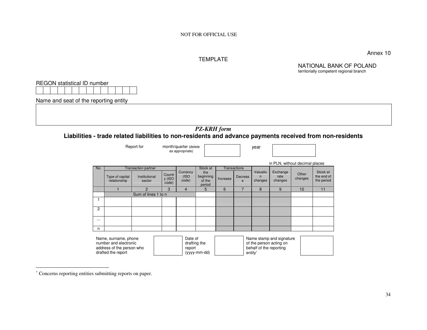#### TEMPLATE

Annex 10

NATIONAL BANK OF POLAND territorially competent regional branch

REGON statistical ID number

Name and seat of the reporting entity

### *PZ-KRH form*

### **Liabilities - trade related liabilities to non-residents and advance payments received from non-residents**

|          | Report for                                                                                       |                                                       |                           | month/quarter (delete<br>as appropriate) |                                                   |                                                                                                       |                         | year                     |                                |                  |                                      |  |
|----------|--------------------------------------------------------------------------------------------------|-------------------------------------------------------|---------------------------|------------------------------------------|---------------------------------------------------|-------------------------------------------------------------------------------------------------------|-------------------------|--------------------------|--------------------------------|------------------|--------------------------------------|--|
|          |                                                                                                  |                                                       |                           |                                          |                                                   |                                                                                                       |                         |                          | in PLN, without decimal places |                  |                                      |  |
| No.      | Type of capital<br>relationship                                                                  | <b>Transaction partner</b><br>Institutional<br>sector | Countr<br>y (ISO<br>code) | Currency<br>(ISO<br>code)                | Stock at<br>the<br>beginning<br>of the<br>period  | Transactions<br>Increase                                                                              | Decreas<br>$\mathbf{e}$ | Valuatio<br>n<br>changes | Exchange<br>rate<br>changes    | Other<br>changes | Stock at<br>the end of<br>the period |  |
|          |                                                                                                  | $\mathcal{P}$<br>3                                    |                           | $\overline{4}$                           | 5                                                 | 6                                                                                                     | $\overline{7}$          | 8                        | 9                              | 10               | 11                                   |  |
|          |                                                                                                  | Sum of lines 1 to n                                   |                           |                                          |                                                   |                                                                                                       |                         |                          |                                |                  |                                      |  |
|          |                                                                                                  |                                                       |                           |                                          |                                                   |                                                                                                       |                         |                          |                                |                  |                                      |  |
| 2        |                                                                                                  |                                                       |                           |                                          |                                                   |                                                                                                       |                         |                          |                                |                  |                                      |  |
| $\cdots$ |                                                                                                  |                                                       |                           |                                          |                                                   |                                                                                                       |                         |                          |                                |                  |                                      |  |
| n        |                                                                                                  |                                                       |                           |                                          |                                                   |                                                                                                       |                         |                          |                                |                  |                                      |  |
|          | Name, surname, phone<br>number and electronic<br>address of the person who<br>drafted the report |                                                       |                           |                                          | Date of<br>drafting the<br>report<br>(yyyy-mm-dd) | Name stamp and signature<br>of the person acting on<br>behalf of the reporting<br>entity <sup>*</sup> |                         |                          |                                |                  |                                      |  |

<sup>∗</sup> Concerns reporting entities submitting reports on paper.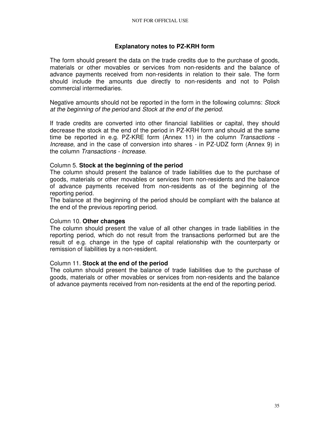## **Explanatory notes to PZ-KRH form**

The form should present the data on the trade credits due to the purchase of goods, materials or other movables or services from non-residents and the balance of advance payments received from non-residents in relation to their sale. The form should include the amounts due directly to non-residents and not to Polish commercial intermediaries.

Negative amounts should not be reported in the form in the following columns: Stock at the beginning of the period and Stock at the end of the period.

If trade credits are converted into other financial liabilities or capital, they should decrease the stock at the end of the period in PZ-KRH form and should at the same time be reported in e.g. PZ-KRE form (Annex 11) in the column Transactions -Increase, and in the case of conversion into shares - in PZ-UDZ form (Annex 9) in the column Transactions - Increase.

### Column 5. **Stock at the beginning of the period**

The column should present the balance of trade liabilities due to the purchase of goods, materials or other movables or services from non-residents and the balance of advance payments received from non-residents as of the beginning of the reporting period.

The balance at the beginning of the period should be compliant with the balance at the end of the previous reporting period.

#### Column 10. **Other changes**

The column should present the value of all other changes in trade liabilities in the reporting period, which do not result from the transactions performed but are the result of e.g. change in the type of capital relationship with the counterparty or remission of liabilities by a non-resident.

#### Column 11. **Stock at the end of the period**

The column should present the balance of trade liabilities due to the purchase of goods, materials or other movables or services from non-residents and the balance of advance payments received from non-residents at the end of the reporting period.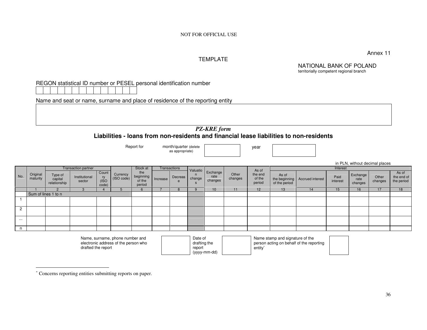Annex 11

### TEMPLATE

NATIONAL BANK OF POLAND territorially competent regional branch

| REGON statistical ID number or PESEL personal identification number |  |
|---------------------------------------------------------------------|--|
|---------------------------------------------------------------------|--|

Name and seat or name, surname and place of residence of the reporting entity

#### *PZ-KRE form* **Liabilities - loans from non-residents and financial lease liabilities to non-residents**

|                |                                                        |                                    |                         | Report for<br>month/quarter (delete<br>as appropriate) |                                                                         |                                      |          |              | year                    |                             |                  |                                      |                                 |                                          |                  |                             |                  |                                   |
|----------------|--------------------------------------------------------|------------------------------------|-------------------------|--------------------------------------------------------|-------------------------------------------------------------------------|--------------------------------------|----------|--------------|-------------------------|-----------------------------|------------------|--------------------------------------|---------------------------------|------------------------------------------|------------------|-----------------------------|------------------|-----------------------------------|
|                | <b>Transaction partner</b><br>Stock at<br>Transactions |                                    |                         |                                                        |                                                                         |                                      |          |              |                         |                             |                  | Interest                             | in PLN, without decimal places  |                                          |                  |                             |                  |                                   |
| No.            | Original<br>maturity                                   | Type of<br>capital<br>relationship | Institutional<br>sector | Count<br>ry<br>(ISO<br>code)                           | Currency<br>(ISO code)                                                  | the<br>beginning<br>of the<br>period | Increase | Decreas<br>e | Valuatio<br>change      | Exchange<br>rate<br>changes | Other<br>changes | As of<br>the end<br>of the<br>period | As of<br>of the period          | the beginning   Accrued interest         | Paid<br>interest | Exchange<br>rate<br>changes | Other<br>changes | As of<br>the end of<br>the period |
|                |                                                        | $\mathcal{P}$                      | 3                       |                                                        |                                                                         | ĥ                                    |          | 8            |                         | 10                          | 11               | 12                                   | 13                              | 14                                       | 15               | 16                          | 17               | 18                                |
|                | Sum of lines 1 to n                                    |                                    |                         |                                                        |                                                                         |                                      |          |              |                         |                             |                  |                                      |                                 |                                          |                  |                             |                  |                                   |
|                |                                                        |                                    |                         |                                                        |                                                                         |                                      |          |              |                         |                             |                  |                                      |                                 |                                          |                  |                             |                  |                                   |
| $\overline{2}$ |                                                        |                                    |                         |                                                        |                                                                         |                                      |          |              |                         |                             |                  |                                      |                                 |                                          |                  |                             |                  |                                   |
| $\cdots$       |                                                        |                                    |                         |                                                        |                                                                         |                                      |          |              |                         |                             |                  |                                      |                                 |                                          |                  |                             |                  |                                   |
| n              |                                                        |                                    |                         |                                                        |                                                                         |                                      |          |              |                         |                             |                  |                                      |                                 |                                          |                  |                             |                  |                                   |
|                |                                                        |                                    |                         |                                                        | Name, surname, phone number and<br>electronic address of the person who |                                      |          |              | Date of<br>drafting the |                             |                  |                                      | Name stamp and signature of the | person acting on behalf of the reporting |                  |                             |                  |                                   |

drafted the report

| Date of      |  |
|--------------|--|
| drafting the |  |
| report       |  |
| (yyyy-mm-dd) |  |

person acting on behalf of the reporting entity<sup>∗</sup>

<sup>∗</sup> Concerns reporting entities submitting reports on paper.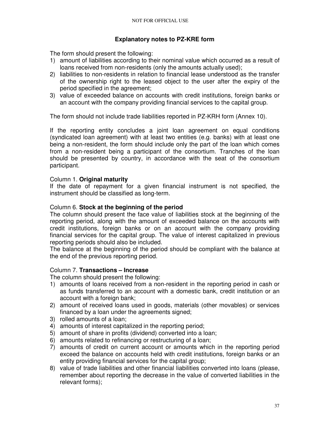# **Explanatory notes to PZ-KRE form**

The form should present the following:

- 1) amount of liabilities according to their nominal value which occurred as a result of loans received from non-residents (only the amounts actually used);
- 2) liabilities to non-residents in relation to financial lease understood as the transfer of the ownership right to the leased object to the user after the expiry of the period specified in the agreement;
- 3) value of exceeded balance on accounts with credit institutions, foreign banks or an account with the company providing financial services to the capital group.

The form should not include trade liabilities reported in PZ-KRH form (Annex 10).

If the reporting entity concludes a joint loan agreement on equal conditions (syndicated loan agreement) with at least two entities (e.g. banks) with at least one being a non-resident, the form should include only the part of the loan which comes from a non-resident being a participant of the consortium. Tranches of the loan should be presented by country, in accordance with the seat of the consortium participant.

# Column 1. **Original maturity**

If the date of repayment for a given financial instrument is not specified, the instrument should be classified as long-term.

### Column 6. **Stock at the beginning of the period**

The column should present the face value of liabilities stock at the beginning of the reporting period, along with the amount of exceeded balance on the accounts with credit institutions, foreign banks or on an account with the company providing financial services for the capital group. The value of interest capitalized in previous reporting periods should also be included.

The balance at the beginning of the period should be compliant with the balance at the end of the previous reporting period.

#### Column 7. **Transactions – Increase**

The column should present the following:

- 1) amounts of loans received from a non-resident in the reporting period in cash or as funds transferred to an account with a domestic bank, credit institution or an account with a foreign bank;
- 2) amount of received loans used in goods, materials (other movables) or services financed by a loan under the agreements signed;
- 3) rolled amounts of a loan;
- 4) amounts of interest capitalized in the reporting period;
- 5) amount of share in profits (dividend) converted into a loan;
- 6) amounts related to refinancing or restructuring of a loan;
- 7) amounts of credit on current account or amounts which in the reporting period exceed the balance on accounts held with credit institutions, foreign banks or an entity providing financial services for the capital group;
- 8) value of trade liabilities and other financial liabilities converted into loans (please, remember about reporting the decrease in the value of converted liabilities in the relevant forms);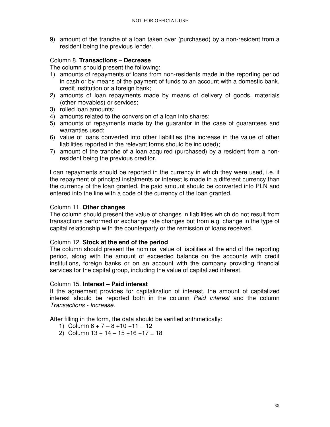9) amount of the tranche of a loan taken over (purchased) by a non-resident from a resident being the previous lender.

### Column 8. **Transactions – Decrease**

The column should present the following:

- 1) amounts of repayments of loans from non-residents made in the reporting period in cash or by means of the payment of funds to an account with a domestic bank, credit institution or a foreign bank;
- 2) amounts of loan repayments made by means of delivery of goods, materials (other movables) or services;
- 3) rolled loan amounts;
- 4) amounts related to the conversion of a loan into shares;
- 5) amounts of repayments made by the guarantor in the case of guarantees and warranties used;
- 6) value of loans converted into other liabilities (the increase in the value of other liabilities reported in the relevant forms should be included);
- 7) amount of the tranche of a loan acquired (purchased) by a resident from a nonresident being the previous creditor.

Loan repayments should be reported in the currency in which they were used, i.e. if the repayment of principal instalments or interest is made in a different currency than the currency of the loan granted, the paid amount should be converted into PLN and entered into the line with a code of the currency of the loan granted.

#### Column 11. **Other changes**

The column should present the value of changes in liabilities which do not result from transactions performed or exchange rate changes but from e.g. change in the type of capital relationship with the counterparty or the remission of loans received.

# Column 12. **Stock at the end of the period**

The column should present the nominal value of liabilities at the end of the reporting period, along with the amount of exceeded balance on the accounts with credit institutions, foreign banks or on an account with the company providing financial services for the capital group, including the value of capitalized interest.

#### Column 15. **Interest – Paid interest**

If the agreement provides for capitalization of interest, the amount of capitalized interest should be reported both in the column *Paid interest* and the column Transactions - Increase.

After filling in the form, the data should be verified arithmetically:

- 1) Column  $6 + 7 8 + 10 + 11 = 12$
- 2) Column  $13 + 14 15 + 16 + 17 = 18$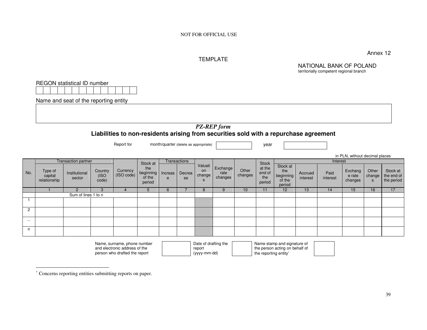NOT FOR OFFICIAL USE

### TEMPLATE

NATIONAL BANK OF POLAND territorially competent regional branch

Annex 12

REGON statistical ID number

Name and seat of the reporting entity

### *PZ-REP form* **Liabilities to non-residents arising from securities sold with a repurchase agreement**

Report for month/quarter (delete as appropriate)

year

|                |                                    |                            |                          |                        |                                      |              |              |                              |                             |                  |                                   |                                                  |                     |                  | in PLN, without decimal places |                                  |                                      |
|----------------|------------------------------------|----------------------------|--------------------------|------------------------|--------------------------------------|--------------|--------------|------------------------------|-----------------------------|------------------|-----------------------------------|--------------------------------------------------|---------------------|------------------|--------------------------------|----------------------------------|--------------------------------------|
|                |                                    | <b>Transaction partner</b> |                          |                        | Stock at                             |              | Transactions |                              |                             |                  | <b>Stock</b>                      |                                                  |                     | Interest         |                                |                                  |                                      |
| No.            | Type of<br>capital<br>relationship | Institutional<br>sector    | Country<br>(ISO<br>code) | Currency<br>(ISO code) | the<br>beginning<br>of the<br>period | Increas<br>e | Decrea<br>se | Valuati<br>on<br>change<br>s | Exchange<br>rate<br>changes | Other<br>changes | at the<br>end of<br>the<br>period | Stock at<br>the<br>beginning<br>of the<br>period | Accrued<br>interest | Paid<br>interest | Exchang<br>e rate<br>changes   | Other<br>change<br>s<br>15<br>16 | Stock at<br>the end of<br>the period |
|                |                                    | 2                          |                          |                        | 5                                    | 6            |              | 8                            |                             | 10               |                                   | 12                                               | 13                  | 14               |                                |                                  | 17                                   |
|                |                                    | Sum of lines 1 to n        |                          |                        |                                      |              |              |                              |                             |                  |                                   |                                                  |                     |                  |                                |                                  |                                      |
|                |                                    |                            |                          |                        |                                      |              |              |                              |                             |                  |                                   |                                                  |                     |                  |                                |                                  |                                      |
| $\overline{2}$ |                                    |                            |                          |                        |                                      |              |              |                              |                             |                  |                                   |                                                  |                     |                  |                                |                                  |                                      |
| $\cdots$       |                                    |                            |                          |                        |                                      |              |              |                              |                             |                  |                                   |                                                  |                     |                  |                                |                                  |                                      |
| n              |                                    |                            |                          |                        |                                      |              |              |                              |                             |                  |                                   |                                                  |                     |                  |                                |                                  |                                      |

Name, surname, phone number and electronic address of the person who drafted the report

Date of drafting the report (yyyy-mm-dd)

Name stamp and signature of the person acting on behalf of the reporting entity<sup>∗</sup>

<sup>∗</sup> Concerns reporting entities submitting reports on paper.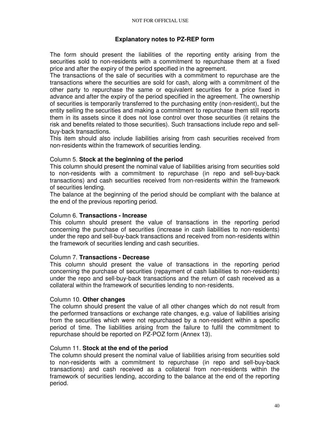# **Explanatory notes to PZ-REP form**

The form should present the liabilities of the reporting entity arising from the securities sold to non-residents with a commitment to repurchase them at a fixed price and after the expiry of the period specified in the agreement.

The transactions of the sale of securities with a commitment to repurchase are the transactions where the securities are sold for cash, along with a commitment of the other party to repurchase the same or equivalent securities for a price fixed in advance and after the expiry of the period specified in the agreement. The ownership of securities is temporarily transferred to the purchasing entity (non-resident), but the entity selling the securities and making a commitment to repurchase them still reports them in its assets since it does not lose control over those securities (it retains the risk and benefits related to those securities). Such transactions include repo and sellbuy-back transactions.

This item should also include liabilities arising from cash securities received from non-residents within the framework of securities lending.

### Column 5. **Stock at the beginning of the period**

This column should present the nominal value of liabilities arising from securities sold to non-residents with a commitment to repurchase (in repo and sell-buy-back transactions) and cash securities received from non-residents within the framework of securities lending.

The balance at the beginning of the period should be compliant with the balance at the end of the previous reporting period.

#### Column 6. **Transactions - Increase**

This column should present the value of transactions in the reporting period concerning the purchase of securities (increase in cash liabilities to non-residents) under the repo and sell-buy-back transactions and received from non-residents within the framework of securities lending and cash securities.

#### Column 7. **Transactions - Decrease**

This column should present the value of transactions in the reporting period concerning the purchase of securities (repayment of cash liabilities to non-residents) under the repo and sell-buy-back transactions and the return of cash received as a collateral within the framework of securities lending to non-residents.

#### Column 10. **Other changes**

The column should present the value of all other changes which do not result from the performed transactions or exchange rate changes, e.g. value of liabilities arising from the securities which were not repurchased by a non-resident within a specific period of time. The liabilities arising from the failure to fulfil the commitment to repurchase should be reported on PZ-POZ form (Annex 13).

#### Column 11. **Stock at the end of the period**

The column should present the nominal value of liabilities arising from securities sold to non-residents with a commitment to repurchase (in repo and sell-buy-back transactions) and cash received as a collateral from non-residents within the framework of securities lending, according to the balance at the end of the reporting period.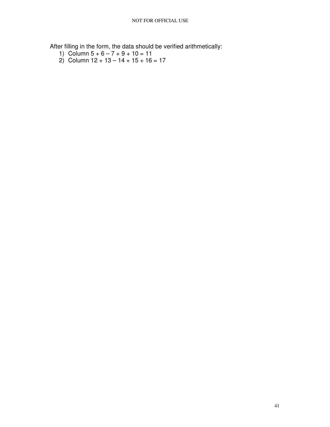After filling in the form, the data should be verified arithmetically:

- 1) Column  $5 + 6 7 + 9 + 10 = 11$
- 2) Column 12 + 13 14 + 15 + 16 = 17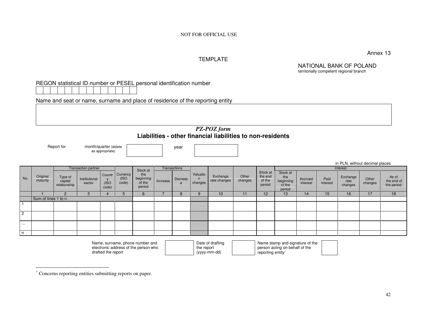Annex 13

in PLN, without decimal places

### TEMPLATE

NATIONAL BANK OF POLAND territorially competent regional branch

### REGON statistical ID number or PESEL personal identification number

Name and seat or name, surname and place of residence of the reporting entity

# *PZ-POZ form* **Liabilities - other financial liabilities to non-residents**

Report for month/quarter (delete

as appropriate)

year

|                |                      |                                    | <b>Transaction partner</b> |               |                                   | Stock at                             |          | Transactions |                     |                          |                  |                                         |                                                  |                     |                  | Interest                    |                  |                                   |
|----------------|----------------------|------------------------------------|----------------------------|---------------|-----------------------------------|--------------------------------------|----------|--------------|---------------------|--------------------------|------------------|-----------------------------------------|--------------------------------------------------|---------------------|------------------|-----------------------------|------------------|-----------------------------------|
| No.            | Original<br>maturity | Type of<br>capital<br>relationship | Institutional<br>sector    | (ISO<br>code) | Countr Currency<br>(ISO)<br>code) | the<br>beginning<br>of the<br>period | Increase | Decreas<br>e | Valuatio<br>changes | Exchange<br>rate changes | Other<br>changes | Stock at<br>the end<br>of the<br>period | Stock at<br>the<br>beginning<br>of the<br>period | Accrued<br>interest | Paid<br>interest | Exchange<br>rate<br>changes | Other<br>changes | As of<br>the end of<br>the period |
|                |                      |                                    |                            |               |                                   |                                      |          | Ο            |                     | 10                       |                  | 12                                      | 13                                               | 14.                 | 15               | 16                          | 17               | 18                                |
|                | Sum of lines 1 to n  |                                    |                            |               |                                   |                                      |          |              |                     |                          |                  |                                         |                                                  |                     |                  |                             |                  |                                   |
|                |                      |                                    |                            |               |                                   |                                      |          |              |                     |                          |                  |                                         |                                                  |                     |                  |                             |                  |                                   |
| $\overline{c}$ |                      |                                    |                            |               |                                   |                                      |          |              |                     |                          |                  |                                         |                                                  |                     |                  |                             |                  |                                   |
| $\cdots$       |                      |                                    |                            |               |                                   |                                      |          |              |                     |                          |                  |                                         |                                                  |                     |                  |                             |                  |                                   |
| l n            |                      |                                    |                            |               |                                   |                                      |          |              |                     |                          |                  |                                         |                                                  |                     |                  |                             |                  |                                   |

Name, surname, phone number and electronic address of the person who drafted the report

Date of drafting the report (yyyy-mm-dd)

Name stamp and signature of the person acting on behalf of the reporting entity<sup>∗</sup>

<sup>∗</sup> Concerns reporting entities submitting reports on paper.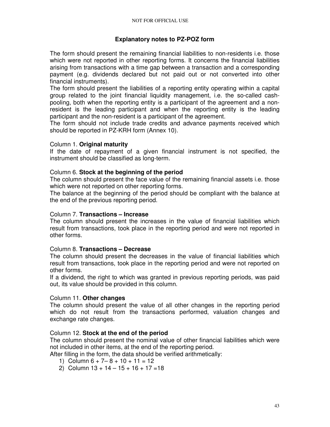### **Explanatory notes to PZ-POZ form**

The form should present the remaining financial liabilities to non-residents i.e. those which were not reported in other reporting forms. It concerns the financial liabilities arising from transactions with a time gap between a transaction and a corresponding payment (e.g. dividends declared but not paid out or not converted into other financial instruments).

The form should present the liabilities of a reporting entity operating within a capital group related to the joint financial liquidity management, i.e. the so-called cashpooling, both when the reporting entity is a participant of the agreement and a nonresident is the leading participant and when the reporting entity is the leading participant and the non-resident is a participant of the agreement.

The form should not include trade credits and advance payments received which should be reported in PZ-KRH form (Annex 10).

#### Column 1. **Original maturity**

If the date of repayment of a given financial instrument is not specified, the instrument should be classified as long-term.

### Column 6. **Stock at the beginning of the period**

The column should present the face value of the remaining financial assets i.e. those which were not reported on other reporting forms.

The balance at the beginning of the period should be compliant with the balance at the end of the previous reporting period.

#### Column 7. **Transactions – Increase**

The column should present the increases in the value of financial liabilities which result from transactions, took place in the reporting period and were not reported in other forms.

#### Column 8. **Transactions – Decrease**

The column should present the decreases in the value of financial liabilities which result from transactions, took place in the reporting period and were not reported on other forms.

If a dividend, the right to which was granted in previous reporting periods, was paid out, its value should be provided in this column.

### Column 11. **Other changes**

The column should present the value of all other changes in the reporting period which do not result from the transactions performed, valuation changes and exchange rate changes.

#### Column 12. **Stock at the end of the period**

The column should present the nominal value of other financial liabilities which were not included in other items, at the end of the reporting period.

After filling in the form, the data should be verified arithmetically:

- 1) Column  $6 + 7 8 + 10 + 11 = 12$
- 2) Column  $13 + 14 15 + 16 + 17 = 18$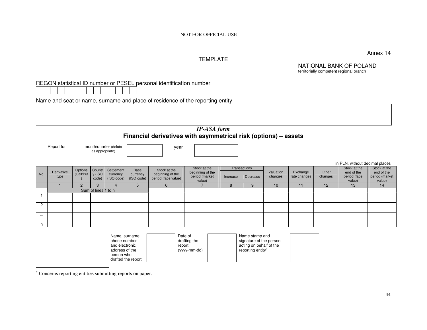Annex 14

in PLN, without decimal places

### TEMPLATE

NATIONAL BANK OF POLAND territorially competent regional branch

# REGON statistical ID number or PESEL personal identification number

Name and seat or name, surname and place of residence of the reporting entity

# *IP-ASA form* **Financial derivatives with asymmetrical risk (options) – assets**

Report for month/quarter (delete

as appropriate)

year

|          |                    |                                   |                     |                                                     |                         |                                                         |                                                              |          |                                 |                      |                          |                  | in PLN, without decimal places                       |                                                        |
|----------|--------------------|-----------------------------------|---------------------|-----------------------------------------------------|-------------------------|---------------------------------------------------------|--------------------------------------------------------------|----------|---------------------------------|----------------------|--------------------------|------------------|------------------------------------------------------|--------------------------------------------------------|
| No.      | Derivative<br>type | Options Countr<br>Call/Put y (ISO | code)               | Settlement<br>currency<br>$(ISO code)$ $(ISO code)$ | <b>Base</b><br>currency | Stock at the<br>beginning of the<br>period (face value) | Stock at the<br>beginning of the<br>period (market<br>value) | Increase | <b>Transactions</b><br>Decrease | Valuation<br>changes | Exchange<br>rate changes | Other<br>changes | Stock at the<br>end of the<br>period (face<br>value) | Stock at the<br>end of the<br>period (market<br>value) |
|          |                    |                                   |                     |                                                     |                         |                                                         |                                                              | Ο        |                                 | 10                   | 11                       | 12               | 13                                                   | 14                                                     |
|          |                    |                                   | Sum of lines 1 to n |                                                     |                         |                                                         |                                                              |          |                                 |                      |                          |                  |                                                      |                                                        |
|          |                    |                                   |                     |                                                     |                         |                                                         |                                                              |          |                                 |                      |                          |                  |                                                      |                                                        |
|          |                    |                                   |                     |                                                     |                         |                                                         |                                                              |          |                                 |                      |                          |                  |                                                      |                                                        |
| $\cdots$ |                    |                                   |                     |                                                     |                         |                                                         |                                                              |          |                                 |                      |                          |                  |                                                      |                                                        |
| n.       |                    |                                   |                     |                                                     |                         |                                                         |                                                              |          |                                 |                      |                          |                  |                                                      |                                                        |

| Name, surname,<br>phone number<br>and electronic<br>address of the<br>person who<br>drafted the report |  | Date of<br>drafting the<br>report<br>(yyyy-mm-dd) |  | Name stamp and<br>signature of the person<br>acting on behalf of the<br>reporting entity* |  |
|--------------------------------------------------------------------------------------------------------|--|---------------------------------------------------|--|-------------------------------------------------------------------------------------------|--|
|--------------------------------------------------------------------------------------------------------|--|---------------------------------------------------|--|-------------------------------------------------------------------------------------------|--|

<sup>∗</sup> Concerns reporting entities submitting reports on paper.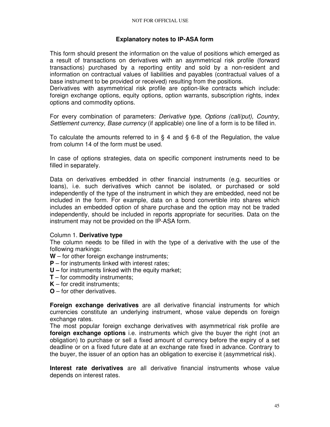# **Explanatory notes to IP-ASA form**

This form should present the information on the value of positions which emerged as a result of transactions on derivatives with an asymmetrical risk profile (forward transactions) purchased by a reporting entity and sold by a non-resident and information on contractual values of liabilities and payables (contractual values of a base instrument to be provided or received) resulting from the positions.

Derivatives with asymmetrical risk profile are option-like contracts which include: foreign exchange options, equity options, option warrants, subscription rights, index options and commodity options.

For every combination of parameters: Derivative type, Options (call/put), Country, Settlement currency, Base currency (if applicable) one line of a form is to be filled in.

To calculate the amounts referred to in § 4 and § 6-8 of the Regulation, the value from column 14 of the form must be used.

In case of options strategies, data on specific component instruments need to be filled in separately.

Data on derivatives embedded in other financial instruments (e.g. securities or loans), i.e. such derivatives which cannot be isolated, or purchased or sold independently of the type of the instrument in which they are embedded, need not be included in the form. For example, data on a bond convertible into shares which includes an embedded option of share purchase and the option may not be traded independently, should be included in reports appropriate for securities. Data on the instrument may not be provided on the IP-ASA form.

#### Column 1. **Derivative type**

The column needs to be filled in with the type of a derivative with the use of the following markings:

- **W**  for other foreign exchange instruments;
- **P** for instruments linked with interest rates:
- **U –** for instruments linked with the equity market;
- **T** for commodity instruments;
- **K**  for credit instruments;
- **O**  for other derivatives.

**Foreign exchange derivatives** are all derivative financial instruments for which currencies constitute an underlying instrument, whose value depends on foreign exchange rates.

The most popular foreign exchange derivatives with asymmetrical risk profile are **foreign exchange options** i.e. instruments which give the buyer the right (not an obligation) to purchase or sell a fixed amount of currency before the expiry of a set deadline or on a fixed future date at an exchange rate fixed in advance. Contrary to the buyer, the issuer of an option has an obligation to exercise it (asymmetrical risk).

**Interest rate derivatives** are all derivative financial instruments whose value depends on interest rates.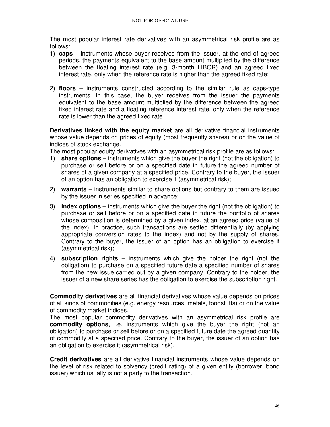The most popular interest rate derivatives with an asymmetrical risk profile are as follows:

- 1) **caps –** instruments whose buyer receives from the issuer, at the end of agreed periods, the payments equivalent to the base amount multiplied by the difference between the floating interest rate (e.g. 3-month LIBOR) and an agreed fixed interest rate, only when the reference rate is higher than the agreed fixed rate;
- 2) **floors** instruments constructed according to the similar rule as caps-type instruments. In this case, the buyer receives from the issuer the payments equivalent to the base amount multiplied by the difference between the agreed fixed interest rate and a floating reference interest rate, only when the reference rate is lower than the agreed fixed rate.

**Derivatives linked with the equity market** are all derivative financial instruments whose value depends on prices of equity (most frequently shares) or on the value of indices of stock exchange.

The most popular equity derivatives with an asymmetrical risk profile are as follows:

- 1) **share options** instruments which give the buyer the right (not the obligation) to purchase or sell before or on a specified date in future the agreed number of shares of a given company at a specified price. Contrary to the buyer, the issuer of an option has an obligation to exercise it (asymmetrical risk);
- 2) **warrants** instruments similar to share options but contrary to them are issued by the issuer in series specified in advance;
- 3) **index options** instruments which give the buyer the right (not the obligation) to purchase or sell before or on a specified date in future the portfolio of shares whose composition is determined by a given index, at an agreed price (value of the index). In practice, such transactions are settled differentially (by applying appropriate conversion rates to the index) and not by the supply of shares. Contrary to the buyer, the issuer of an option has an obligation to exercise it (asymmetrical risk);
- 4) **subscription rights –** instruments which give the holder the right (not the obligation) to purchase on a specified future date a specified number of shares from the new issue carried out by a given company. Contrary to the holder, the issuer of a new share series has the obligation to exercise the subscription right.

**Commodity derivatives** are all financial derivatives whose value depends on prices of all kinds of commodities (e.g. energy resources, metals, foodstuffs) or on the value of commodity market indices.

The most popular commodity derivatives with an asymmetrical risk profile are **commodity options**, i.e. instruments which give the buyer the right (not an obligation) to purchase or sell before or on a specified future date the agreed quantity of commodity at a specified price. Contrary to the buyer, the issuer of an option has an obligation to exercise it (asymmetrical risk).

**Credit derivatives** are all derivative financial instruments whose value depends on the level of risk related to solvency (credit rating) of a given entity (borrower, bond issuer) which usually is not a party to the transaction.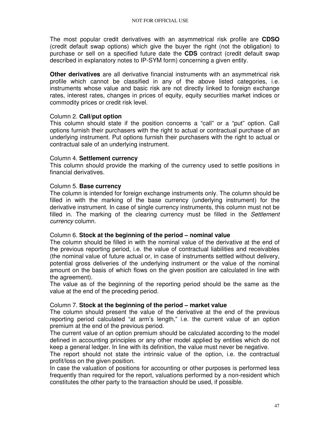The most popular credit derivatives with an asymmetrical risk profile are **CDSO**  (credit default swap options) which give the buyer the right (not the obligation) to purchase or sell on a specified future date the **CDS** contract (credit default swap described in explanatory notes to IP-SYM form) concerning a given entity.

**Other derivatives** are all derivative financial instruments with an asymmetrical risk profile which cannot be classified in any of the above listed categories, i.e. instruments whose value and basic risk are not directly linked to foreign exchange rates, interest rates, changes in prices of equity, equity securities market indices or commodity prices or credit risk level.

### Column 2. **Call/put option**

This column should state if the position concerns a "call" or a "put" option. Call options furnish their purchasers with the right to actual or contractual purchase of an underlying instrument. Put options furnish their purchasers with the right to actual or contractual sale of an underlying instrument.

### Column 4. **Settlement currency**

This column should provide the marking of the currency used to settle positions in financial derivatives.

### Column 5. **Base currency**

The column is intended for foreign exchange instruments only. The column should be filled in with the marking of the base currency (underlying instrument) for the derivative instrument. In case of single currency instruments, this column must not be filled in. The marking of the clearing currency must be filled in the Settlement currency column.

#### Column 6. **Stock at the beginning of the period – nominal value**

The column should be filled in with the nominal value of the derivative at the end of the previous reporting period, i.e. the value of contractual liabilities and receivables (the nominal value of future actual or, in case of instruments settled without delivery, potential gross deliveries of the underlying instrument or the value of the nominal amount on the basis of which flows on the given position are calculated in line with the agreement).

The value as of the beginning of the reporting period should be the same as the value at the end of the preceding period.

#### Column 7. **Stock at the beginning of the period – market value**

The column should present the value of the derivative at the end of the previous reporting period calculated "at arm's length," i.e. the current value of an option premium at the end of the previous period.

The current value of an option premium should be calculated according to the model defined in accounting principles or any other model applied by entities which do not keep a general ledger. In line with its definition, the value must never be negative.

The report should not state the intrinsic value of the option, i.e. the contractual profit/loss on the given position.

In case the valuation of positions for accounting or other purposes is performed less frequently than required for the report, valuations performed by a non-resident which constitutes the other party to the transaction should be used, if possible.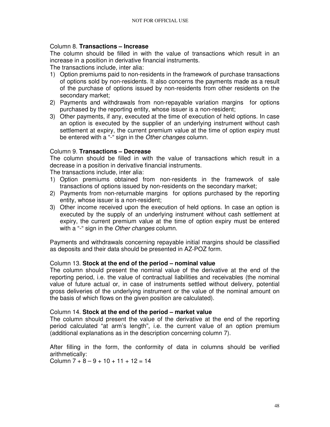# Column 8. **Transactions – Increase**

The column should be filled in with the value of transactions which result in an increase in a position in derivative financial instruments.

The transactions include, inter alia:

- 1) Option premiums paid to non-residents in the framework of purchase transactions of options sold by non-residents. It also concerns the payments made as a result of the purchase of options issued by non-residents from other residents on the secondary market;
- 2) Payments and withdrawals from non-repayable variation margins for options purchased by the reporting entity, whose issuer is a non-resident;
- 3) Other payments, if any, executed at the time of execution of held options. In case an option is executed by the supplier of an underlying instrument without cash settlement at expiry, the current premium value at the time of option expiry must be entered with a "-" sign in the Other changes column.

### Column 9. **Transactions – Decrease**

The column should be filled in with the value of transactions which result in a decrease in a position in derivative financial instruments.

The transactions include, inter alia:

- 1) Option premiums obtained from non-residents in the framework of sale transactions of options issued by non-residents on the secondary market;
- 2) Payments from non-returnable margins for options purchased by the reporting entity, whose issuer is a non-resident;
- 3) Other income received upon the execution of held options. In case an option is executed by the supply of an underlying instrument without cash settlement at expiry, the current premium value at the time of option expiry must be entered with a "-" sign in the Other changes column.

Payments and withdrawals concerning repayable initial margins should be classified as deposits and their data should be presented in AZ-POZ form.

# Column 13. **Stock at the end of the period – nominal value**

The column should present the nominal value of the derivative at the end of the reporting period, i.e. the value of contractual liabilities and receivables (the nominal value of future actual or, in case of instruments settled without delivery, potential gross deliveries of the underlying instrument or the value of the nominal amount on the basis of which flows on the given position are calculated).

#### Column 14. **Stock at the end of the period – market value**

The column should present the value of the derivative at the end of the reporting period calculated "at arm's length", i.e. the current value of an option premium (additional explanations as in the description concerning column 7).

After filling in the form, the conformity of data in columns should be verified arithmetically: Column  $7 + 8 - 9 + 10 + 11 + 12 = 14$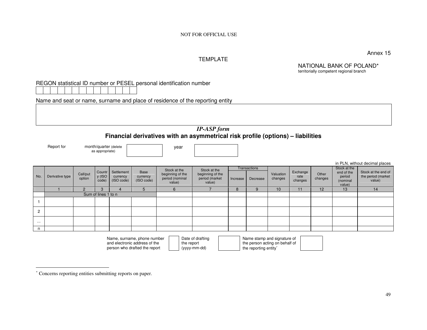Annex 15

in PLN, without decimal places

### TEMPLATE

NATIONAL BANK OF POLAND\* territorially competent regional branch

# REGON statistical ID number or PESEL personal identification number

Name and seat or name, surname and place of residence of the reporting entity

# *IP-ASP form* **Financial derivatives with an asymmetrical risk profile (options) – liabilities**

Report for month/quarter (delete

as appropriate)

year

|                |                 |               |                     |                        |                         |                                                                                                                 |                          |          |              |           |                  |         |                      | in PLN, without decimal places            |
|----------------|-----------------|---------------|---------------------|------------------------|-------------------------|-----------------------------------------------------------------------------------------------------------------|--------------------------|----------|--------------|-----------|------------------|---------|----------------------|-------------------------------------------|
|                |                 |               |                     |                        |                         | Stock at the                                                                                                    | Stock at the             |          | Transactions |           |                  |         | Stock at the         |                                           |
| No.            | Derivative type | Call/put      | Countr<br>y (ISO    | Settlement<br>currency | <b>Base</b><br>currency | beginning of the                                                                                                | beginning of the         |          |              | Valuation | Exchange<br>rate | Other   | end of the<br>period | Stock at the end of<br>the period (market |
|                |                 | option        | code)               | (ISO code)             | (ISO code)              | period (nominal<br>value)                                                                                       | period (market<br>value) | Increase | Decrease     | changes   | changes          | changes | (nominal             | value)                                    |
|                |                 |               |                     |                        |                         |                                                                                                                 |                          |          |              |           |                  |         | value)               |                                           |
|                |                 | $\mathcal{P}$ | 3                   |                        |                         | 6                                                                                                               |                          | 8        | 9            | 10        | 11               | 12      | 13                   | 14                                        |
|                |                 |               | Sum of lines 1 to n |                        |                         |                                                                                                                 |                          |          |              |           |                  |         |                      |                                           |
|                |                 |               |                     |                        |                         |                                                                                                                 |                          |          |              |           |                  |         |                      |                                           |
|                |                 |               |                     |                        |                         |                                                                                                                 |                          |          |              |           |                  |         |                      |                                           |
| $\overline{2}$ |                 |               |                     |                        |                         |                                                                                                                 |                          |          |              |           |                  |         |                      |                                           |
|                |                 |               |                     |                        |                         |                                                                                                                 |                          |          |              |           |                  |         |                      |                                           |
|                |                 |               |                     |                        |                         |                                                                                                                 |                          |          |              |           |                  |         |                      |                                           |
| $\cdots$       |                 |               |                     |                        |                         |                                                                                                                 |                          |          |              |           |                  |         |                      |                                           |
| n              |                 |               |                     |                        |                         |                                                                                                                 |                          |          |              |           |                  |         |                      |                                           |
|                |                 |               |                     | $\sim$ $\sim$          |                         | the contract of the contract of the contract of the contract of the contract of the contract of the contract of |                          |          |              |           |                  |         |                      |                                           |

| Name, surname, phone number   |
|-------------------------------|
| and electronic address of the |
| person who drafted the report |

Date of drafting the report (yyyy-mm-dd)

Name stamp and signature of the person acting on behalf of the reporting entity<sup>∗</sup>

<sup>∗</sup> Concerns reporting entities submitting reports on paper.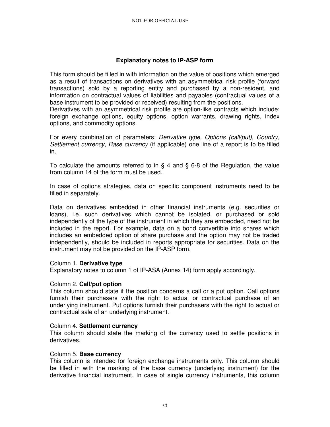# **Explanatory notes to IP-ASP form**

This form should be filled in with information on the value of positions which emerged as a result of transactions on derivatives with an asymmetrical risk profile (forward transactions) sold by a reporting entity and purchased by a non-resident, and information on contractual values of liabilities and payables (contractual values of a base instrument to be provided or received) resulting from the positions.

Derivatives with an asymmetrical risk profile are option-like contracts which include: foreign exchange options, equity options, option warrants, drawing rights, index options, and commodity options.

For every combination of parameters: Derivative type, Options (call/put), Country, Settlement currency, Base currency (if applicable) one line of a report is to be filled in.

To calculate the amounts referred to in § 4 and § 6-8 of the Regulation, the value from column 14 of the form must be used.

In case of options strategies, data on specific component instruments need to be filled in separately.

Data on derivatives embedded in other financial instruments (e.g. securities or loans), i.e. such derivatives which cannot be isolated, or purchased or sold independently of the type of the instrument in which they are embedded, need not be included in the report. For example, data on a bond convertible into shares which includes an embedded option of share purchase and the option may not be traded independently, should be included in reports appropriate for securities. Data on the instrument may not be provided on the IP-ASP form.

#### Column 1. **Derivative type**

Explanatory notes to column 1 of IP-ASA (Annex 14) form apply accordingly.

#### Column 2. **Call/put option**

This column should state if the position concerns a call or a put option. Call options furnish their purchasers with the right to actual or contractual purchase of an underlying instrument. Put options furnish their purchasers with the right to actual or contractual sale of an underlying instrument.

#### Column 4. **Settlement currency**

This column should state the marking of the currency used to settle positions in derivatives.

#### Column 5. **Base currency**

This column is intended for foreign exchange instruments only. This column should be filled in with the marking of the base currency (underlying instrument) for the derivative financial instrument. In case of single currency instruments, this column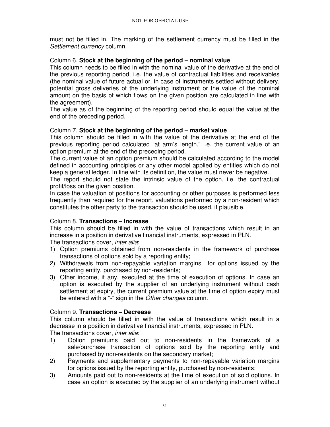must not be filled in. The marking of the settlement currency must be filled in the Settlement currency column.

# Column 6. **Stock at the beginning of the period – nominal value**

This column needs to be filled in with the nominal value of the derivative at the end of the previous reporting period, i.e. the value of contractual liabilities and receivables (the nominal value of future actual or, in case of instruments settled without delivery, potential gross deliveries of the underlying instrument or the value of the nominal amount on the basis of which flows on the given position are calculated in line with the agreement).

The value as of the beginning of the reporting period should equal the value at the end of the preceding period.

# Column 7. **Stock at the beginning of the period – market value**

This column should be filled in with the value of the derivative at the end of the previous reporting period calculated "at arm's length," i.e. the current value of an option premium at the end of the preceding period.

The current value of an option premium should be calculated according to the model defined in accounting principles or any other model applied by entities which do not keep a general ledger. In line with its definition, the value must never be negative.

The report should not state the intrinsic value of the option, i.e. the contractual profit/loss on the given position.

In case the valuation of positions for accounting or other purposes is performed less frequently than required for the report, valuations performed by a non-resident which constitutes the other party to the transaction should be used, if plausible.

# Column 8. **Transactions – Increase**

This column should be filled in with the value of transactions which result in an increase in a position in derivative financial instruments, expressed in PLN. The transactions cover, *inter alia*:

- 1) Option premiums obtained from non-residents in the framework of purchase transactions of options sold by a reporting entity;
- 2) Withdrawals from non-repayable variation margins for options issued by the reporting entity, purchased by non-residents;
- 3) Other income, if any, executed at the time of execution of options. In case an option is executed by the supplier of an underlying instrument without cash settlement at expiry, the current premium value at the time of option expiry must be entered with a "-" sign in the Other changes column.

# Column 9. **Transactions – Decrease**

This column should be filled in with the value of transactions which result in a decrease in a position in derivative financial instruments, expressed in PLN. The transactions cover, *inter alia*:

- 1) Option premiums paid out to non-residents in the framework of a sale/purchase transaction of options sold by the reporting entity and purchased by non-residents on the secondary market;
- 2) Payments and supplementary payments to non-repayable variation margins for options issued by the reporting entity, purchased by non-residents;
- 3) Amounts paid out to non-residents at the time of execution of sold options. In case an option is executed by the supplier of an underlying instrument without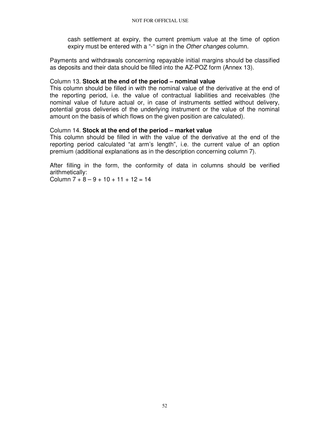cash settlement at expiry, the current premium value at the time of option expiry must be entered with a "-" sign in the Other changes column.

Payments and withdrawals concerning repayable initial margins should be classified as deposits and their data should be filled into the AZ-POZ form (Annex 13).

#### Column 13. **Stock at the end of the period – nominal value**

This column should be filled in with the nominal value of the derivative at the end of the reporting period, i.e. the value of contractual liabilities and receivables (the nominal value of future actual or, in case of instruments settled without delivery, potential gross deliveries of the underlying instrument or the value of the nominal amount on the basis of which flows on the given position are calculated).

### Column 14. **Stock at the end of the period – market value**

This column should be filled in with the value of the derivative at the end of the reporting period calculated "at arm's length", i.e. the current value of an option premium (additional explanations as in the description concerning column 7).

After filling in the form, the conformity of data in columns should be verified arithmetically:

Column  $7 + 8 - 9 + 10 + 11 + 12 = 14$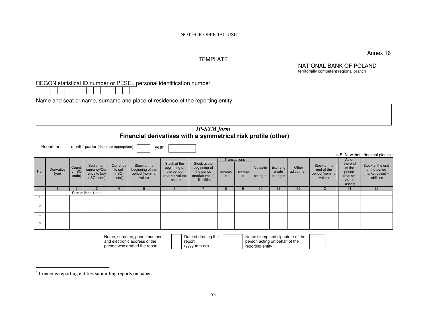Annex 16

#### TEMPLATE

NATIONAL BANK OF POLAND territorially competent regional branch

# REGON statistical ID number or PESEL personal identification number

Name and seat or name, surname and place of residence of the reporting entity

year

# *IP-SYM form* **Financial derivatives with a symmetrical risk profile (other)**

Report for month/quarter (delete as appropriate)

|                |                    |                           |                                                          |                                      |                                                               |                                                                            |                                                                               |              |                              |                          |                              |                          |                                                         |                                                                       | in PLN, without decimal places                                         |
|----------------|--------------------|---------------------------|----------------------------------------------------------|--------------------------------------|---------------------------------------------------------------|----------------------------------------------------------------------------|-------------------------------------------------------------------------------|--------------|------------------------------|--------------------------|------------------------------|--------------------------|---------------------------------------------------------|-----------------------------------------------------------------------|------------------------------------------------------------------------|
| No.            | Derivative<br>type | Countr<br>y (ISO<br>code) | Settlement<br>currency/Curr<br>ency to buy<br>(ISO code) | Currency<br>to sell<br>(ISO<br>code) | Stock at the<br>beginning of the<br>period (nominal<br>value) | Stock at the<br>beginning of<br>the period<br>(market value)<br>$-$ assets | Stock at the<br>beginning of<br>the period<br>(market value)<br>- liabilities | Increas<br>e | Transactions<br>Decreas<br>e | Valuatio<br>n<br>changes | Exchang<br>e rate<br>changes | Other<br>adjustment<br>S | Stock at the<br>end of the<br>period (nominal<br>value) | As of<br>the end<br>of the<br>period<br>(market<br>value)<br>- assets | Stock at the end<br>of the period<br>$(maxket value) -$<br>liabilities |
|                |                    | $\Omega$                  |                                                          |                                      |                                                               | h                                                                          |                                                                               | 8            |                              | 10                       |                              | 12                       | 13                                                      | 14                                                                    | 15                                                                     |
|                |                    |                           | Sum of lines 1 to n                                      |                                      |                                                               |                                                                            |                                                                               |              |                              |                          |                              |                          |                                                         |                                                                       |                                                                        |
|                |                    |                           |                                                          |                                      |                                                               |                                                                            |                                                                               |              |                              |                          |                              |                          |                                                         |                                                                       |                                                                        |
| $\overline{2}$ |                    |                           |                                                          |                                      |                                                               |                                                                            |                                                                               |              |                              |                          |                              |                          |                                                         |                                                                       |                                                                        |
| $\cdots$       |                    |                           |                                                          |                                      |                                                               |                                                                            |                                                                               |              |                              |                          |                              |                          |                                                         |                                                                       |                                                                        |
| n              |                    |                           |                                                          |                                      |                                                               |                                                                            |                                                                               |              |                              |                          |                              |                          |                                                         |                                                                       |                                                                        |

| Name, surname, phone number   | Date of drafting the | Name stamp and signature of the |  |
|-------------------------------|----------------------|---------------------------------|--|
| and electronic address of the | report               | person acting on behalf of the  |  |
| person who drafted the report | (yyyy-mm-dd)         | reporting entity*               |  |

<sup>∗</sup> Concerns reporting entities submitting reports on paper.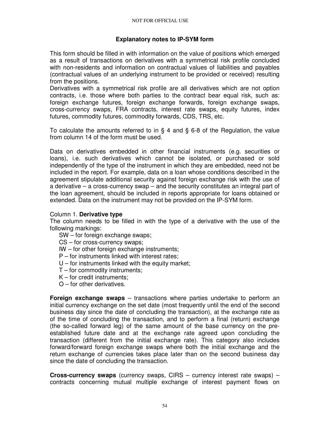# **Explanatory notes to IP-SYM form**

This form should be filled in with information on the value of positions which emerged as a result of transactions on derivatives with a symmetrical risk profile concluded with non-residents and information on contractual values of liabilities and payables (contractual values of an underlying instrument to be provided or received) resulting from the positions.

Derivatives with a symmetrical risk profile are all derivatives which are not option contracts, i.e. those where both parties to the contract bear equal risk, such as: foreign exchange futures, foreign exchange forwards, foreign exchange swaps, cross-currency swaps, FRA contracts, interest rate swaps, equity futures, index futures, commodity futures, commodity forwards, CDS, TRS, etc.

To calculate the amounts referred to in § 4 and § 6-8 of the Regulation, the value from column 14 of the form must be used.

Data on derivatives embedded in other financial instruments (e.g. securities or loans), i.e. such derivatives which cannot be isolated, or purchased or sold independently of the type of the instrument in which they are embedded, need not be included in the report. For example, data on a loan whose conditions described in the agreement stipulate additional security against foreign exchange risk with the use of a derivative – a cross-currency swap – and the security constitutes an integral part of the loan agreement, should be included in reports appropriate for loans obtained or extended. Data on the instrument may not be provided on the IP-SYM form.

#### Column 1. **Derivative type**

The column needs to be filled in with the type of a derivative with the use of the following markings:

- SW for foreign exchange swaps;
- CS for cross-currency swaps;
- IW for other foreign exchange instruments;
- P for instruments linked with interest rates;
- $U$  for instruments linked with the equity market;
- T for commodity instruments;
- K for credit instruments;
- O for other derivatives.

**Foreign exchange swaps** – transactions where parties undertake to perform an initial currency exchange on the set date (most frequently until the end of the second business day since the date of concluding the transaction), at the exchange rate as of the time of concluding the transaction, and to perform a final (return) exchange (the so-called forward leg) of the same amount of the base currency on the preestablished future date and at the exchange rate agreed upon concluding the transaction (different from the initial exchange rate). This category also includes forward/forward foreign exchange swaps where both the initial exchange and the return exchange of currencies takes place later than on the second business day since the date of concluding the transaction.

**Cross-currency swaps** (currency swaps, CIRS – currency interest rate swaps) – contracts concerning mutual multiple exchange of interest payment flows on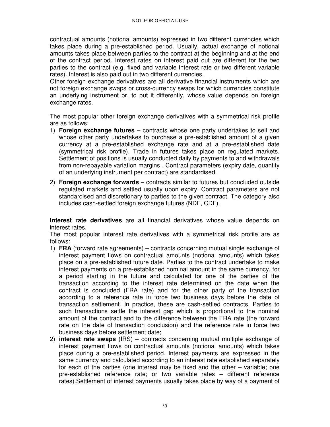contractual amounts (notional amounts) expressed in two different currencies which takes place during a pre-established period. Usually, actual exchange of notional amounts takes place between parties to the contract at the beginning and at the end of the contract period. Interest rates on interest paid out are different for the two parties to the contract (e.g. fixed and variable interest rate or two different variable rates). Interest is also paid out in two different currencies.

Other foreign exchange derivatives are all derivative financial instruments which are not foreign exchange swaps or cross-currency swaps for which currencies constitute an underlying instrument or, to put it differently, whose value depends on foreign exchange rates.

The most popular other foreign exchange derivatives with a symmetrical risk profile are as follows:

- 1) **Foreign exchange futures**  contracts whose one party undertakes to sell and whose other party undertakes to purchase a pre-established amount of a given currency at a pre-established exchange rate and at a pre-established date (symmetrical risk profile). Trade in futures takes place on regulated markets. Settlement of positions is usually conducted daily by payments to and withdrawals from non-repayable variation margins . Contract parameters (expiry date, quantity of an underlying instrument per contract) are standardised.
- 2) **Foreign exchange forwards** contracts similar to futures but concluded outside regulated markets and settled usually upon expiry. Contract parameters are not standardised and discretionary to parties to the given contract. The category also includes cash-settled foreign exchange futures (NDF, CDF).

**Interest rate derivatives** are all financial derivatives whose value depends on interest rates.

The most popular interest rate derivatives with a symmetrical risk profile are as follows:

- 1) **FRA** (forward rate agreements) contracts concerning mutual single exchange of interest payment flows on contractual amounts (notional amounts) which takes place on a pre-established future date. Parties to the contract undertake to make interest payments on a pre-established nominal amount in the same currency, for a period starting in the future and calculated for one of the parties of the transaction according to the interest rate determined on the date when the contract is concluded (FRA rate) and for the other party of the transaction according to a reference rate in force two business days before the date of transaction settlement. In practice, these are cash-settled contracts. Parties to such transactions settle the interest gap which is proportional to the nominal amount of the contract and to the difference between the FRA rate (the forward rate on the date of transaction conclusion) and the reference rate in force two business days before settlement date;
- 2) **interest rate swaps** (IRS) contracts concerning mutual multiple exchange of interest payment flows on contractual amounts (notional amounts) which takes place during a pre-established period. Interest payments are expressed in the same currency and calculated according to an interest rate established separately for each of the parties (one interest may be fixed and the other – variable; one pre-established reference rate; or two variable rates – different reference rates).Settlement of interest payments usually takes place by way of a payment of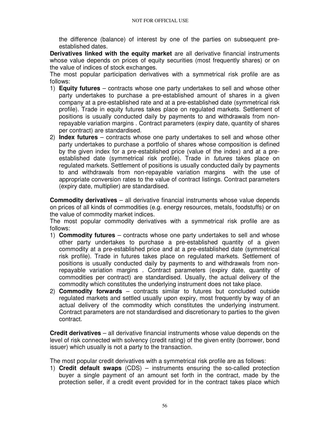the difference (balance) of interest by one of the parties on subsequent preestablished dates.

**Derivatives linked with the equity market** are all derivative financial instruments whose value depends on prices of equity securities (most frequently shares) or on the value of indices of stock exchanges.

The most popular participation derivatives with a symmetrical risk profile are as follows:

- 1) **Equity futures** contracts whose one party undertakes to sell and whose other party undertakes to purchase a pre-established amount of shares in a given company at a pre-established rate and at a pre-established date (symmetrical risk profile). Trade in equity futures takes place on regulated markets. Settlement of positions is usually conducted daily by payments to and withdrawals from nonrepayable variation margins . Contract parameters (expiry date, quantity of shares per contract) are standardised.
- 2) **Index futures**  contracts whose one party undertakes to sell and whose other party undertakes to purchase a portfolio of shares whose composition is defined by the given index for a pre-established price (value of the index) and at a preestablished date (symmetrical risk profile). Trade in futures takes place on regulated markets. Settlement of positions is usually conducted daily by payments to and withdrawals from non-repayable variation margins with the use of appropriate conversion rates to the value of contract listings. Contract parameters (expiry date, multiplier) are standardised.

**Commodity derivatives** – all derivative financial instruments whose value depends on prices of all kinds of commodities (e.g. energy resources, metals, foodstuffs) or on the value of commodity market indices.

The most popular commodity derivatives with a symmetrical risk profile are as follows:

- 1) **Commodity futures** contracts whose one party undertakes to sell and whose other party undertakes to purchase a pre-established quantity of a given commodity at a pre-established price and at a pre-established date (symmetrical risk profile). Trade in futures takes place on regulated markets. Settlement of positions is usually conducted daily by payments to and withdrawals from nonrepayable variation margins . Contract parameters (expiry date, quantity of commodities per contract) are standardised. Usually, the actual delivery of the commodity which constitutes the underlying instrument does not take place.
- 2) **Commodity forwards** contracts similar to futures but concluded outside regulated markets and settled usually upon expiry, most frequently by way of an actual delivery of the commodity which constitutes the underlying instrument. Contract parameters are not standardised and discretionary to parties to the given contract.

**Credit derivatives** – all derivative financial instruments whose value depends on the level of risk connected with solvency (credit rating) of the given entity (borrower, bond issuer) which usually is not a party to the transaction.

The most popular credit derivatives with a symmetrical risk profile are as follows:

1) **Credit default swaps** (CDS) – instruments ensuring the so-called protection buyer a single payment of an amount set forth in the contract, made by the protection seller, if a credit event provided for in the contract takes place which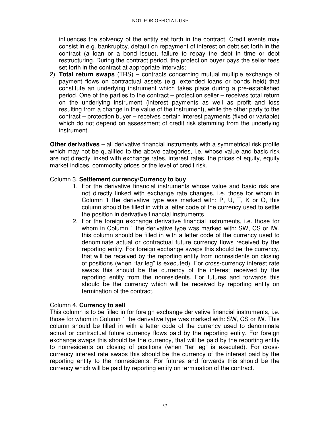influences the solvency of the entity set forth in the contract. Credit events may consist in e.g. bankruptcy, default on repayment of interest on debt set forth in the contract (a loan or a bond issue), failure to repay the debt in time or debt restructuring. During the contract period, the protection buyer pays the seller fees set forth in the contract at appropriate intervals;

2) **Total return swaps** (TRS) – contracts concerning mutual multiple exchange of payment flows on contractual assets (e.g. extended loans or bonds held) that constitute an underlying instrument which takes place during a pre-established period. One of the parties to the contract – protection seller – receives total return on the underlying instrument (interest payments as well as profit and loss resulting from a change in the value of the instrument), while the other party to the contract – protection buyer – receives certain interest payments (fixed or variable) which do not depend on assessment of credit risk stemming from the underlying instrument.

**Other derivatives** – all derivative financial instruments with a symmetrical risk profile which may not be qualified to the above categories, i.e. whose value and basic risk are not directly linked with exchange rates, interest rates, the prices of equity, equity market indices, commodity prices or the level of credit risk.

### Column 3. **Settlement currency/Currency to buy**

- 1. For the derivative financial instruments whose value and basic risk are not directly linked with exchange rate changes, i.e. those for whom in Column 1 the derivative type was marked with: P, U, T, K or O, this column should be filled in with a letter code of the currency used to settle the position in derivative financial instruments
- 2. For the foreign exchange derivative financial instruments, i.e. those for whom in Column 1 the derivative type was marked with: SW, CS or IW, this column should be filled in with a letter code of the currency used to denominate actual or contractual future currency flows received by the reporting entity. For foreign exchange swaps this should be the currency, that will be received by the reporting entity from nonresidents on closing of positions (when "far leg" is executed). For cross-currency interest rate swaps this should be the currency of the interest received by the reporting entity from the nonresidents. For futures and forwards this should be the currency which will be received by reporting entity on termination of the contract.

#### Column 4. **Currency to sell**

This column is to be filled in for foreign exchange derivative financial instruments, i.e. those for whom in Column 1 the derivative type was marked with: SW, CS or IW. This column should be filled in with a letter code of the currency used to denominate actual or contractual future currency flows paid by the reporting entity. For foreign exchange swaps this should be the currency, that will be paid by the reporting entity to nonresidents on closing of positions (when "far leg" is executed). For crosscurrency interest rate swaps this should be the currency of the interest paid by the reporting entity to the nonresidents. For futures and forwards this should be the currency which will be paid by reporting entity on termination of the contract.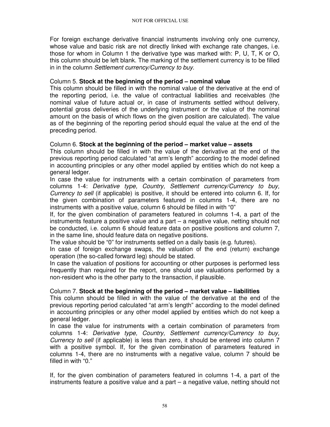For foreign exchange derivative financial instruments involving only one currency, whose value and basic risk are not directly linked with exchange rate changes, i.e. those for whom in Column 1 the derivative type was marked with: P, U, T, K or O, this column should be left blank. The marking of the settlement currency is to be filled in in the column Settlement currency/Currency to buy.

### Column 5. **Stock at the beginning of the period – nominal value**

This column should be filled in with the nominal value of the derivative at the end of the reporting period, i.e. the value of contractual liabilities and receivables (the nominal value of future actual or, in case of instruments settled without delivery, potential gross deliveries of the underlying instrument or the value of the nominal amount on the basis of which flows on the given position are calculated). The value as of the beginning of the reporting period should equal the value at the end of the preceding period.

# Column 6. **Stock at the beginning of the period – market value – assets**

This column should be filled in with the value of the derivative at the end of the previous reporting period calculated "at arm's length" according to the model defined in accounting principles or any other model applied by entities which do not keep a general ledger.

In case the value for instruments with a certain combination of parameters from columns 1-4: Derivative type, Country, Settlement currency/Currency to buy, Currency to sell (if applicable) is positive, it should be entered into column 6. If, for the given combination of parameters featured in columns 1-4, there are no instruments with a positive value, column 6 should be filled in with "0"

If, for the given combination of parameters featured in columns 1-4, a part of the instruments feature a positive value and a part – a negative value, netting should not be conducted, i.e. column 6 should feature data on positive positions and column 7, in the same line, should feature data on negative positions.

The value should be "0" for instruments settled on a daily basis (e.g. futures).

In case of foreign exchange swaps, the valuation of the end (return) exchange operation (the so-called forward leg) should be stated.

In case the valuation of positions for accounting or other purposes is performed less frequently than required for the report, one should use valuations performed by a non-resident who is the other party to the transaction, if plausible.

# Column 7. **Stock at the beginning of the period – market value – liabilities**

This column should be filled in with the value of the derivative at the end of the previous reporting period calculated "at arm's length" according to the model defined in accounting principles or any other model applied by entities which do not keep a general ledger.

In case the value for instruments with a certain combination of parameters from columns 1-4: Derivative type, Country, Settlement currency/Currency to buy, Currency to sell (if applicable) is less than zero, it should be entered into column 7 with a positive symbol. If, for the given combination of parameters featured in columns 1-4, there are no instruments with a negative value, column 7 should be filled in with "0."

If, for the given combination of parameters featured in columns 1-4, a part of the instruments feature a positive value and a part – a negative value, netting should not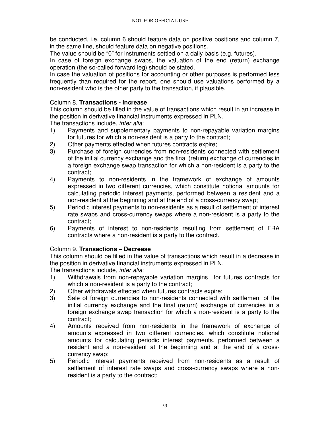be conducted, i.e. column 6 should feature data on positive positions and column 7, in the same line, should feature data on negative positions.

The value should be "0" for instruments settled on a daily basis (e.g. futures).

In case of foreign exchange swaps, the valuation of the end (return) exchange operation (the so-called forward leg) should be stated.

In case the valuation of positions for accounting or other purposes is performed less frequently than required for the report, one should use valuations performed by a non-resident who is the other party to the transaction, if plausible.

# Column 8. **Transactions - Increase**

This column should be filled in the value of transactions which result in an increase in the position in derivative financial instruments expressed in PLN.

The transactions include, inter alia:

- 1) Payments and supplementary payments to non-repayable variation margins for futures for which a non-resident is a party to the contract;
- 2) Other payments effected when futures contracts expire;
- 3) Purchase of foreign currencies from non-residents connected with settlement of the initial currency exchange and the final (return) exchange of currencies in a foreign exchange swap transaction for which a non-resident is a party to the contract;
- 4) Payments to non-residents in the framework of exchange of amounts expressed in two different currencies, which constitute notional amounts for calculating periodic interest payments, performed between a resident and a non-resident at the beginning and at the end of a cross-currency swap;
- 5) Periodic interest payments to non-residents as a result of settlement of interest rate swaps and cross-currency swaps where a non-resident is a party to the contract;
- 6) Payments of interest to non-residents resulting from settlement of FRA contracts where a non-resident is a party to the contract.

# Column 9. **Transactions – Decrease**

This column should be filled in the value of transactions which result in a decrease in the position in derivative financial instruments expressed in PLN.

The transactions include, *inter alia*:

- 1) Withdrawals from non-repayable variation margins for futures contracts for which a non-resident is a party to the contract;
- 2) Other withdrawals effected when futures contracts expire;
- 3) Sale of foreign currencies to non-residents connected with settlement of the initial currency exchange and the final (return) exchange of currencies in a foreign exchange swap transaction for which a non-resident is a party to the contract;
- 4) Amounts received from non-residents in the framework of exchange of amounts expressed in two different currencies, which constitute notional amounts for calculating periodic interest payments, performed between a resident and a non-resident at the beginning and at the end of a crosscurrency swap;
- 5) Periodic interest payments received from non-residents as a result of settlement of interest rate swaps and cross-currency swaps where a nonresident is a party to the contract;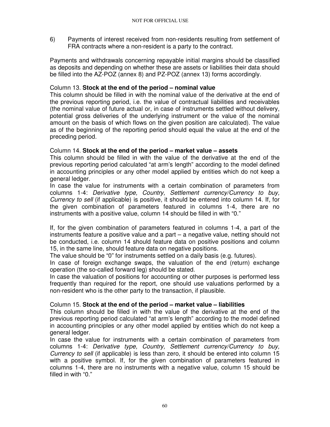6) Payments of interest received from non-residents resulting from settlement of FRA contracts where a non-resident is a party to the contract.

Payments and withdrawals concerning repayable initial margins should be classified as deposits and depending on whether these are assets or liabilities their data should be filled into the AZ-POZ (annex 8) and PZ-POZ (annex 13) forms accordingly.

# Column 13. **Stock at the end of the period – nominal value**

This column should be filled in with the nominal value of the derivative at the end of the previous reporting period, i.e. the value of contractual liabilities and receivables (the nominal value of future actual or, in case of instruments settled without delivery, potential gross deliveries of the underlying instrument or the value of the nominal amount on the basis of which flows on the given position are calculated). The value as of the beginning of the reporting period should equal the value at the end of the preceding period.

# Column 14. **Stock at the end of the period – market value – assets**

This column should be filled in with the value of the derivative at the end of the previous reporting period calculated "at arm's length" according to the model defined in accounting principles or any other model applied by entities which do not keep a general ledger.

In case the value for instruments with a certain combination of parameters from columns 1-4: Derivative type, Country, Settlement currency/Currency to buy, Currency to sell (if applicable) is positive, it should be entered into column 14. If, for the given combination of parameters featured in columns 1-4, there are no instruments with a positive value, column 14 should be filled in with "0."

If, for the given combination of parameters featured in columns 1-4, a part of the instruments feature a positive value and a part – a negative value, netting should not be conducted, i.e. column 14 should feature data on positive positions and column 15, in the same line, should feature data on negative positions.

The value should be "0" for instruments settled on a daily basis (e.g. futures).

In case of foreign exchange swaps, the valuation of the end (return) exchange operation (the so-called forward leg) should be stated.

In case the valuation of positions for accounting or other purposes is performed less frequently than required for the report, one should use valuations performed by a non-resident who is the other party to the transaction, if plausible.

# Column 15. **Stock at the end of the period – market value – liabilities**

This column should be filled in with the value of the derivative at the end of the previous reporting period calculated "at arm's length" according to the model defined in accounting principles or any other model applied by entities which do not keep a general ledger.

In case the value for instruments with a certain combination of parameters from columns 1-4: Derivative type, Country, Settlement currency/Currency to buy, Currency to sell (if applicable) is less than zero, it should be entered into column 15 with a positive symbol. If, for the given combination of parameters featured in columns 1-4, there are no instruments with a negative value, column 15 should be filled in with "0."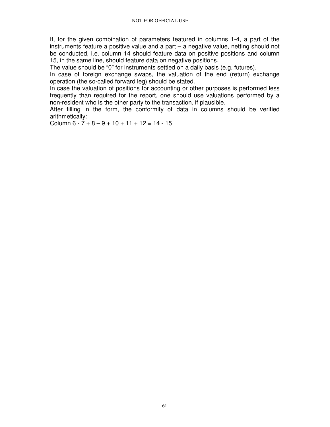If, for the given combination of parameters featured in columns 1-4, a part of the instruments feature a positive value and a part – a negative value, netting should not be conducted, i.e. column 14 should feature data on positive positions and column 15, in the same line, should feature data on negative positions.

The value should be "0" for instruments settled on a daily basis (e.g. futures).

In case of foreign exchange swaps, the valuation of the end (return) exchange operation (the so-called forward leg) should be stated.

In case the valuation of positions for accounting or other purposes is performed less frequently than required for the report, one should use valuations performed by a non-resident who is the other party to the transaction, if plausible.

After filling in the form, the conformity of data in columns should be verified arithmetically:

Column  $6 - 7 + 8 - 9 + 10 + 11 + 12 = 14 - 15$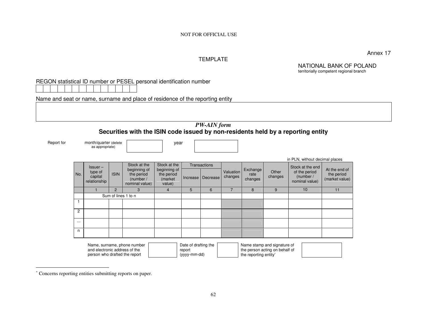#### TEMPLATE

Annex 17

NATIONAL BANK OF POLAND territorially competent regional branch

| REGON statistical ID number or PESEL personal identification number |  |
|---------------------------------------------------------------------|--|
|---------------------------------------------------------------------|--|

Name and seat or name, surname and place of residence of the reporting entity

| <b>PW-AIN</b> form                                                               |  |  |  |  |  |  |  |  |  |
|----------------------------------------------------------------------------------|--|--|--|--|--|--|--|--|--|
| Securities with the ISIN code issued by non-residents held by a reporting entity |  |  |  |  |  |  |  |  |  |

Report for month/quarter (delete as appropriate)

|  | vear |
|--|------|
|  |      |

|                |                                    |                |                                                                                                                           |              |              |                      |                             |                  |                                              | in PLN, without decimal places                |    |
|----------------|------------------------------------|----------------|---------------------------------------------------------------------------------------------------------------------------|--------------|--------------|----------------------|-----------------------------|------------------|----------------------------------------------|-----------------------------------------------|----|
|                | $lssuer -$                         |                | Stock at the                                                                                                              | Stock at the | Transactions |                      |                             |                  |                                              | Stock at the end                              |    |
| No.            | type of<br>capital<br>relationship | <b>ISIN</b>    | beginning of<br>beginning of<br>the period<br>the period<br>Increase<br>(market)<br>(number /<br>nominal value)<br>value) |              | Decrease     | Valuation<br>changes | Exchange<br>rate<br>changes | Other<br>changes | of the period<br>(number /<br>nominal value) | At the end of<br>the period<br>(market value) |    |
|                |                                    | $\overline{2}$ | 3                                                                                                                         | 4            | 5            | 6                    |                             | 8                | 9                                            | 10                                            | 11 |
|                |                                    |                | Sum of lines 1 to n                                                                                                       |              |              |                      |                             |                  |                                              |                                               |    |
| $\overline{1}$ |                                    |                |                                                                                                                           |              |              |                      |                             |                  |                                              |                                               |    |
| 2              |                                    |                |                                                                                                                           |              |              |                      |                             |                  |                                              |                                               |    |
| $\cdots$       |                                    |                |                                                                                                                           |              |              |                      |                             |                  |                                              |                                               |    |
| n              |                                    |                |                                                                                                                           |              |              |                      |                             |                  |                                              |                                               |    |

| Name, surname, phone number   | Date of drafting the | Name stamp and signature of    |  |
|-------------------------------|----------------------|--------------------------------|--|
| and electronic address of the | report               | the person acting on behalf of |  |
| person who drafted the report | (yyyy-mm-dd)         | the reporting entity*          |  |

<sup>∗</sup> Concerns reporting entities submitting reports on paper.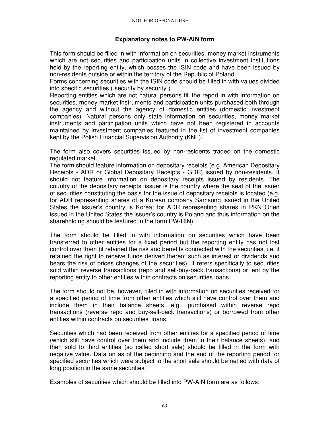# **Explanatory notes to PW-AIN form**

This form should be filled in with information on securities, money market instruments which are not securities and participation units in collective investment institutions held by the reporting entity, which posses the ISIN code and have been issued by non-residents outside or within the territory of the Republic of Poland.

Forms concerning securities with the ISIN code should be filled in with values divided into specific securities ("security by security").

Reporting entities which are not natural persons fill the report in with information on securities, money market instruments and participation units purchased both through the agency and without the agency of domestic entities (domestic investment companies). Natural persons only state information on securities, money market instruments and participation units which have not been registered in accounts maintained by investment companies featured in the list of investment companies kept by the Polish Financial Supervision Authority (KNF).

The form also covers securities issued by non-residents traded on the domestic regulated market.

The form should feature information on depositary receipts (e.g. American Depositary Receipts - ADR or Global Depositary Receipts - GDR) issued by non-residents. It should not feature information on depositary receipts issued by residents. The country of the depositary receipts' issuer is the country where the seat of the issuer of securities constituting the basis for the issue of depositary receipts is located (e.g. for ADR representing shares of a Korean company Samsung issued in the United States the issuer's country is Korea; for ADR representing shares in PKN Orlen issued in the United States the issuer's country is Poland and thus information on the shareholding should be featured in the form PW-RIN).

The form should be filled in with information on securities which have been transferred to other entities for a fixed period but the reporting entity has not lost control over them (it retained the risk and benefits connected with the securities, i.e. it retained the right to receive funds derived thereof such as interest or dividends and bears the risk of prices changes of the securities). It refers specifically to securities sold within reverse transactions (repo and sell-buy-back transactions) or lent by the reporting entity to other entities within contracts on securities loans.

The form should not be, however, filled in with information on securities received for a specified period of time from other entities which still have control over them and include them in their balance sheets, e.g., purchased within reverse repo transactions (reverse repo and buy-sell-back transactions) or borrowed from other entities within contracts on securities' loans.

Securities which had been received from other entities for a specified period of time (which still have control over them and include them in their balance sheets), and then sold to third entities (so called short sale) should be filled in the form with negative value. Data on as of the beginning and the end of the reporting period for specified securities which were subject to the short sale should be netted with data of long position in the same securities.

Examples of securities which should be filled into PW-AIN form are as follows: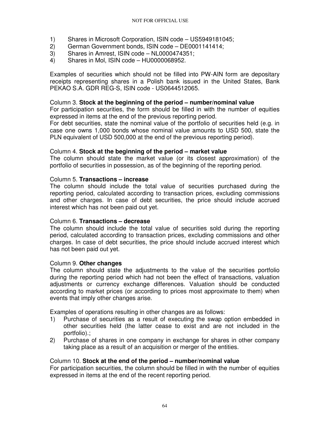- 1) Shares in Microsoft Corporation, ISIN code US5949181045;
- 2) German Government bonds, ISIN code DE0001141414;<br>3) Shares in Amrest, ISIN code NL0000474351;
- 3) Shares in Amrest, ISIN code NL0000474351;
- 4) Shares in Mol, ISIN code HU0000068952.

Examples of securities which should not be filled into PW-AIN form are depositary receipts representing shares in a Polish bank issued in the United States, Bank PEKAO S.A. GDR REG-S, ISIN code - US0644512065.

### Column 3. **Stock at the beginning of the period – number/nominal value**

For participation securities, the form should be filled in with the number of equities expressed in items at the end of the previous reporting period.

For debt securities, state the nominal value of the portfolio of securities held (e.g. in case one owns 1,000 bonds whose nominal value amounts to USD 500, state the PLN equivalent of USD 500,000 at the end of the previous reporting period).

### Column 4. **Stock at the beginning of the period – market value**

The column should state the market value (or its closest approximation) of the portfolio of securities in possession, as of the beginning of the reporting period.

### Column 5. **Transactions – increase**

The column should include the total value of securities purchased during the reporting period, calculated according to transaction prices, excluding commissions and other charges. In case of debt securities, the price should include accrued interest which has not been paid out yet.

# Column 6. **Transactions – decrease**

The column should include the total value of securities sold during the reporting period, calculated according to transaction prices, excluding commissions and other charges. In case of debt securities, the price should include accrued interest which has not been paid out yet.

#### Column 9. **Other changes**

The column should state the adjustments to the value of the securities portfolio during the reporting period which had not been the effect of transactions, valuation adjustments or currency exchange differences. Valuation should be conducted according to market prices (or according to prices most approximate to them) when events that imply other changes arise.

Examples of operations resulting in other changes are as follows:

- 1) Purchase of securities as a result of executing the swap option embedded in other securities held (the latter cease to exist and are not included in the portfolio).;
- 2) Purchase of shares in one company in exchange for shares in other company taking place as a result of an acquisition or merger of the entities.

# Column 10. **Stock at the end of the period – number/nominal value**

For participation securities, the column should be filled in with the number of equities expressed in items at the end of the recent reporting period.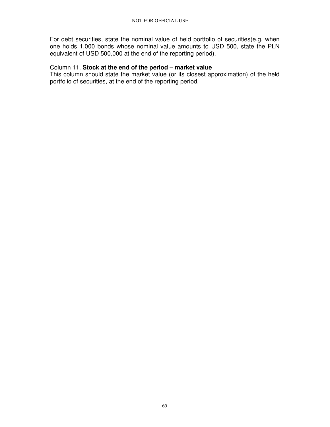For debt securities, state the nominal value of held portfolio of securities(e.g. when one holds 1,000 bonds whose nominal value amounts to USD 500, state the PLN equivalent of USD 500,000 at the end of the reporting period).

### Column 11. **Stock at the end of the period – market value**

This column should state the market value (or its closest approximation) of the held portfolio of securities, at the end of the reporting period.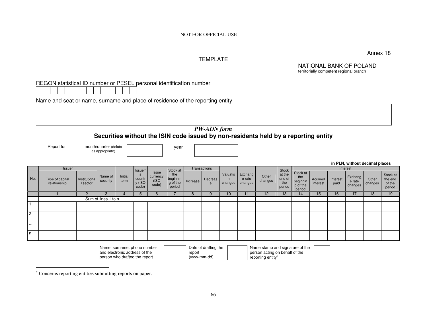Annex 18

### TEMPLATE

NATIONAL BANK OF POLAND territorially competent regional branch

# REGON statistical ID number or PESEL personal identification number

Name and seat or name, surname and place of residence of the reporting entity

# *PW-ADN form* **Securities without the ISIN code issued by non-residents held by a reporting entity**

Report for month/quarter (delete

as appropriate)

year

#### **in PLN, without decimal places**

|                | <b>Issuer</b>                   |                          |                     |                 | Issuer'                   |                                           | Stock at                              |          | Transactions |                          |                              |                  | <b>Stock</b>                      |                                                   |                     |                  | Interest                     |                  |                                         |
|----------------|---------------------------------|--------------------------|---------------------|-----------------|---------------------------|-------------------------------------------|---------------------------------------|----------|--------------|--------------------------|------------------------------|------------------|-----------------------------------|---------------------------------------------------|---------------------|------------------|------------------------------|------------------|-----------------------------------------|
| No.            | Type of capital<br>relationship | Institutiona<br>I sector | Name of<br>security | Initial<br>term | countr<br>y (ISO<br>code) | <b>Issue</b><br>currency<br>(ISO<br>code) | the<br>beginnin<br>g of the<br>period | Increase | Decreas<br>e | Valuatio<br>n<br>changes | Exchang<br>e rate<br>changes | Other<br>changes | at the<br>end of<br>the<br>period | Stock at<br>the<br>beginnin<br>g of the<br>period | Accrued<br>interest | Interest<br>paid | Exchang<br>e rate<br>changes | Other<br>changes | Stock at<br>the end<br>of the<br>period |
|                |                                 |                          |                     |                 | $\mathbf{h}$              | 6                                         |                                       | 8        |              | 10                       | 11                           | 12 <sup>°</sup>  | 13                                | $\overline{14}$                                   | 15                  | 16               | 17                           | 18               | 19                                      |
|                | Sum of lines 1 to n             |                          |                     |                 |                           |                                           |                                       |          |              |                          |                              |                  |                                   |                                                   |                     |                  |                              |                  |                                         |
|                |                                 |                          |                     |                 |                           |                                           |                                       |          |              |                          |                              |                  |                                   |                                                   |                     |                  |                              |                  |                                         |
| $\overline{2}$ |                                 |                          |                     |                 |                           |                                           |                                       |          |              |                          |                              |                  |                                   |                                                   |                     |                  |                              |                  |                                         |
| $-1$           |                                 |                          |                     |                 |                           |                                           |                                       |          |              |                          |                              |                  |                                   |                                                   |                     |                  |                              |                  |                                         |
| n              |                                 |                          |                     |                 |                           |                                           |                                       |          |              |                          |                              |                  |                                   |                                                   |                     |                  |                              |                  |                                         |

| Name, surname, phone number   | Date of drafting the | Name stamp and signature of the |  |
|-------------------------------|----------------------|---------------------------------|--|
| and electronic address of the | report               | person acting on behalf of the  |  |
| person who drafted the report | (yyyy-mm-dd)         | reporting entity*               |  |

<sup>∗</sup> Concerns reporting entities submitting reports on paper.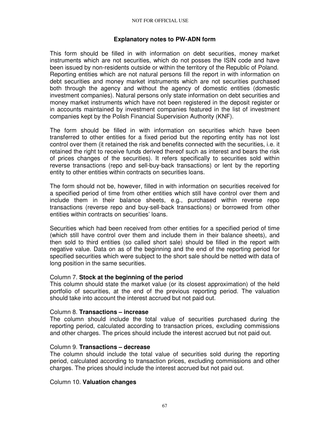# **Explanatory notes to PW-ADN form**

This form should be filled in with information on debt securities, money market instruments which are not securities, which do not posses the ISIN code and have been issued by non-residents outside or within the territory of the Republic of Poland. Reporting entities which are not natural persons fill the report in with information on debt securities and money market instruments which are not securities purchased both through the agency and without the agency of domestic entities (domestic investment companies). Natural persons only state information on debt securities and money market instruments which have not been registered in the deposit register or in accounts maintained by investment companies featured in the list of investment companies kept by the Polish Financial Supervision Authority (KNF).

The form should be filled in with information on securities which have been transferred to other entities for a fixed period but the reporting entity has not lost control over them (it retained the risk and benefits connected with the securities, i.e. it retained the right to receive funds derived thereof such as interest and bears the risk of prices changes of the securities). It refers specifically to securities sold within reverse transactions (repo and sell-buy-back transactions) or lent by the reporting entity to other entities within contracts on securities loans.

The form should not be, however, filled in with information on securities received for a specified period of time from other entities which still have control over them and include them in their balance sheets, e.g., purchased within reverse repo transactions (reverse repo and buy-sell-back transactions) or borrowed from other entities within contracts on securities' loans.

Securities which had been received from other entities for a specified period of time (which still have control over them and include them in their balance sheets), and then sold to third entities (so called short sale) should be filled in the report with negative value. Data on as of the beginning and the end of the reporting period for specified securities which were subject to the short sale should be netted with data of long position in the same securities.

# Column 7. **Stock at the beginning of the period**

This column should state the market value (or its closest approximation) of the held portfolio of securities, at the end of the previous reporting period. The valuation should take into account the interest accrued but not paid out.

# Column 8. **Transactions – increase**

The column should include the total value of securities purchased during the reporting period, calculated according to transaction prices, excluding commissions and other charges. The prices should include the interest accrued but not paid out.

# Column 9. **Transactions – decrease**

The column should include the total value of securities sold during the reporting period, calculated according to transaction prices, excluding commissions and other charges. The prices should include the interest accrued but not paid out.

# Column 10. **Valuation changes**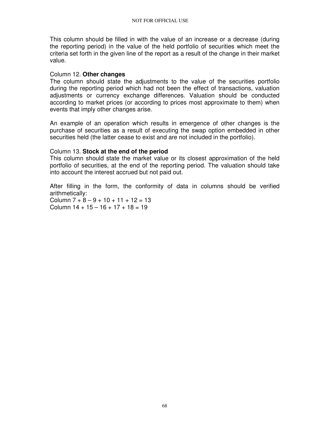This column should be filled in with the value of an increase or a decrease (during the reporting period) in the value of the held portfolio of securities which meet the criteria set forth in the given line of the report as a result of the change in their market value.

### Column 12. **Other changes**

The column should state the adjustments to the value of the securities portfolio during the reporting period which had not been the effect of transactions, valuation adjustments or currency exchange differences. Valuation should be conducted according to market prices (or according to prices most approximate to them) when events that imply other changes arise.

An example of an operation which results in emergence of other changes is the purchase of securities as a result of executing the swap option embedded in other securities held (the latter cease to exist and are not included in the portfolio).

# Column 13. **Stock at the end of the period**

This column should state the market value or its closest approximation of the held portfolio of securities, at the end of the reporting period. The valuation should take into account the interest accrued but not paid out.

After filling in the form, the conformity of data in columns should be verified arithmetically:

Column  $7 + 8 - 9 + 10 + 11 + 12 = 13$ Column  $14 + 15 - 16 + 17 + 18 = 19$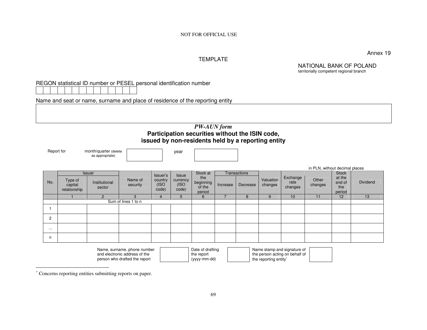NOT FOR OFFICIAL USE

Annex 19

#### TEMPLATE

NATIONAL BANK OF POLAND territorially competent regional branch

REGON statistical ID number or PESEL personal identification number

Name and seat or name, surname and place of residence of the reporting entity

### *PW-AUN form*  **Participation securities without the ISIN code, issued by non-residents held by a reporting entity**

Report for month/quarter (delete

as appropriate)

year

|                |                                    |                         |                     |                           |                           |                                      |          |                     |                      |                             | in PLN, without decimal places |                                   |          |
|----------------|------------------------------------|-------------------------|---------------------|---------------------------|---------------------------|--------------------------------------|----------|---------------------|----------------------|-----------------------------|--------------------------------|-----------------------------------|----------|
|                |                                    | Issuer                  |                     | Issuer's                  | Issue                     | Stock at                             |          | <b>Transactions</b> |                      |                             |                                | <b>Stock</b>                      |          |
| No.            | Type of<br>capital<br>relationship | Institutional<br>sector | Name of<br>security | country<br>(ISO)<br>code) | currency<br>(ISO<br>code) | the<br>beginning<br>of the<br>period | Increase | Decrease            | Valuation<br>changes | Exchange<br>rate<br>changes | Other<br>changes               | at the<br>end of<br>the<br>period | Dividend |
|                |                                    |                         |                     |                           | 5                         | 6                                    |          | 8                   | 9                    | 10                          | 11                             | 12                                | 13       |
|                |                                    |                         | Sum of lines 1 to n |                           |                           |                                      |          |                     |                      |                             |                                |                                   |          |
|                |                                    |                         |                     |                           |                           |                                      |          |                     |                      |                             |                                |                                   |          |
| $\overline{2}$ |                                    |                         |                     |                           |                           |                                      |          |                     |                      |                             |                                |                                   |          |
| $\cdots$       |                                    |                         |                     |                           |                           |                                      |          |                     |                      |                             |                                |                                   |          |
| n              |                                    |                         |                     |                           |                           |                                      |          |                     |                      |                             |                                |                                   |          |
|                |                                    |                         |                     |                           |                           |                                      |          |                     |                      |                             |                                |                                   |          |

| Name, surname, phone number   | Date of drafting | Name stamp and signature of    |  |
|-------------------------------|------------------|--------------------------------|--|
| and electronic address of the | the report       | the person acting on behalf of |  |
| person who drafted the report | (yyyy-mm-dd)     | the reporting entity           |  |

<sup>∗</sup> Concerns reporting entities submitting reports on paper.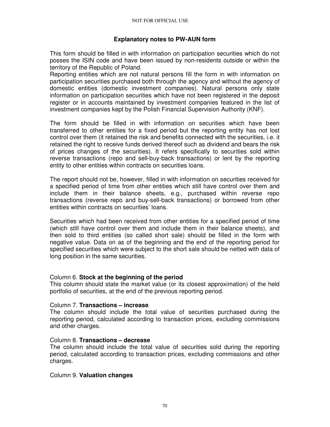# **Explanatory notes to PW-AUN form**

This form should be filled in with information on participation securities which do not posses the ISIN code and have been issued by non-residents outside or within the territory of the Republic of Poland.

Reporting entities which are not natural persons fill the form in with information on participation securities purchased both through the agency and without the agency of domestic entities (domestic investment companies). Natural persons only state information on participation securities which have not been registered in the deposit register or in accounts maintained by investment companies featured in the list of investment companies kept by the Polish Financial Supervision Authority (KNF).

The form should be filled in with information on securities which have been transferred to other entities for a fixed period but the reporting entity has not lost control over them (it retained the risk and benefits connected with the securities, i.e. it retained the right to receive funds derived thereof such as dividend and bears the risk of prices changes of the securities). It refers specifically to securities sold within reverse transactions (repo and sell-buy-back transactions) or lent by the reporting entity to other entities within contracts on securities loans.

The report should not be, however, filled in with information on securities received for a specified period of time from other entities which still have control over them and include them in their balance sheets, e.g., purchased within reverse repo transactions (reverse repo and buy-sell-back transactions) or borrowed from other entities within contracts on securities' loans.

Securities which had been received from other entities for a specified period of time (which still have control over them and include them in their balance sheets), and then sold to third entities (so called short sale) should be filled in the form with negative value. Data on as of the beginning and the end of the reporting period for specified securities which were subject to the short sale should be netted with data of long position in the same securities.

# Column 6. **Stock at the beginning of the period**

This column should state the market value (or its closest approximation) of the held portfolio of securities, at the end of the previous reporting period.

#### Column 7. **Transactions – increase**

The column should include the total value of securities purchased during the reporting period, calculated according to transaction prices, excluding commissions and other charges.

#### Column 8. **Transactions – decrease**

The column should include the total value of securities sold during the reporting period, calculated according to transaction prices, excluding commissions and other charges.

#### Column 9. **Valuation changes**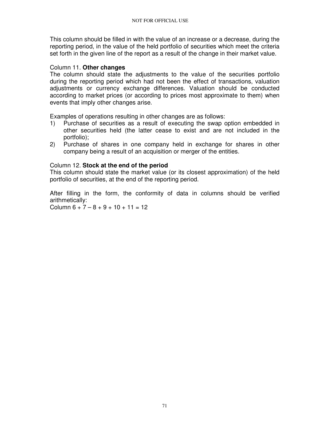This column should be filled in with the value of an increase or a decrease, during the reporting period, in the value of the held portfolio of securities which meet the criteria set forth in the given line of the report as a result of the change in their market value.

### Column 11. **Other changes**

The column should state the adjustments to the value of the securities portfolio during the reporting period which had not been the effect of transactions, valuation adjustments or currency exchange differences. Valuation should be conducted according to market prices (or according to prices most approximate to them) when events that imply other changes arise.

Examples of operations resulting in other changes are as follows:

- 1) Purchase of securities as a result of executing the swap option embedded in other securities held (the latter cease to exist and are not included in the portfolio);
- 2) Purchase of shares in one company held in exchange for shares in other company being a result of an acquisition or merger of the entities.

### Column 12. **Stock at the end of the period**

This column should state the market value (or its closest approximation) of the held portfolio of securities, at the end of the reporting period.

After filling in the form, the conformity of data in columns should be verified arithmetically:

Column  $6 + 7 - 8 + 9 + 10 + 11 = 12$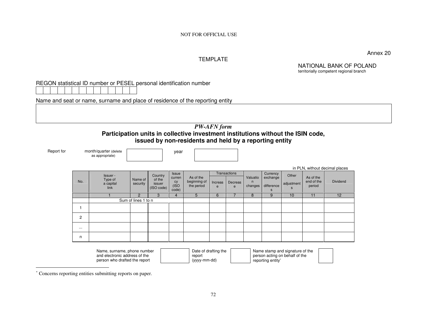NOT FOR OFFICIAL USE

Annex 20

#### TEMPLATE

NATIONAL BANK OF POLAND territorially competent regional branch

REGON statistical ID number or PESEL personal identification number

Name and seat or name, surname and place of residence of the reporting entity

### *PW-AFN form*  **Participation units in collective investment institutions without the ISIN code, issued by non-residents and held by a reporting entity**

Report for month/quarter (delete as appropriate)

year

|                |                                          |                     |                                           |                                                |                                         |              |                                     |                          |                                         |                          |                                   | in PLN, without decimal places |  |
|----------------|------------------------------------------|---------------------|-------------------------------------------|------------------------------------------------|-----------------------------------------|--------------|-------------------------------------|--------------------------|-----------------------------------------|--------------------------|-----------------------------------|--------------------------------|--|
| No.            | Issuer -<br>Type of<br>a capital<br>link | Name of<br>security | Country<br>of the<br>issuer<br>(ISO code) | <b>Issue</b><br>curren<br>cy<br>(ISO)<br>code) | As of the<br>beginning of<br>the period | Increas<br>e | <b>Transactions</b><br>Decreas<br>e | Valuatio<br>n<br>changes | Currency<br>exchange<br>difference<br>S | Other<br>adjustment<br>S | As of the<br>end of the<br>period | <b>Dividend</b>                |  |
|                |                                          | $\overline{2}$      | 3                                         | 4                                              | 5                                       | 6            |                                     | 8                        | 9                                       | 10                       | 11                                | 12                             |  |
|                | Sum of lines 1 to n                      |                     |                                           |                                                |                                         |              |                                     |                          |                                         |                          |                                   |                                |  |
|                |                                          |                     |                                           |                                                |                                         |              |                                     |                          |                                         |                          |                                   |                                |  |
| $\overline{2}$ |                                          |                     |                                           |                                                |                                         |              |                                     |                          |                                         |                          |                                   |                                |  |
| $\cdots$       |                                          |                     |                                           |                                                |                                         |              |                                     |                          |                                         |                          |                                   |                                |  |
| n              |                                          |                     |                                           |                                                |                                         |              |                                     |                          |                                         |                          |                                   |                                |  |
|                |                                          |                     |                                           |                                                |                                         |              |                                     |                          |                                         |                          |                                   |                                |  |

| Name, surname, phone number   | Date of drafting the | Name stamp and signature of the |  |
|-------------------------------|----------------------|---------------------------------|--|
| and electronic address of the | report               | person acting on behalf of the  |  |
| person who drafted the report | (yyyy-mm-dd)         | reporting entity*               |  |

<sup>∗</sup> Concerns reporting entities submitting reports on paper.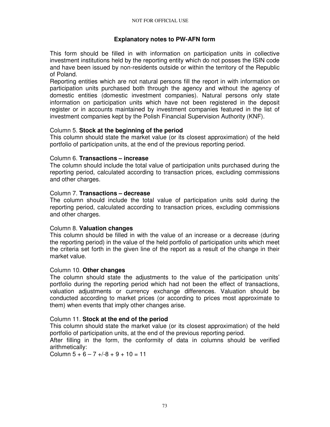### **Explanatory notes to PW-AFN form**

This form should be filled in with information on participation units in collective investment institutions held by the reporting entity which do not posses the ISIN code and have been issued by non-residents outside or within the territory of the Republic of Poland.

Reporting entities which are not natural persons fill the report in with information on participation units purchased both through the agency and without the agency of domestic entities (domestic investment companies). Natural persons only state information on participation units which have not been registered in the deposit register or in accounts maintained by investment companies featured in the list of investment companies kept by the Polish Financial Supervision Authority (KNF).

### Column 5. **Stock at the beginning of the period**

This column should state the market value (or its closest approximation) of the held portfolio of participation units, at the end of the previous reporting period.

#### Column 6. **Transactions – increase**

The column should include the total value of participation units purchased during the reporting period, calculated according to transaction prices, excluding commissions and other charges.

#### Column 7. **Transactions – decrease**

The column should include the total value of participation units sold during the reporting period, calculated according to transaction prices, excluding commissions and other charges.

### Column 8. **Valuation changes**

This column should be filled in with the value of an increase or a decrease (during the reporting period) in the value of the held portfolio of participation units which meet the criteria set forth in the given line of the report as a result of the change in their market value.

#### Column 10. **Other changes**

The column should state the adjustments to the value of the participation units' portfolio during the reporting period which had not been the effect of transactions, valuation adjustments or currency exchange differences. Valuation should be conducted according to market prices (or according to prices most approximate to them) when events that imply other changes arise.

#### Column 11. **Stock at the end of the period**

This column should state the market value (or its closest approximation) of the held portfolio of participation units, at the end of the previous reporting period.

After filling in the form, the conformity of data in columns should be verified arithmetically:

Column  $5 + 6 - 7 + (-8 + 9 + 10 = 11$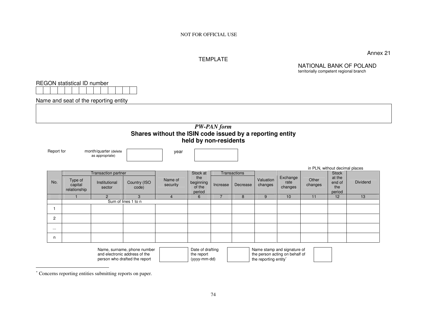#### TEMPLATE

Annex 21

NATIONAL BANK OF POLAND territorially competent regional branch

REGON statistical ID number

Name and seat of the reporting entity

### *PW-PAN form*  **Shares without the ISIN code issued by a reporting entity held by non-residents**

Report for month/quarter (delete as appropriate)

year

|                | in PLN, without decimal places     |                            |                                                                                                                 |                     |                                                                                                                                                                                                                                |          |                     |                      |                                                                                                                                                                                                                                  |                  |                                   |          |
|----------------|------------------------------------|----------------------------|-----------------------------------------------------------------------------------------------------------------|---------------------|--------------------------------------------------------------------------------------------------------------------------------------------------------------------------------------------------------------------------------|----------|---------------------|----------------------|----------------------------------------------------------------------------------------------------------------------------------------------------------------------------------------------------------------------------------|------------------|-----------------------------------|----------|
|                |                                    | <b>Transaction partner</b> |                                                                                                                 |                     | Stock at                                                                                                                                                                                                                       |          | <b>Transactions</b> |                      |                                                                                                                                                                                                                                  |                  | Stock                             |          |
| No.            | Type of<br>capital<br>relationship | Institutional<br>sector    | Country (ISO<br>code)                                                                                           | Name of<br>security | the<br>beginning<br>of the<br>period                                                                                                                                                                                           | Increase | Decrease            | Valuation<br>changes | Exchange<br>rate<br>changes                                                                                                                                                                                                      | Other<br>changes | at the<br>end of<br>the<br>period | Dividend |
|                |                                    | $\mathcal{P}$              | 3                                                                                                               | 4                   | 6                                                                                                                                                                                                                              |          | 8                   | 9                    | 10                                                                                                                                                                                                                               | 11               | 12                                | 13       |
|                |                                    | Sum of lines 1 to n        |                                                                                                                 |                     |                                                                                                                                                                                                                                |          |                     |                      |                                                                                                                                                                                                                                  |                  |                                   |          |
|                |                                    |                            |                                                                                                                 |                     |                                                                                                                                                                                                                                |          |                     |                      |                                                                                                                                                                                                                                  |                  |                                   |          |
| $\overline{2}$ |                                    |                            |                                                                                                                 |                     |                                                                                                                                                                                                                                |          |                     |                      |                                                                                                                                                                                                                                  |                  |                                   |          |
| $\cdots$       |                                    |                            |                                                                                                                 |                     |                                                                                                                                                                                                                                |          |                     |                      |                                                                                                                                                                                                                                  |                  |                                   |          |
| n              |                                    |                            |                                                                                                                 |                     |                                                                                                                                                                                                                                |          |                     |                      |                                                                                                                                                                                                                                  |                  |                                   |          |
|                |                                    | $\sim$ $\sim$              | the contract of the contract of the contract of the contract of the contract of the contract of the contract of |                     | and the contract of the contract of the contract of the contract of the contract of the contract of the contract of the contract of the contract of the contract of the contract of the contract of the contract of the contra |          |                     |                      | $\mathbf{r}$ , and the set of the set of the set of the set of the set of the set of the set of the set of the set of the set of the set of the set of the set of the set of the set of the set of the set of the set of the set |                  |                                   |          |

| Name, surname, phone number   | Date of drafting | Name stamp and signature of       |
|-------------------------------|------------------|-----------------------------------|
| and electronic address of the | the report       | the person acting on behalf of    |
| person who drafted the report | (yyyy-mm-dd)     | the reporting entity <sup>®</sup> |

<sup>∗</sup> Concerns reporting entities submitting reports on paper.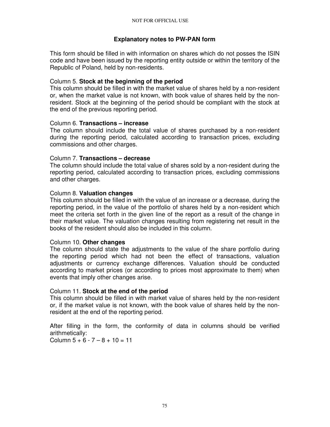### **Explanatory notes to PW-PAN form**

This form should be filled in with information on shares which do not posses the ISIN code and have been issued by the reporting entity outside or within the territory of the Republic of Poland, held by non-residents.

### Column 5. **Stock at the beginning of the period**

This column should be filled in with the market value of shares held by a non-resident or, when the market value is not known, with book value of shares held by the nonresident. Stock at the beginning of the period should be compliant with the stock at the end of the previous reporting period.

### Column 6. **Transactions – increase**

The column should include the total value of shares purchased by a non-resident during the reporting period, calculated according to transaction prices, excluding commissions and other charges.

#### Column 7. **Transactions – decrease**

The column should include the total value of shares sold by a non-resident during the reporting period, calculated according to transaction prices, excluding commissions and other charges.

### Column 8. **Valuation changes**

This column should be filled in with the value of an increase or a decrease, during the reporting period, in the value of the portfolio of shares held by a non-resident which meet the criteria set forth in the given line of the report as a result of the change in their market value. The valuation changes resulting from registering net result in the books of the resident should also be included in this column.

### Column 10. **Other changes**

The column should state the adjustments to the value of the share portfolio during the reporting period which had not been the effect of transactions, valuation adjustments or currency exchange differences. Valuation should be conducted according to market prices (or according to prices most approximate to them) when events that imply other changes arise.

### Column 11. **Stock at the end of the period**

This column should be filled in with market value of shares held by the non-resident or, if the market value is not known, with the book value of shares held by the nonresident at the end of the reporting period.

After filling in the form, the conformity of data in columns should be verified arithmetically:

Column  $5 + 6 - 7 - 8 + 10 = 11$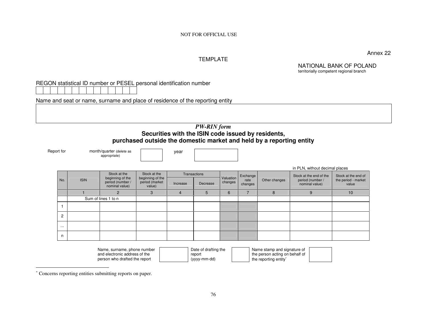Annex 22

#### TEMPLATE

NATIONAL BANK OF POLAND territorially competent regional branch

REGON statistical ID number or PESEL personal identification number

Name and seat or name, surname and place of residence of the reporting entity

#### *PW-RIN form*  **Securities with the ISIN code issued by residents, purchased outside the domestic market and held by a reporting entity**

Report for month/quarter (delete as appropriate)

year

|                     |             |                                    |                                                              |          |              |           |                 |               | in PLN, without decimal places     |                              |
|---------------------|-------------|------------------------------------|--------------------------------------------------------------|----------|--------------|-----------|-----------------|---------------|------------------------------------|------------------------------|
|                     |             | Stock at the<br>beginning of the   | Stock at the<br>beginning of the<br>period (market<br>value) |          | Transactions | Valuation | Exchange        |               | Stock at the end of the            | Stock at the end of          |
| No.                 | <b>ISIN</b> | period (number /<br>nominal value) |                                                              | Increase | Decrease     | changes   | rate<br>changes | Other changes | period (number /<br>nominal value) | the period - market<br>value |
|                     |             | 2                                  | 3                                                            | 4        | 5            | 6         |                 | 8             | 9                                  | 10                           |
| Sum of lines 1 to n |             |                                    |                                                              |          |              |           |                 |               |                                    |                              |
|                     |             |                                    |                                                              |          |              |           |                 |               |                                    |                              |
| $\overline{2}$      |             |                                    |                                                              |          |              |           |                 |               |                                    |                              |
| $\cdots$            |             |                                    |                                                              |          |              |           |                 |               |                                    |                              |
| n                   |             |                                    |                                                              |          |              |           |                 |               |                                    |                              |

| Name, surname, phone number   | Date of drafting the | Name stamp and signature of    |  |
|-------------------------------|----------------------|--------------------------------|--|
| and electronic address of the | report               | the person acting on behalf of |  |
| person who drafted the report | (yyyy-mm-dd)         | the reporting entity*          |  |

<sup>∗</sup> Concerns reporting entities submitting reports on paper.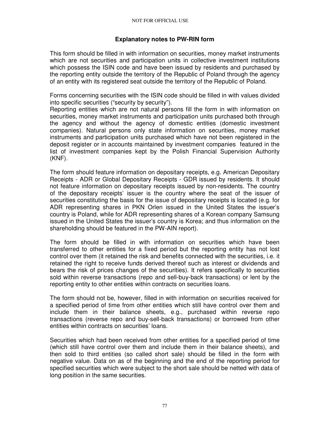### **Explanatory notes to PW-RIN form**

This form should be filled in with information on securities, money market instruments which are not securities and participation units in collective investment institutions which possess the ISIN code and have been issued by residents and purchased by the reporting entity outside the territory of the Republic of Poland through the agency of an entity with its registered seat outside the territory of the Republic of Poland.

Forms concerning securities with the ISIN code should be filled in with values divided into specific securities ("security by security").

Reporting entities which are not natural persons fill the form in with information on securities, money market instruments and participation units purchased both through the agency and without the agency of domestic entities (domestic investment companies). Natural persons only state information on securities, money market instruments and participation units purchased which have not been registered in the deposit register or in accounts maintained by investment companies featured in the list of investment companies kept by the Polish Financial Supervision Authority (KNF).

The form should feature information on depositary receipts, e.g. American Depositary Receipts - ADR or Global Depositary Receipts - GDR issued by residents. It should not feature information on depositary receipts issued by non-residents. The country of the depositary receipts' issuer is the country where the seat of the issuer of securities constituting the basis for the issue of depositary receipts is located (e.g. for ADR representing shares in PKN Orlen issued in the United States the issuer's country is Poland, while for ADR representing shares of a Korean company Samsung issued in the United States the issuer's country is Korea; and thus information on the shareholding should be featured in the PW-AIN report).

The form should be filled in with information on securities which have been transferred to other entities for a fixed period but the reporting entity has not lost control over them (it retained the risk and benefits connected with the securities, i.e. it retained the right to receive funds derived thereof such as interest or dividends and bears the risk of prices changes of the securities). It refers specifically to securities sold within reverse transactions (repo and sell-buy-back transactions) or lent by the reporting entity to other entities within contracts on securities loans.

The form should not be, however, filled in with information on securities received for a specified period of time from other entities which still have control over them and include them in their balance sheets, e.g., purchased within reverse repo transactions (reverse repo and buy-sell-back transactions) or borrowed from other entities within contracts on securities' loans.

Securities which had been received from other entities for a specified period of time (which still have control over them and include them in their balance sheets), and then sold to third entities (so called short sale) should be filled in the form with negative value. Data on as of the beginning and the end of the reporting period for specified securities which were subject to the short sale should be netted with data of long position in the same securities.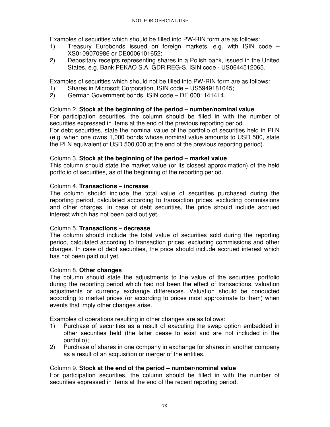Examples of securities which should be filled into PW-RIN form are as follows:

- 1) Treasury Eurobonds issued on foreign markets, e.g. with ISIN code XS0109070986 or DE0006101652;
- 2) Depositary receipts representing shares in a Polish bank, issued in the United States, e.g. Bank PEKAO S.A. GDR REG-S, ISIN code - US0644512065.

Examples of securities which should not be filled into PW-RIN form are as follows:

- 1) Shares in Microsoft Corporation, ISIN code US5949181045;
- 2) German Government bonds, ISIN code DE 0001141414.

### Column 2. **Stock at the beginning of the period – number/nominal value**

For participation securities, the column should be filled in with the number of securities expressed in items at the end of the previous reporting period. For debt securities, state the nominal value of the portfolio of securities held in PLN (e.g. when one owns 1,000 bonds whose nominal value amounts to USD 500, state the PLN equivalent of USD 500,000 at the end of the previous reporting period).

### Column 3. **Stock at the beginning of the period – market value**

This column should state the market value (or its closest approximation) of the held portfolio of securities, as of the beginning of the reporting period.

### Column 4. **Transactions – increase**

The column should include the total value of securities purchased during the reporting period, calculated according to transaction prices, excluding commissions and other charges. In case of debt securities, the price should include accrued interest which has not been paid out yet.

### Column 5. **Transactions – decrease**

The column should include the total value of securities sold during the reporting period, calculated according to transaction prices, excluding commissions and other charges. In case of debt securities, the price should include accrued interest which has not been paid out yet.

### Column 8. **Other changes**

The column should state the adjustments to the value of the securities portfolio during the reporting period which had not been the effect of transactions, valuation adjustments or currency exchange differences. Valuation should be conducted according to market prices (or according to prices most approximate to them) when events that imply other changes arise.

Examples of operations resulting in other changes are as follows:

- 1) Purchase of securities as a result of executing the swap option embedded in other securities held (the latter cease to exist and are not included in the portfolio);
- 2) Purchase of shares in one company in exchange for shares in another company as a result of an acquisition or merger of the entities.

# Column 9. **Stock at the end of the period – number/nominal value**

For participation securities, the column should be filled in with the number of securities expressed in items at the end of the recent reporting period.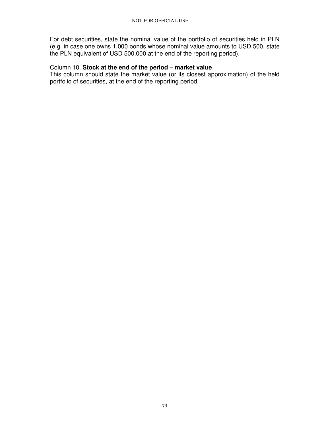For debt securities, state the nominal value of the portfolio of securities held in PLN (e.g. in case one owns 1,000 bonds whose nominal value amounts to USD 500, state the PLN equivalent of USD 500,000 at the end of the reporting period).

#### Column 10. **Stock at the end of the period – market value**

This column should state the market value (or its closest approximation) of the held portfolio of securities, at the end of the reporting period.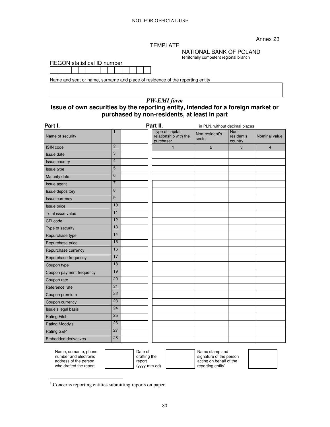Annex 23

#### TEMPLATE

NATIONAL BANK OF POLAND

| <b>REGON</b> statistical ID number |  |  |  |  |  |  |  |  |  |  |  |  |
|------------------------------------|--|--|--|--|--|--|--|--|--|--|--|--|
|                                    |  |  |  |  |  |  |  |  |  |  |  |  |

territorially competent regional branch

|  | Name and seat or name, surname and place of residence of the reporting entity |
|--|-------------------------------------------------------------------------------|
|  |                                                                               |

# *PW-EMI form*

# **Issue of own securities by the reporting entity, intended for a foreign market or purchased by non-residents, at least in part**

| Part I.                     |                 | Part II.                                              | in PLN, without decimal places |                               |                |
|-----------------------------|-----------------|-------------------------------------------------------|--------------------------------|-------------------------------|----------------|
| Name of security            | $\mathbf{1}$    | Type of capital<br>relationship with the<br>purchaser | Non-resident's<br>sector       | Non-<br>resident's<br>country | Nominal value  |
| <b>ISIN</b> code            | $\overline{2}$  | $\overline{1}$                                        | $\overline{2}$                 | 3                             | $\overline{4}$ |
| <b>Issue date</b>           | 3               |                                                       |                                |                               |                |
| <b>Issue country</b>        | $\overline{4}$  |                                                       |                                |                               |                |
| Issue type                  | 5               |                                                       |                                |                               |                |
| Maturity date               | 6               |                                                       |                                |                               |                |
| Issue agent                 | $\overline{7}$  |                                                       |                                |                               |                |
| <b>Issue depository</b>     | 8               |                                                       |                                |                               |                |
| <b>Issue currency</b>       | 9               |                                                       |                                |                               |                |
| <b>Issue price</b>          | 10              |                                                       |                                |                               |                |
| Total issue value           | 11              |                                                       |                                |                               |                |
| CFI code                    | 12              |                                                       |                                |                               |                |
| Type of security            | 13              |                                                       |                                |                               |                |
| Repurchase type             | 14              |                                                       |                                |                               |                |
| Repurchase price            | 15              |                                                       |                                |                               |                |
| Repurchase currency         | 16              |                                                       |                                |                               |                |
| Repurchase frequency        | 17              |                                                       |                                |                               |                |
| Coupon type                 | 18              |                                                       |                                |                               |                |
| Coupon payment frequency    | 19              |                                                       |                                |                               |                |
| Coupon rate                 | 20              |                                                       |                                |                               |                |
| Reference rate              | 21              |                                                       |                                |                               |                |
| Coupon premium              | $\overline{22}$ |                                                       |                                |                               |                |
| Coupon currency             | 23              |                                                       |                                |                               |                |
| Issue's legal basis         | 24              |                                                       |                                |                               |                |
| <b>Rating Fitch</b>         | 25              |                                                       |                                |                               |                |
| Rating Moody's              | 26              |                                                       |                                |                               |                |
| Rating S&P                  | 27              |                                                       |                                |                               |                |
| <b>Embedded derivatives</b> | 28              |                                                       |                                |                               |                |

| Name, surname, phone   | Date of      |                   | Name stamp and          |
|------------------------|--------------|-------------------|-------------------------|
| number and electronic  | drafting the |                   | signature of the person |
| address of the person  | report       |                   | acting on behalf of the |
| who drafted the report | (yyyy-mm-dd) | reporting entity* |                         |
|                        |              |                   |                         |

 $\overline{a}$ 

<sup>∗</sup> Concerns reporting entities submitting reports on paper.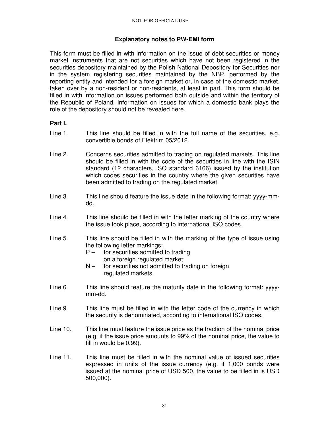### **Explanatory notes to PW-EMI form**

This form must be filled in with information on the issue of debt securities or money market instruments that are not securities which have not been registered in the securities depository maintained by the Polish National Depository for Securities nor in the system registering securities maintained by the NBP, performed by the reporting entity and intended for a foreign market or, in case of the domestic market, taken over by a non-resident or non-residents, at least in part. This form should be filled in with information on issues performed both outside and within the territory of the Republic of Poland. Information on issues for which a domestic bank plays the role of the depository should not be revealed here.

### **Part I.**

- Line 1. This line should be filled in with the full name of the securities, e.g. convertible bonds of Elektrim 05/2012.
- Line 2. Concerns securities admitted to trading on regulated markets. This line should be filled in with the code of the securities in line with the ISIN standard (12 characters, ISO standard 6166) issued by the institution which codes securities in the country where the given securities have been admitted to trading on the regulated market.
- Line 3. This line should feature the issue date in the following format: yyyy-mmdd.
- Line 4. This line should be filled in with the letter marking of the country where the issue took place, according to international ISO codes.
- Line 5. This line should be filled in with the marking of the type of issue using the following letter markings:
	- $P -$  for securities admitted to trading on a foreign regulated market;
	- $N -$  for securities not admitted to trading on foreign regulated markets.
- Line 6. This line should feature the maturity date in the following format: yyyymm-dd.
- Line 9. This line must be filled in with the letter code of the currency in which the security is denominated, according to international ISO codes.
- Line 10. This line must feature the issue price as the fraction of the nominal price (e.g. if the issue price amounts to 99% of the nominal price, the value to fill in would be 0.99).
- Line 11. This line must be filled in with the nominal value of issued securities expressed in units of the issue currency (e.g. if 1,000 bonds were issued at the nominal price of USD 500, the value to be filled in is USD 500,000).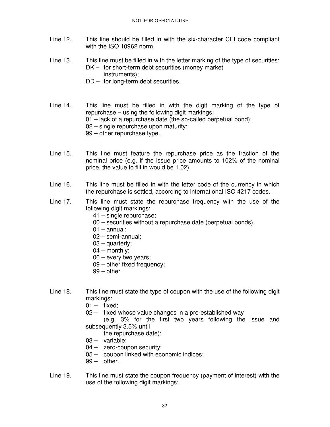- Line 12. This line should be filled in with the six-character CFI code compliant with the ISO 10962 norm.
- Line 13. This line must be filled in with the letter marking of the type of securities: DK – for short-term debt securities (money market instruments);
	- DD for long-term debt securities.

Line 14. This line must be filled in with the digit marking of the type of repurchase – using the following digit markings: 01 – lack of a repurchase date (the so-called perpetual bond); 02 – single repurchase upon maturity; 99 – other repurchase type.

- Line 15. This line must feature the repurchase price as the fraction of the nominal price (e.g. if the issue price amounts to 102% of the nominal price, the value to fill in would be 1.02).
- Line 16. This line must be filled in with the letter code of the currency in which the repurchase is settled, according to international ISO 4217 codes.
- Line 17. This line must state the repurchase frequency with the use of the following digit markings:
	- 41 single repurchase;
	- 00 securities without a repurchase date (perpetual bonds);
	- $01 -$ annual:
	- 02 semi-annual;
	- 03 quarterly;
	- 04 monthly;
	- 06 every two years;
	- 09 other fixed frequency;
	- 99 other.
- Line 18. This line must state the type of coupon with the use of the following digit markings:
	- $01 -$  fixed;
	- 02 fixed whose value changes in a pre-established way

 (e.g. 3% for the first two years following the issue and subsequently 3.5% until

the repurchase date);

- 03 variable;
- 04 zero-coupon security;
- 05 coupon linked with economic indices;
- $99 -$  other.
- Line 19. This line must state the coupon frequency (payment of interest) with the use of the following digit markings: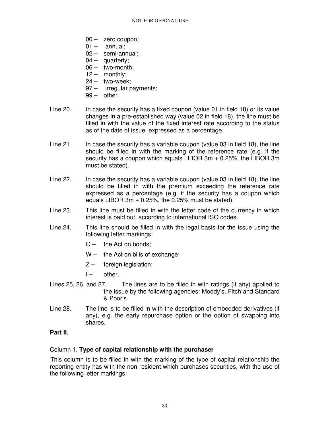- 00 zero coupon;
- $01 -$  annual;
- 02 semi-annual;
- $04 -$  quarterly;
- 06 two-month;
- 12 monthly;
- $24 -$  two-week;
- 97 irregular payments;
- $99 -$  other.
- Line 20. In case the security has a fixed coupon (value 01 in field 18) or its value changes in a pre-established way (value 02 in field 18), the line must be filled in with the value of the fixed interest rate according to the status as of the date of issue, expressed as a percentage.
- Line 21. In case the security has a variable coupon (value 03 in field 18), the line should be filled in with the marking of the reference rate (e.g. if the security has a coupon which equals LIBOR 3m + 0.25%, the LIBOR 3m must be stated).
- Line 22. In case the security has a variable coupon (value 03 in field 18), the line should be filled in with the premium exceeding the reference rate expressed as a percentage (e.g. if the security has a coupon which equals LIBOR  $3m + 0.25\%$ , the 0.25% must be stated).
- Line 23. This line must be filled in with the letter code of the currency in which interest is paid out, according to international ISO codes.
- Line 24. This line should be filled in with the legal basis for the issue using the following letter markings:
	- $O -$  the Act on bonds;
	- W the Act on bills of exchange;
	- Z foreign legislation;
	- $I -$  other.
- Lines 25, 26, and 27. The lines are to be filled in with ratings (if any) applied to the issue by the following agencies: Moody's, Fitch and Standard & Poor's.
- Line 28. The line is to be filled in with the description of embedded derivatives (if any), e.g. the early repurchase option or the option of swapping into shares.

# **Part II.**

### Column 1. **Type of capital relationship with the purchaser**

This column is to be filled in with the marking of the type of capital relationship the reporting entity has with the non-resident which purchases securities, with the use of the following letter markings: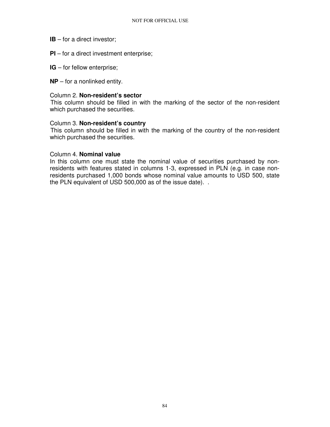- **IB** for a direct investor;
- **PI** for a direct investment enterprise;
- **IG** for fellow enterprise;
- **NP** for a nonlinked entity.

#### Column 2. **Non-resident's sector**

This column should be filled in with the marking of the sector of the non-resident which purchased the securities.

#### Column 3. **Non-resident's country**

This column should be filled in with the marking of the country of the non-resident which purchased the securities.

#### Column 4. **Nominal value**

In this column one must state the nominal value of securities purchased by nonresidents with features stated in columns 1-3, expressed in PLN (e.g. in case nonresidents purchased 1,000 bonds whose nominal value amounts to USD 500, state the PLN equivalent of USD 500,000 as of the issue date). .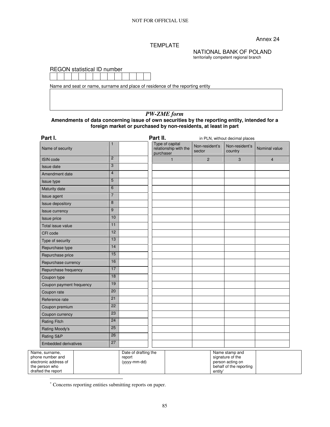Annex 24

#### TEMPLATE

NATIONAL BANK OF POLAND territorially competent regional branch

behalf of the reporting

entity<sup>∗</sup>

REGON statistical ID number



Name and seat or name, surname and place of residence of the reporting entity

# *PW-ZME form*

**Amendments of data concerning issue of own securities by the reporting entity, intended for a foreign market or purchased by non-residents, at least in part** 

| Part I.                                                     |                 |                                                | Part II.                                              |                          | in PLN, without decimal places                         |                |
|-------------------------------------------------------------|-----------------|------------------------------------------------|-------------------------------------------------------|--------------------------|--------------------------------------------------------|----------------|
| Name of security                                            |                 |                                                | Type of capital<br>relationship with the<br>purchaser | Non-resident's<br>sector | Non-resident's<br>country                              | Nominal value  |
| <b>ISIN</b> code                                            | $\overline{2}$  |                                                | $\mathbf{1}$                                          | $\overline{2}$           | 3                                                      | $\overline{4}$ |
| Issue date                                                  | 3               |                                                |                                                       |                          |                                                        |                |
| Amendment date                                              | $\overline{4}$  |                                                |                                                       |                          |                                                        |                |
| Issue type                                                  | 5               |                                                |                                                       |                          |                                                        |                |
| Maturity date                                               | 6               |                                                |                                                       |                          |                                                        |                |
| Issue agent                                                 | $\overline{7}$  |                                                |                                                       |                          |                                                        |                |
| Issue depository                                            | 8               |                                                |                                                       |                          |                                                        |                |
| <b>Issue currency</b>                                       | 9               |                                                |                                                       |                          |                                                        |                |
| Issue price                                                 | 10              |                                                |                                                       |                          |                                                        |                |
| Total issue value                                           | 11              |                                                |                                                       |                          |                                                        |                |
| CFI code                                                    | 12              |                                                |                                                       |                          |                                                        |                |
| Type of security                                            | 13              |                                                |                                                       |                          |                                                        |                |
| Repurchase type                                             | 14              |                                                |                                                       |                          |                                                        |                |
| Repurchase price                                            | 15              |                                                |                                                       |                          |                                                        |                |
| Repurchase currency                                         | 16              |                                                |                                                       |                          |                                                        |                |
| Repurchase frequency                                        | 17              |                                                |                                                       |                          |                                                        |                |
| Coupon type                                                 | 18              |                                                |                                                       |                          |                                                        |                |
| Coupon payment frequency                                    | 19              |                                                |                                                       |                          |                                                        |                |
| Coupon rate                                                 | $\overline{20}$ |                                                |                                                       |                          |                                                        |                |
| Reference rate                                              | 21              |                                                |                                                       |                          |                                                        |                |
| Coupon premium                                              | $\overline{22}$ |                                                |                                                       |                          |                                                        |                |
| Coupon currency                                             | 23              |                                                |                                                       |                          |                                                        |                |
| <b>Rating Fitch</b>                                         | 24              |                                                |                                                       |                          |                                                        |                |
| Rating Moody's                                              | $\overline{25}$ |                                                |                                                       |                          |                                                        |                |
| Rating S&P                                                  | 26              |                                                |                                                       |                          |                                                        |                |
| <b>Embedded derivatives</b>                                 | $\overline{27}$ |                                                |                                                       |                          |                                                        |                |
| Name, surname,<br>phone number and<br>electronic address of |                 | Date of drafting the<br>report<br>(yyyy-mm-dd) |                                                       |                          | Name stamp and<br>signature of the<br>person acting on |                |

∗ Concerns reporting entities submitting reports on paper.

the person who drafted the report

 $\overline{a}$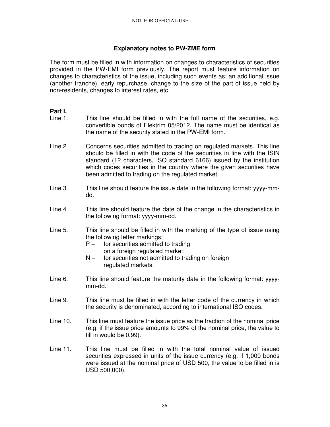### **Explanatory notes to PW-ZME form**

The form must be filled in with information on changes to characteristics of securities provided in the PW-EMI form previously. The report must feature information on changes to characteristics of the issue, including such events as: an additional issue (another tranche), early repurchase, change to the size of the part of issue held by non-residents, changes to interest rates, etc.

### **Part I.**

- Line 1. This line should be filled in with the full name of the securities, e.g. convertible bonds of Elektrim 05/2012. The name must be identical as the name of the security stated in the PW-EMI form.
- Line 2. Concerns securities admitted to trading on regulated markets. This line should be filled in with the code of the securities in line with the ISIN standard (12 characters, ISO standard 6166) issued by the institution which codes securities in the country where the given securities have been admitted to trading on the regulated market.
- Line 3. This line should feature the issue date in the following format: yyyy-mmdd.
- Line 4. This line should feature the date of the change in the characteristics in the following format: yyyy-mm-dd.
- Line 5. This line should be filled in with the marking of the type of issue using the following letter markings:
	- $P -$  for securities admitted to trading on a foreign regulated market;
	- $N -$  for securities not admitted to trading on foreign regulated markets.
- Line 6. This line should feature the maturity date in the following format: yyyymm-dd.
- Line 9. This line must be filled in with the letter code of the currency in which the security is denominated, according to international ISO codes.
- Line 10. This line must feature the issue price as the fraction of the nominal price (e.g. if the issue price amounts to 99% of the nominal price, the value to fill in would be 0.99).
- Line 11. This line must be filled in with the total nominal value of issued securities expressed in units of the issue currency (e.g. if 1,000 bonds were issued at the nominal price of USD 500, the value to be filled in is USD 500,000).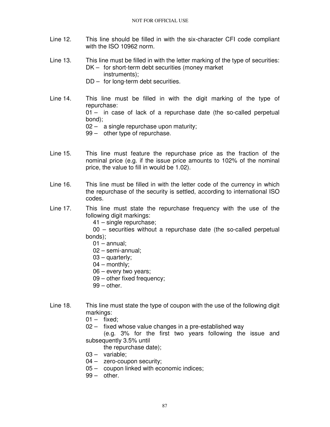- Line 12. This line should be filled in with the six-character CFI code compliant with the ISO 10962 norm.
- Line 13. This line must be filled in with the letter marking of the type of securities: DK – for short-term debt securities (money market instruments);
	- DD for long-term debt securities.
- Line 14. This line must be filled in with the digit marking of the type of repurchase: 01 – in case of lack of a repurchase date (the so-called perpetual bond); 02 – a single repurchase upon maturity; 99 – other type of repurchase.
- Line 15. This line must feature the repurchase price as the fraction of the nominal price (e.g. if the issue price amounts to 102% of the nominal price, the value to fill in would be 1.02).
- Line 16. This line must be filled in with the letter code of the currency in which the repurchase of the security is settled, according to international ISO codes.
- Line 17. This line must state the repurchase frequency with the use of the following digit markings:

41 – single repurchase;

 00 – securities without a repurchase date (the so-called perpetual bonds);

- $01 -$ annual;
- 02 semi-annual;
- 03 quarterly;
- 04 monthly;
- 06 every two years;
- 09 other fixed frequency;
- $99$  other.
- Line 18. This line must state the type of coupon with the use of the following digit markings:
	- $01 -$  fixed;
	- 02 fixed whose value changes in a pre-established way

 (e.g. 3% for the first two years following the issue and subsequently 3.5% until

- the repurchase date);
- 03 variable;
- 04 zero-coupon security;
- 05 coupon linked with economic indices;
- 99 other.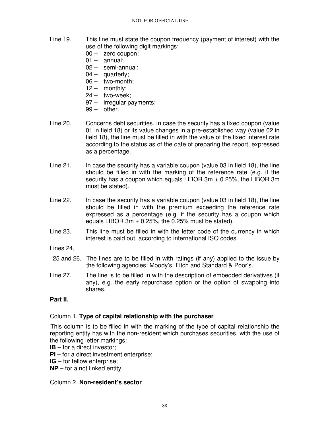- Line 19. This line must state the coupon frequency (payment of interest) with the use of the following digit markings:
	- 00 zero coupon;
	- $01 -$  annual:
	- 02 semi-annual;
	- 04 quarterly;
	- 06 two-month;
	- 12 monthly;
	- 24 two-week;
	- 97 irregular payments;
	- 99 other.
- Line 20. Concerns debt securities. In case the security has a fixed coupon (value 01 in field 18) or its value changes in a pre-established way (value 02 in field 18), the line must be filled in with the value of the fixed interest rate according to the status as of the date of preparing the report, expressed as a percentage.
- Line 21. In case the security has a variable coupon (value 03 in field 18), the line should be filled in with the marking of the reference rate (e.g. if the security has a coupon which equals LIBOR 3m + 0.25%, the LIBOR 3m must be stated).
- Line 22. In case the security has a variable coupon (value 03 in field 18), the line should be filled in with the premium exceeding the reference rate expressed as a percentage (e.g. if the security has a coupon which equals LIBOR 3m + 0.25%, the 0.25% must be stated).
- Line 23. This line must be filled in with the letter code of the currency in which interest is paid out, according to international ISO codes.
- Lines 24,
- 25 and 26. The lines are to be filled in with ratings (if any) applied to the issue by the following agencies: Moody's, Fitch and Standard & Poor's.
- Line 27. The line is to be filled in with the description of embedded derivatives (if any), e.g. the early repurchase option or the option of swapping into shares.

# **Part II.**

### Column 1. **Type of capital relationship with the purchaser**

This column is to be filled in with the marking of the type of capital relationship the reporting entity has with the non-resident which purchases securities, with the use of the following letter markings:

- **IB** for a direct investor;
- **PI** for a direct investment enterprise;
- **IG** for fellow enterprise;
- **NP** for a not linked entity.

### Column 2. **Non-resident's sector**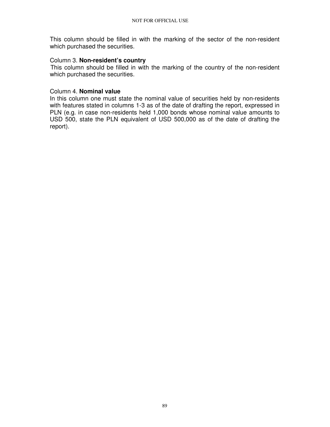This column should be filled in with the marking of the sector of the non-resident which purchased the securities.

#### Column 3. **Non-resident's country**

This column should be filled in with the marking of the country of the non-resident which purchased the securities.

#### Column 4. **Nominal value**

In this column one must state the nominal value of securities held by non-residents with features stated in columns 1-3 as of the date of drafting the report, expressed in PLN (e.g. in case non-residents held 1,000 bonds whose nominal value amounts to USD 500, state the PLN equivalent of USD 500,000 as of the date of drafting the report).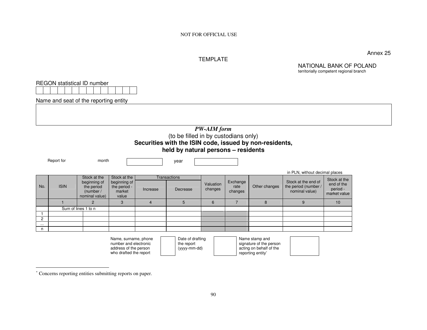#### TEMPLATE

Annex 25

NATIONAL BANK OF POLAND territorially competent regional branch*PW-AIM form* (to be filled in by custodians only)

# **Securities with the ISIN code, issued by non-residents,**

|  | held by natural persons – residents |  |
|--|-------------------------------------|--|
|  |                                     |  |

|          |             |                                                                           |                                                                 |          |                                 |                      |                             |                | in PLN, without decimal places                                |                                                        |
|----------|-------------|---------------------------------------------------------------------------|-----------------------------------------------------------------|----------|---------------------------------|----------------------|-----------------------------|----------------|---------------------------------------------------------------|--------------------------------------------------------|
| No.      | <b>ISIN</b> | Stock at the<br>beginning of<br>the period<br>(number /<br>nominal value) | Stock at the<br>beginning of<br>the period -<br>market<br>value | Increase | <b>Transactions</b><br>Decrease | Valuation<br>changes | Exchange<br>rate<br>changes | Other changes  | Stock at the end of<br>the period (number /<br>nominal value) | Stock at the<br>end of the<br>period -<br>market value |
|          |             | 2                                                                         | 3                                                               |          | 5                               | 6                    |                             | 8              |                                                               | 10                                                     |
|          |             | Sum of lines 1 to n                                                       |                                                                 |          |                                 |                      |                             |                |                                                               |                                                        |
|          |             |                                                                           |                                                                 |          |                                 |                      |                             |                |                                                               |                                                        |
| 2        |             |                                                                           |                                                                 |          |                                 |                      |                             |                |                                                               |                                                        |
| $\cdots$ |             |                                                                           |                                                                 |          |                                 |                      |                             |                |                                                               |                                                        |
| n        |             |                                                                           |                                                                 |          |                                 |                      |                             |                |                                                               |                                                        |
|          |             |                                                                           | Name, surname, phone                                            |          | Date of drafting                |                      |                             | Name stamp and |                                                               |                                                        |

Name, surname, phone<br>number and electronic address of the person who drafted the report

Report for month month year

Date of drafting the report (yyyy-mm-dd)

Name stamp and signature of the person acting on behalf of the reporting entity<sup>∗</sup>

REGON statistical ID number

Name and seat of the reporting entity

<sup>∗</sup> Concerns reporting entities submitting reports on paper.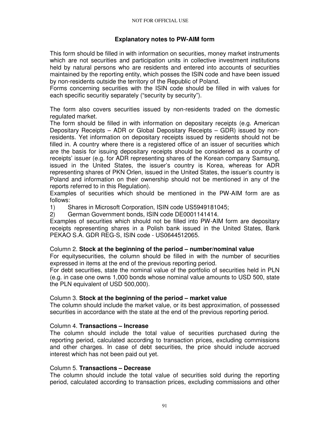### **Explanatory notes to PW-AIM form**

This form should be filled in with information on securities, money market instruments which are not securities and participation units in collective investment institutions held by natural persons who are residents and entered into accounts of securities maintained by the reporting entity, which posses the ISIN code and have been issued by non-residents outside the territory of the Republic of Poland.

Forms concerning securities with the ISIN code should be filled in with values for each specific securitiy separately ("security by security").

The form also covers securities issued by non-residents traded on the domestic regulated market.

The form should be filled in with information on depositary receipts (e.g. American Depositary Receipts – ADR or Global Depositary Receipts – GDR) issued by nonresidents. Yet information on depositary receipts issued by residents should not be filled in. A country where there is a registered office of an issuer of securities which are the basis for issuing depositary receipts should be considered as a country of receipts' issuer (e.g. for ADR representing shares of the Korean company Samsung, issued in the United States, the issuer's country is Korea, whereas for ADR representing shares of PKN Orlen, issued in the United States, the issuer's country is Poland and information on their ownership should not be mentioned in any of the reports referred to in this Regulation).

Examples of securities which should be mentioned in the PW-AIM form are as follows:

1) Shares in Microsoft Corporation, ISIN code US5949181045;

2) German Government bonds, ISIN code DE0001141414.

Examples of securities which should not be filled into PW-AIM form are depositary receipts representing shares in a Polish bank issued in the United States, Bank PEKAO S.A. GDR REG-S, ISIN code - US0644512065.

#### Column 2. **Stock at the beginning of the period – number/nominal value**

For equitysecurities, the column should be filled in with the number of securities expressed in items at the end of the previous reporting period.

For debt securities, state the nominal value of the portfolio of securities held in PLN (e.g. in case one owns 1,000 bonds whose nominal value amounts to USD 500, state the PLN equivalent of USD 500,000).

### Column 3. **Stock at the beginning of the period – market value**

The column should include the market value, or its best approximation, of possessed securities in accordance with the state at the end of the previous reporting period.

#### Column 4. **Transactions – Increase**

The column should include the total value of securities purchased during the reporting period, calculated according to transaction prices, excluding commissions and other charges. In case of debt securities, the price should include accrued interest which has not been paid out yet.

#### Column 5. **Transactions – Decrease**

The column should include the total value of securities sold during the reporting period, calculated according to transaction prices, excluding commissions and other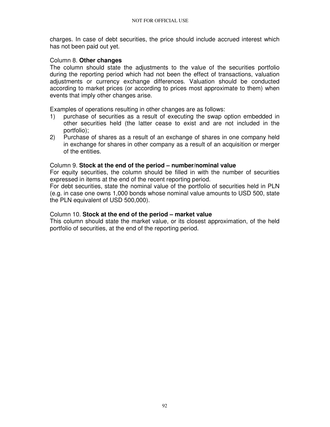charges. In case of debt securities, the price should include accrued interest which has not been paid out yet.

### Column 8. **Other changes**

The column should state the adjustments to the value of the securities portfolio during the reporting period which had not been the effect of transactions, valuation adjustments or currency exchange differences. Valuation should be conducted according to market prices (or according to prices most approximate to them) when events that imply other changes arise.

Examples of operations resulting in other changes are as follows:

- 1) purchase of securities as a result of executing the swap option embedded in other securities held (the latter cease to exist and are not included in the portfolio);
- 2) Purchase of shares as a result of an exchange of shares in one company held in exchange for shares in other company as a result of an acquisition or merger of the entities.

#### Column 9. **Stock at the end of the period – number/nominal value**

For equity securities, the column should be filled in with the number of securities expressed in items at the end of the recent reporting period.

For debt securities, state the nominal value of the portfolio of securities held in PLN (e.g. in case one owns 1,000 bonds whose nominal value amounts to USD 500, state the PLN equivalent of USD 500,000).

#### Column 10. **Stock at the end of the period – market value**

This column should state the market value, or its closest approximation, of the held portfolio of securities, at the end of the reporting period.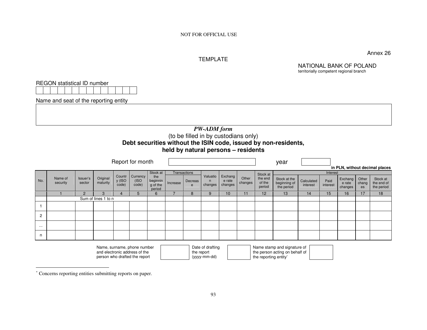#### TEMPLATE

Annex 26

NATIONAL BANK OF POLAND

territorially competent regional branchREGON statistical ID number Name and seat of the reporting entity *PW-ADM form*  (to be filled in by custodians only) **Debt securities without the ISIN code, issued by non-residents, held by natural persons – residents** Report for month and the set of the set of the set of the set of the set of the set of the set of the set of the set of the set of the set of the set of the set of the set of the set of the set of the set of the set of the **in PLN, without decimal places**Transactions Interest No. Name of Issuer's Original Countr Currency<br>security sector maturity  $y$  (ISO code)<br>code) Stock at the beginnin g of the period Increase **Decreas** e Valuation changes Exchang e rate changes **Other**  changes Stock at the end of the period Stock at the beginning of the period Calculated interest Paid interest Exchang e rate changes **Other**  chang es Stock at the end of the period 1 2 3 4 5 6 7 8 9 10 11 12 1 13 1 14 1 15 1 16 17 18 Sum of lines 1 to n 1 2 ... n Name, surname, phone number and electronic address of the person who drafted the reportDate of drafting the report (yyyy-mm-dd)Name stamp and signature of the person acting on behalf of the reporting entity<sup>\*</sup>

<sup>∗</sup> Concerns reporting entities submitting reports on paper.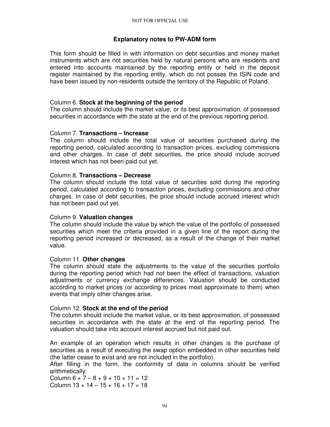### **Explanatory notes to PW-ADM form**

This form should be filled in with information on debt securities and money market instruments which are not securities held by natural persons who are residents and entered into accounts maintained by the reporting entity or held in the deposit register maintained by the reporting entity, which do not posses the ISIN code and have been issued by non-residents outside the territory of the Republic of Poland.

### Column 6. **Stock at the beginning of the period**

The column should include the market value, or its best approximation, of possessed securities in accordance with the state at the end of the previous reporting period.

### Column 7. **Transactions – Increase**

The column should include the total value of securities purchased during the reporting period, calculated according to transaction prices, excluding commissions and other charges. In case of debt securities, the price should include accrued interest which has not been paid out yet.

#### Column 8. **Transactions – Decrease**

The column should include the total value of securities sold during the reporting period, calculated according to transaction prices, excluding commissions and other charges. In case of debt securities, the price should include accrued interest which has not been paid out yet.

### Column 9. **Valuation changes**

The column should include the value by which the value of the portfolio of possessed securities which meet the criteria provided in a given line of the report during the reporting period increased or decreased, as a result of the change of their market value.

### Column 11. **Other changes**

The column should state the adjustments to the value of the securities portfolio during the reporting period which had not been the effect of transactions, valuation adjustments or currency exchange differences. Valuation should be conducted according to market prices (or according to prices most approximate to them) when events that imply other changes arise.

### Column 12. **Stock at the end of the period**

The column should include the market value, or its best approximation, of possessed securities in accordance with the state at the end of the reporting period. The valuation should take into account interest accrued but not paid out.

An example of an operation which results in other changes is the purchase of securities as a result of executing the swap option embedded in other securities held (the latter cease to exist and are not included in the portfolio).

After filling in the form, the conformity of data in columns should be verified arithmetically:

Column  $6 + 7 - 8 + 9 + 10 + 11 = 12$ Column  $13 + 14 - 15 + 16 + 17 = 18$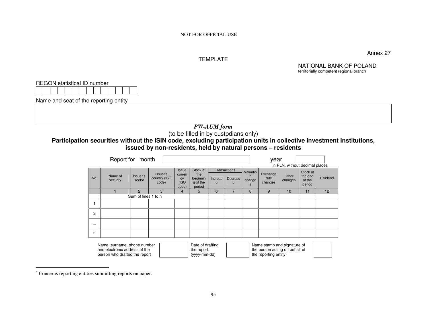#### TEMPLATE

Annex 27

NATIONAL BANK OF POLAND territorially competent regional branch

REGON statistical ID number

Name and seat of the reporting entity

#### *PW-AUM form* (to be filled in by custodians only)

#### **Participation securities without the ISIN code, excluding participation units in collective investment institutions, issued by non-residents, held by natural persons – residents**

|                | Report for month                                                                              |                     |                                   |                                               |                                                   |                         |                                     |                              | year                                                                                   | in PLN, without decimal places |                                         |                 |
|----------------|-----------------------------------------------------------------------------------------------|---------------------|-----------------------------------|-----------------------------------------------|---------------------------------------------------|-------------------------|-------------------------------------|------------------------------|----------------------------------------------------------------------------------------|--------------------------------|-----------------------------------------|-----------------|
| No.            | Name of<br>security                                                                           | Issuer's<br>sector  | Issuer's<br>country (ISO<br>code) | <b>Issue</b><br>curren<br>cy<br>(ISO<br>code) | Stock at<br>the<br>beginnin<br>g of the<br>period | Increas<br>$\mathbf{e}$ | <b>Transactions</b><br>Decreas<br>e | Valuatio<br>n<br>change<br>S | Exchange<br>rate<br>changes                                                            | Other<br>changes               | Stock at<br>the end<br>of the<br>period | <b>Dividend</b> |
|                |                                                                                               | $\overline{2}$      | 3                                 | 4                                             | 5                                                 | 6                       |                                     | 8                            | 9                                                                                      | 10                             | 11                                      | 12              |
|                |                                                                                               | Sum of lines 1 to n |                                   |                                               |                                                   |                         |                                     |                              |                                                                                        |                                |                                         |                 |
|                |                                                                                               |                     |                                   |                                               |                                                   |                         |                                     |                              |                                                                                        |                                |                                         |                 |
| $\overline{2}$ |                                                                                               |                     |                                   |                                               |                                                   |                         |                                     |                              |                                                                                        |                                |                                         |                 |
| $\cdots$       |                                                                                               |                     |                                   |                                               |                                                   |                         |                                     |                              |                                                                                        |                                |                                         |                 |
| n              |                                                                                               |                     |                                   |                                               |                                                   |                         |                                     |                              |                                                                                        |                                |                                         |                 |
|                | Name, surname, phone number<br>and electronic address of the<br>person who drafted the report |                     |                                   |                                               | Date of drafting<br>the report<br>(yyyy-mm-dd)    |                         |                                     |                              | Name stamp and signature of<br>the person acting on behalf of<br>the reporting entity* |                                |                                         |                 |

the reporting entity<sup>∗</sup>

<sup>∗</sup> Concerns reporting entities submitting reports on paper.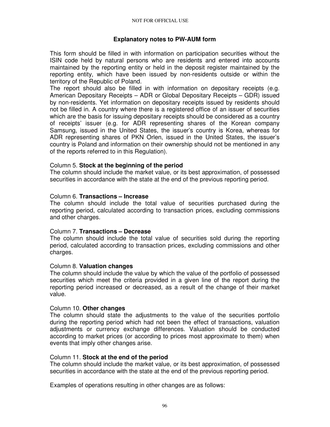### **Explanatory notes to PW-AUM form**

This form should be filled in with information on participation securities without the ISIN code held by natural persons who are residents and entered into accounts maintained by the reporting entity or held in the deposit register maintained by the reporting entity, which have been issued by non-residents outside or within the territory of the Republic of Poland.

The report should also be filled in with information on depositary receipts (e.g. American Depositary Receipts – ADR or Global Depositary Receipts – GDR) issued by non-residents. Yet information on depositary receipts issued by residents should not be filled in. A country where there is a registered office of an issuer of securities which are the basis for issuing depositary receipts should be considered as a country of receipts' issuer (e.g. for ADR representing shares of the Korean company Samsung, issued in the United States, the issuer's country is Korea, whereas for ADR representing shares of PKN Orlen, issued in the United States, the issuer's country is Poland and information on their ownership should not be mentioned in any of the reports referred to in this Regulation).

#### Column 5. **Stock at the beginning of the period**

The column should include the market value, or its best approximation, of possessed securities in accordance with the state at the end of the previous reporting period.

#### Column 6. **Transactions – Increase**

The column should include the total value of securities purchased during the reporting period, calculated according to transaction prices, excluding commissions and other charges.

#### Column 7. **Transactions – Decrease**

The column should include the total value of securities sold during the reporting period, calculated according to transaction prices, excluding commissions and other charges.

#### Column 8. **Valuation changes**

The column should include the value by which the value of the portfolio of possessed securities which meet the criteria provided in a given line of the report during the reporting period increased or decreased, as a result of the change of their market value.

#### Column 10. **Other changes**

The column should state the adjustments to the value of the securities portfolio during the reporting period which had not been the effect of transactions, valuation adjustments or currency exchange differences. Valuation should be conducted according to market prices (or according to prices most approximate to them) when events that imply other changes arise.

#### Column 11. **Stock at the end of the period**

The column should include the market value, or its best approximation, of possessed securities in accordance with the state at the end of the previous reporting period.

Examples of operations resulting in other changes are as follows: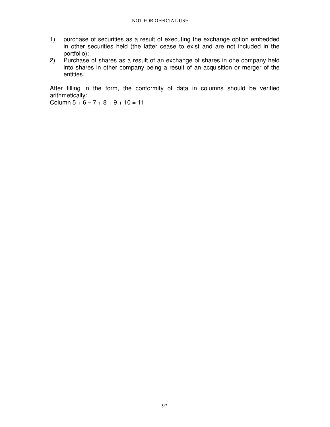- 1) purchase of securities as a result of executing the exchange option embedded in other securities held (the latter cease to exist and are not included in the portfolio);
- 2) Purchase of shares as a result of an exchange of shares in one company held into shares in other company being a result of an acquisition or merger of the entities.

After filling in the form, the conformity of data in columns should be verified arithmetically:

Column  $5 + 6 - 7 + 8 + 9 + 10 = 11$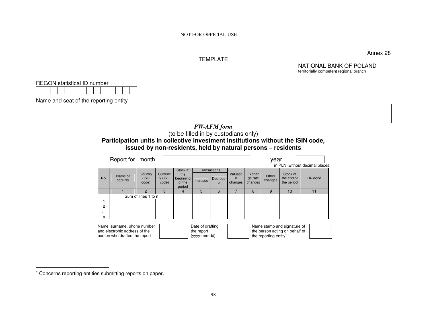#### TEMPLATE

Annex 28

NATIONAL BANK OF POLAND territorially competent regional branch

REGON statistical ID number

Name and seat of the reporting entity

#### *PW-AFM form*  (to be filled in by custodians only) **Participation units in collective investment institutions without the ISIN code, issued by non-residents, held by natural persons – residents**

|          | Report for month                                                                              |                           |                            |                                                  |                                                |                              |                          |                              | year                  |                                                               |                                |
|----------|-----------------------------------------------------------------------------------------------|---------------------------|----------------------------|--------------------------------------------------|------------------------------------------------|------------------------------|--------------------------|------------------------------|-----------------------|---------------------------------------------------------------|--------------------------------|
|          |                                                                                               |                           |                            |                                                  |                                                |                              |                          |                              |                       |                                                               | in PLN, without decimal places |
| No.      | Name of<br>security                                                                           | Country<br>(ISO)<br>code) | Currenc<br>y (ISO<br>code) | Stock at<br>the<br>beginning<br>of the<br>period | Increase                                       | Transactions<br>Decreas<br>e | Valuatio<br>n<br>changes | Exchan<br>ge rate<br>changes | Other<br>changes      | Stock at<br>the end of<br>the period                          | <b>Dividend</b>                |
|          |                                                                                               | 2                         | 3                          | 4                                                | 5                                              | 6                            |                          | 8                            | 9                     | 10                                                            | 11                             |
|          | Sum of lines 1 to n                                                                           |                           |                            |                                                  |                                                |                              |                          |                              |                       |                                                               |                                |
|          |                                                                                               |                           |                            |                                                  |                                                |                              |                          |                              |                       |                                                               |                                |
| 2        |                                                                                               |                           |                            |                                                  |                                                |                              |                          |                              |                       |                                                               |                                |
| $\cdots$ |                                                                                               |                           |                            |                                                  |                                                |                              |                          |                              |                       |                                                               |                                |
| n        |                                                                                               |                           |                            |                                                  |                                                |                              |                          |                              |                       |                                                               |                                |
|          | Name, surname, phone number<br>and electronic address of the<br>person who drafted the report |                           |                            |                                                  | Date of drafting<br>the report<br>(yyyy-mm-dd) |                              |                          |                              | the reporting entity* | Name stamp and signature of<br>the person acting on behalf of |                                |

<sup>∗</sup> Concerns reporting entities submitting reports on paper.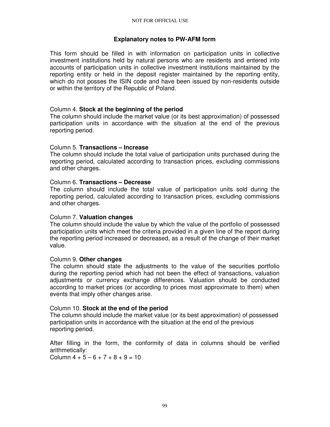### **Explanatory notes to PW-AFM form**

This form should be filled in with information on participation units in collective investment institutions held by natural persons who are residents and entered into accounts of participation units in collective investment institutions maintained by the reporting entity or held in the deposit register maintained by the reporting entity, which do not posses the ISIN code and have been issued by non-residents outside or within the territory of the Republic of Poland.

### Column 4. **Stock at the beginning of the period**

The column should include the market value (or its best approximation) of possessed participation units in accordance with the situation at the end of the previous reporting period.

### Column 5. **Transactions – Increase**

The column should include the total value of participation units purchased during the reporting period, calculated according to transaction prices, excluding commissions and other charges.

### Column 6. **Transactions – Decrease**

The column should include the total value of participation units sold during the reporting period, calculated according to transaction prices, excluding commissions and other charges.

### Column 7. **Valuation changes**

The column should include the value by which the value of the portfolio of possessed participation units which meet the criteria provided in a given line of the report during the reporting period increased or decreased, as a result of the change of their market value.

### Column 9. **Other changes**

The column should state the adjustments to the value of the securities portfolio during the reporting period which had not been the effect of transactions, valuation adjustments or currency exchange differences. Valuation should be conducted according to market prices (or according to prices most approximate to them) when events that imply other changes arise.

### Column 10. **Stock at the end of the period**

The column should include the market value (or its best approximation) of possessed participation units in accordance with the situation at the end of the previous reporting period.

After filling in the form, the conformity of data in columns should be verified arithmetically:

Column  $4 + 5 - 6 + 7 + 8 + 9 = 10$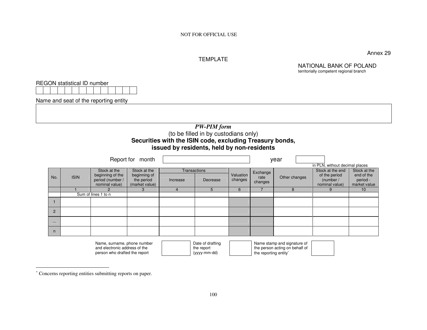#### TEMPLATE

Annex 29

NATIONAL BANK OF POLAND

territorially competent regional branchREGON statistical ID number Name and seat of the reporting entity *PW-PIM form*  (to be filled in by custodians only) **Securities with the ISIN code, excluding Treasury bonds, issued by residents, held by non-residents** Report for month year in PLN, without decimal places Stock at the **Transactions** No. ISIN Stock at the beginning of the period (number / nominal value) Stock at the beginning of the period (market value) Increase Decrease Valuation changes Exchange rate changes Other changes Stock at the end of the period (number / nominal value) end of the period market value 1 2 3 4 5 6 7 8 9 9 10 Sum of lines 1 to n 1 2 ... n Name stamp and signature of

Name, surname, phone number and electronic address of the person who drafted the report

Date of drafting the report (yyyy-mm-dd)

 the person acting on behalf of the reporting entity<sup>∗</sup>

<sup>∗</sup> Concerns reporting entities submitting reports on paper.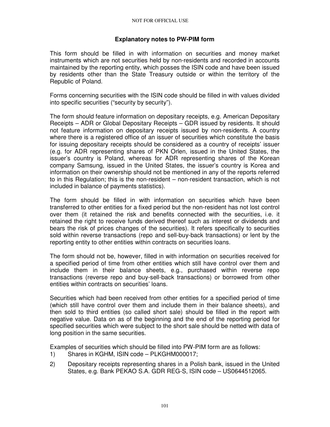### **Explanatory notes to PW-PIM form**

This form should be filled in with information on securities and money market instruments which are not securities held by non-residents and recorded in accounts maintained by the reporting entity, which posses the ISIN code and have been issued by residents other than the State Treasury outside or within the territory of the Republic of Poland.

Forms concerning securities with the ISIN code should be filled in with values divided into specific securities ("security by security").

The form should feature information on depositary receipts, e.g. American Depositary Receipts – ADR or Global Depositary Receipts – GDR issued by residents. It should not feature information on depositary receipts issued by non-residents. A country where there is a registered office of an issuer of securities which constitute the basis for issuing depositary receipts should be considered as a country of receipts' issuer (e.g. for ADR representing shares of PKN Orlen, issued in the United States, the issuer's country is Poland, whereas for ADR representing shares of the Korean company Samsung, issued in the United States, the issuer's country is Korea and information on their ownership should not be mentioned in any of the reports referred to in this Regulation; this is the non-resident – non-resident transaction, which is not included in balance of payments statistics).

The form should be filled in with information on securities which have been transferred to other entities for a fixed period but the non-resident has not lost control over them (it retained the risk and benefits connected with the securities, i.e. it retained the right to receive funds derived thereof such as interest or dividends and bears the risk of prices changes of the securities). It refers specifically to securities sold within reverse transactions (repo and sell-buy-back transactions) or lent by the reporting entity to other entities within contracts on securities loans.

The form should not be, however, filled in with information on securities received for a specified period of time from other entities which still have control over them and include them in their balance sheets, e.g., purchased within reverse repo transactions (reverse repo and buy-sell-back transactions) or borrowed from other entities within contracts on securities' loans.

Securities which had been received from other entities for a specified period of time (which still have control over them and include them in their balance sheets), and then sold to third entities (so called short sale) should be filled in the report with negative value. Data on as of the beginning and the end of the reporting period for specified securities which were subject to the short sale should be netted with data of long position in the same securities.

Examples of securities which should be filled into PW-PIM form are as follows:

- 1) Shares in KGHM, ISIN code PLKGHM000017;
- 2) Depositary receipts representing shares in a Polish bank, issued in the United States, e.g. Bank PEKAO S.A. GDR REG-S, ISIN code – US0644512065.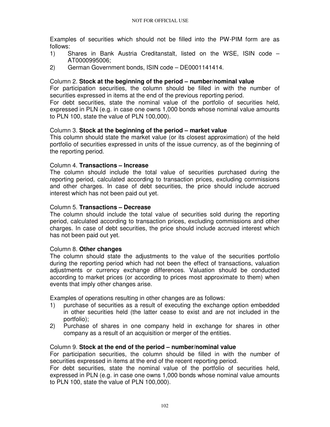Examples of securities which should not be filled into the PW-PIM form are as follows:

- 1) Shares in Bank Austria Creditanstalt, listed on the WSE, ISIN code AT0000995006;
- 2) German Government bonds, ISIN code DE0001141414.

#### Column 2. **Stock at the beginning of the period – number/nominal value**

For participation securities, the column should be filled in with the number of securities expressed in items at the end of the previous reporting period.

For debt securities, state the nominal value of the portfolio of securities held, expressed in PLN (e.g. in case one owns 1,000 bonds whose nominal value amounts to PLN 100, state the value of PLN 100,000).

#### Column 3. **Stock at the beginning of the period – market value**

This column should state the market value (or its closest approximation) of the held portfolio of securities expressed in units of the issue currency, as of the beginning of the reporting period.

#### Column 4. **Transactions – Increase**

The column should include the total value of securities purchased during the reporting period, calculated according to transaction prices, excluding commissions and other charges. In case of debt securities, the price should include accrued interest which has not been paid out yet.

#### Column 5. **Transactions – Decrease**

The column should include the total value of securities sold during the reporting period, calculated according to transaction prices, excluding commissions and other charges. In case of debt securities, the price should include accrued interest which has not been paid out yet.

#### Column 8. **Other changes**

The column should state the adjustments to the value of the securities portfolio during the reporting period which had not been the effect of transactions, valuation adjustments or currency exchange differences. Valuation should be conducted according to market prices (or according to prices most approximate to them) when events that imply other changes arise.

Examples of operations resulting in other changes are as follows:

- 1) purchase of securities as a result of executing the exchange option embedded in other securities held (the latter cease to exist and are not included in the portfolio);
- 2) Purchase of shares in one company held in exchange for shares in other company as a result of an acquisition or merger of the entities.

### Column 9. **Stock at the end of the period – number/nominal value**

For participation securities, the column should be filled in with the number of securities expressed in items at the end of the recent reporting period.

For debt securities, state the nominal value of the portfolio of securities held, expressed in PLN (e.g. in case one owns 1,000 bonds whose nominal value amounts to PLN 100, state the value of PLN 100,000).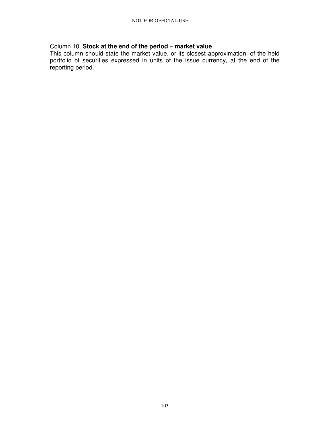# Column 10. **Stock at the end of the period – market value**

This column should state the market value, or its closest approximation, of the held portfolio of securities expressed in units of the issue currency, at the end of the reporting period.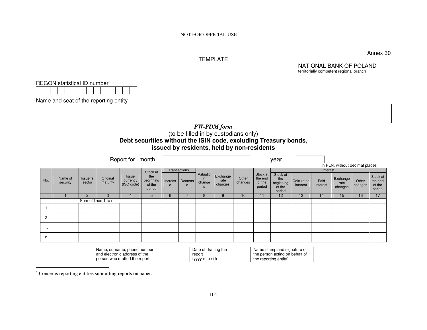### TEMPLATE

Annex 30

NATIONAL BANK OF POLAND

|              |                                       |                    |                      |                                                                  |                  |              |                |                                |                                            |                  |                   |                                                               |            |          | territorially competent regional branch |         |                  |
|--------------|---------------------------------------|--------------------|----------------------|------------------------------------------------------------------|------------------|--------------|----------------|--------------------------------|--------------------------------------------|------------------|-------------------|---------------------------------------------------------------|------------|----------|-----------------------------------------|---------|------------------|
|              | REGON statistical ID number           |                    |                      |                                                                  |                  |              |                |                                |                                            |                  |                   |                                                               |            |          |                                         |         |                  |
|              |                                       |                    |                      |                                                                  |                  |              |                |                                |                                            |                  |                   |                                                               |            |          |                                         |         |                  |
|              | Name and seat of the reporting entity |                    |                      |                                                                  |                  |              |                |                                |                                            |                  |                   |                                                               |            |          |                                         |         |                  |
|              |                                       |                    |                      |                                                                  |                  |              |                |                                |                                            |                  |                   |                                                               |            |          |                                         |         |                  |
|              |                                       |                    |                      |                                                                  |                  |              |                |                                |                                            |                  |                   |                                                               |            |          |                                         |         |                  |
|              |                                       |                    |                      |                                                                  |                  |              |                |                                |                                            |                  |                   |                                                               |            |          |                                         |         |                  |
|              |                                       |                    |                      |                                                                  |                  |              |                |                                | <b>PW-PDM</b> form                         |                  |                   |                                                               |            |          |                                         |         |                  |
|              |                                       |                    |                      |                                                                  |                  |              |                |                                | (to be filled in by custodians only)       |                  |                   |                                                               |            |          |                                         |         |                  |
|              |                                       |                    |                      | Debt securities without the ISIN code, excluding Treasury bonds, |                  |              |                |                                |                                            |                  |                   |                                                               |            |          |                                         |         |                  |
|              |                                       |                    |                      |                                                                  |                  |              |                |                                | issued by residents, held by non-residents |                  |                   |                                                               |            |          |                                         |         |                  |
|              |                                       |                    |                      | Report for month                                                 |                  |              |                |                                |                                            |                  |                   | year                                                          |            |          |                                         |         |                  |
|              |                                       |                    |                      |                                                                  |                  |              |                |                                |                                            |                  |                   |                                                               |            |          | in PLN, without decimal places          |         |                  |
|              |                                       |                    |                      | Issue                                                            | Stock at<br>the  |              | Transactions   | Valuatio                       | Exchange                                   |                  | Stock at          | Stock at                                                      |            | Interest |                                         |         | Stock at         |
| No.          | Name of<br>security                   | Issuer's<br>sector | Original<br>maturity | currency                                                         | beginning        | Increas      | <b>Decreas</b> | $\mathsf{n}$<br>change         | rate                                       | Other<br>changes | the end<br>of the | the<br>beginning                                              | Calculated | Paid     | Exchange<br>rate                        | Other   | the end          |
|              |                                       |                    |                      | (ISO code)                                                       | of the<br>period | $\mathbf{e}$ | e              | s                              | changes                                    |                  | period            | of the<br>period                                              | interest   | interest | changes                                 | changes | of the<br>period |
|              |                                       | $\overline{2}$     | 3                    | $\overline{4}$                                                   | 5                | 6            | $\overline{7}$ | 8                              | 9                                          | 10               | 11                | 12                                                            | 13         | 14       | 15                                      | 16      | 17               |
|              |                                       |                    | Sum of lines 1 to n  |                                                                  |                  |              |                |                                |                                            |                  |                   |                                                               |            |          |                                         |         |                  |
| $\mathbf{1}$ |                                       |                    |                      |                                                                  |                  |              |                |                                |                                            |                  |                   |                                                               |            |          |                                         |         |                  |
| 2            |                                       |                    |                      |                                                                  |                  |              |                |                                |                                            |                  |                   |                                                               |            |          |                                         |         |                  |
| $\ldots$     |                                       |                    |                      |                                                                  |                  |              |                |                                |                                            |                  |                   |                                                               |            |          |                                         |         |                  |
| n            |                                       |                    |                      |                                                                  |                  |              |                |                                |                                            |                  |                   |                                                               |            |          |                                         |         |                  |
|              |                                       |                    |                      |                                                                  |                  |              |                |                                |                                            |                  |                   |                                                               |            |          |                                         |         |                  |
|              |                                       |                    |                      | Name, surname, phone number<br>and electronic address of the     |                  |              |                | Date of drafting the<br>report |                                            |                  |                   | Name stamp and signature of<br>the person acting on behalf of |            |          |                                         |         |                  |
|              |                                       |                    |                      | person who drafted the report                                    |                  |              |                | (yyyy-mm-dd)                   |                                            |                  |                   | the reporting entity*                                         |            |          |                                         |         |                  |

<sup>∗</sup> Concerns reporting entities submitting reports on paper.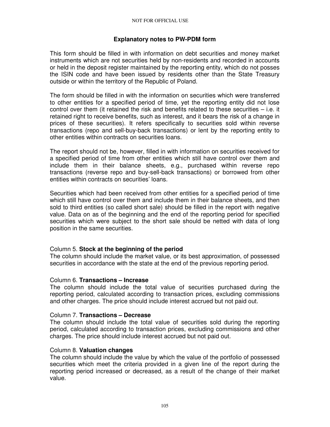### **Explanatory notes to PW-PDM form**

This form should be filled in with information on debt securities and money market instruments which are not securities held by non-residents and recorded in accounts or held in the deposit register maintained by the reporting entity, which do not posses the ISIN code and have been issued by residents other than the State Treasury outside or within the territory of the Republic of Poland.

The form should be filled in with the information on securities which were transferred to other entities for a specified period of time, yet the reporting entity did not lose control over them (it retained the risk and benefits related to these securities – i.e. it retained right to receive benefits, such as interest, and it bears the risk of a change in prices of these securities). It refers specifically to securities sold within reverse transactions (repo and sell-buy-back transactions) or lent by the reporting entity to other entities within contracts on securities loans.

The report should not be, however, filled in with information on securities received for a specified period of time from other entities which still have control over them and include them in their balance sheets, e.g., purchased within reverse repo transactions (reverse repo and buy-sell-back transactions) or borrowed from other entities within contracts on securities' loans.

Securities which had been received from other entities for a specified period of time which still have control over them and include them in their balance sheets, and then sold to third entities (so called short sale) should be filled in the report with negative value. Data on as of the beginning and the end of the reporting period for specified securities which were subject to the short sale should be netted with data of long position in the same securities.

### Column 5. **Stock at the beginning of the period**

The column should include the market value, or its best approximation, of possessed securities in accordance with the state at the end of the previous reporting period.

#### Column 6. **Transactions – Increase**

The column should include the total value of securities purchased during the reporting period, calculated according to transaction prices, excluding commissions and other charges. The price should include interest accrued but not paid out.

#### Column 7. **Transactions – Decrease**

The column should include the total value of securities sold during the reporting period, calculated according to transaction prices, excluding commissions and other charges. The price should include interest accrued but not paid out.

### Column 8. **Valuation changes**

The column should include the value by which the value of the portfolio of possessed securities which meet the criteria provided in a given line of the report during the reporting period increased or decreased, as a result of the change of their market value.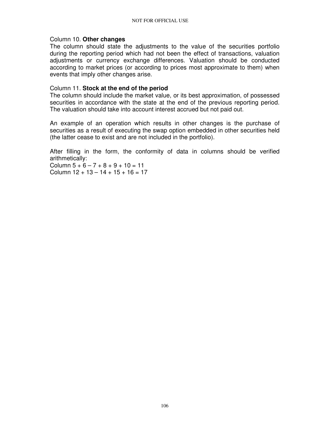#### Column 10. **Other changes**

The column should state the adjustments to the value of the securities portfolio during the reporting period which had not been the effect of transactions, valuation adjustments or currency exchange differences. Valuation should be conducted according to market prices (or according to prices most approximate to them) when events that imply other changes arise.

#### Column 11. **Stock at the end of the period**

The column should include the market value, or its best approximation, of possessed securities in accordance with the state at the end of the previous reporting period. The valuation should take into account interest accrued but not paid out.

An example of an operation which results in other changes is the purchase of securities as a result of executing the swap option embedded in other securities held (the latter cease to exist and are not included in the portfolio).

After filling in the form, the conformity of data in columns should be verified arithmetically:

Column  $5 + 6 - 7 + 8 + 9 + 10 = 11$ Column  $12 + 13 - 14 + 15 + 16 = 17$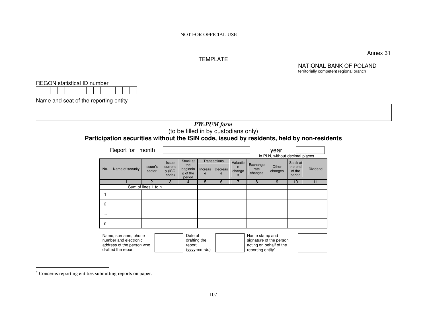#### TEMPLATE

Annex 31

NATIONAL BANK OF POLAND territorially competent regional branch

REGON statistical ID number

Name and seat of the reporting entity

### *PW-PUM form*  (to be filled in by custodians only)**Participation securities without the ISIN code, issued by residents, held by non-residents**

|          | Report for month                                                                                 |                     |                                     |                                                   |              |                                     |                                         |                                     | year                                               |                                         |                 |  |  |
|----------|--------------------------------------------------------------------------------------------------|---------------------|-------------------------------------|---------------------------------------------------|--------------|-------------------------------------|-----------------------------------------|-------------------------------------|----------------------------------------------------|-----------------------------------------|-----------------|--|--|
|          |                                                                                                  |                     |                                     |                                                   |              |                                     |                                         |                                     | in PLN, without decimal places                     |                                         |                 |  |  |
| No.      | Name of security                                                                                 | Issuer's<br>sector  | Issue<br>currenc<br>y (ISO<br>code) | Stock at<br>the<br>beginnin<br>g of the<br>period | Increas<br>e | <b>Transactions</b><br>Decreas<br>e | Valuatio<br>n<br>change<br>$\mathbf{s}$ | Exchange<br>rate<br>changes         | Other<br>changes                                   | Stock at<br>the end<br>of the<br>period | <b>Dividend</b> |  |  |
|          |                                                                                                  | 2                   | 3                                   | 4                                                 | 5            | 6                                   | 7                                       | 8                                   | 9                                                  | 10                                      | 11              |  |  |
|          |                                                                                                  | Sum of lines 1 to n |                                     |                                                   |              |                                     |                                         |                                     |                                                    |                                         |                 |  |  |
|          |                                                                                                  |                     |                                     |                                                   |              |                                     |                                         |                                     |                                                    |                                         |                 |  |  |
| 2        |                                                                                                  |                     |                                     |                                                   |              |                                     |                                         |                                     |                                                    |                                         |                 |  |  |
| $\cdots$ |                                                                                                  |                     |                                     |                                                   |              |                                     |                                         |                                     |                                                    |                                         |                 |  |  |
| n        |                                                                                                  |                     |                                     |                                                   |              |                                     |                                         |                                     |                                                    |                                         |                 |  |  |
|          | Name, surname, phone<br>number and electronic<br>address of the person who<br>drafted the report |                     |                                     | Date of<br>drafting the<br>report                 | (yyyy-mm-dd) |                                     |                                         | Name stamp and<br>reporting entity* | signature of the person<br>acting on behalf of the |                                         |                 |  |  |

<sup>∗</sup> Concerns reporting entities submitting reports on paper.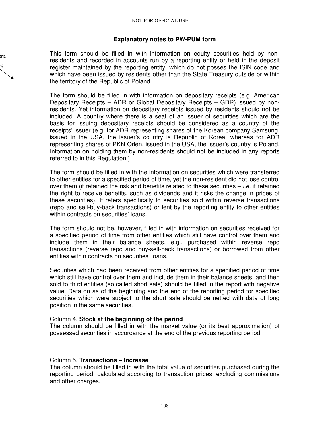$\sim 10^{11}$ 

#### **Explanatory notes to PW-PUM form**

This form should be filled in with information on equity securities held by nonresidents and recorded in accounts run by a reporting entity or held in the deposit register maintained by the reporting entity, which do not posses the ISIN code and which have been issued by residents other than the State Treasury outside or within the territory of the Republic of Poland.

The form should be filled in with information on depositary receipts (e.g. American Depositary Receipts – ADR or Global Depositary Receipts – GDR) issued by nonresidents. Yet information on depositary receipts issued by residents should not be included. A country where there is a seat of an issuer of securities which are the basis for issuing depositary receipts should be considered as a country of the receipts' issuer (e.g. for ADR representing shares of the Korean company Samsung, issued in the USA, the issuer's country is Republic of Korea, whereas for ADR representing shares of PKN Orlen, issued in the USA, the issuer's country is Poland. Information on holding them by non-residents should not be included in any reports referred to in this Regulation.)

The form should be filled in with the information on securities which were transferred to other entities for a specified period of time, yet the non-resident did not lose control over them (it retained the risk and benefits related to these securities  $-i.e.$  it retained the right to receive benefits, such as dividends and it risks the change in prices of these securities). It refers specifically to securities sold within reverse transactions (repo and sell-buy-back transactions) or lent by the reporting entity to other entities within contracts on securities' loans.

The form should not be, however, filled in with information on securities received for a specified period of time from other entities which still have control over them and include them in their balance sheets, e.g., purchased within reverse repo transactions (reverse repo and buy-sell-back transactions) or borrowed from other entities within contracts on securities' loans.

Securities which had been received from other entities for a specified period of time which still have control over them and include them in their balance sheets, and then sold to third entities (so called short sale) should be filled in the report with negative value. Data on as of the beginning and the end of the reporting period for specified securities which were subject to the short sale should be netted with data of long position in the same securities.

#### Column 4. **Stock at the beginning of the period**

The column should be filled in with the market value (or its best approximation) of possessed securities in accordance at the end of the previous reporting period.

#### Column 5. **Transactions – Increase**

% 60%

L

The column should be filled in with the total value of securities purchased during the reporting period, calculated according to transaction prices, excluding commissions and other charges.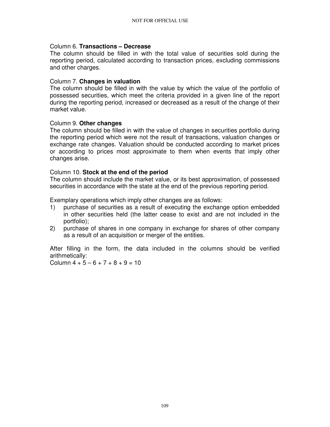#### Column 6. **Transactions – Decrease**

The column should be filled in with the total value of securities sold during the reporting period, calculated according to transaction prices, excluding commissions and other charges.

#### Column 7. **Changes in valuation**

The column should be filled in with the value by which the value of the portfolio of possessed securities, which meet the criteria provided in a given line of the report during the reporting period, increased or decreased as a result of the change of their market value.

# Column 9. **Other changes**

The column should be filled in with the value of changes in securities portfolio during the reporting period which were not the result of transactions, valuation changes or exchange rate changes. Valuation should be conducted according to market prices or according to prices most approximate to them when events that imply other changes arise.

#### Column 10. **Stock at the end of the period**

The column should include the market value, or its best approximation, of possessed securities in accordance with the state at the end of the previous reporting period.

Exemplary operations which imply other changes are as follows:

- 1) purchase of securities as a result of executing the exchange option embedded in other securities held (the latter cease to exist and are not included in the portfolio);
- 2) purchase of shares in one company in exchange for shares of other company as a result of an acquisition or merger of the entities.

After filling in the form, the data included in the columns should be verified arithmetically:

Column  $4 + 5 - 6 + 7 + 8 + 9 = 10$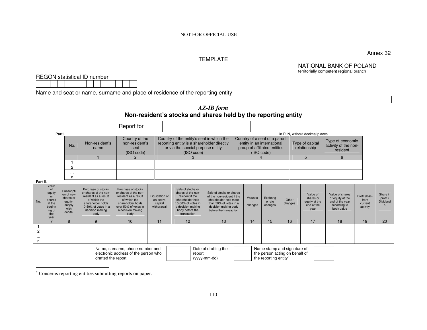# TEMPLATE

Annex 32

#### NATIONAL BANK OF POLAND territorially competent regional branch

REGON statistical ID number

Name and seat or name, surname and place of residence of the reporting entity

|                                                                                                                                                                                                                                           |                                                                           |                                                                              |                                                                                                                                                             |                                                                                                                                                               |                                                       | Non-resident's stocks and shares held by the reporting entity                                                                                               | <b>AZ-IB</b> form                                                                                                                                           |                                                                                                           |                          |                              |                                 |  |                                                              |                                                                                      |                                              |                                  |
|-------------------------------------------------------------------------------------------------------------------------------------------------------------------------------------------------------------------------------------------|---------------------------------------------------------------------------|------------------------------------------------------------------------------|-------------------------------------------------------------------------------------------------------------------------------------------------------------|---------------------------------------------------------------------------------------------------------------------------------------------------------------|-------------------------------------------------------|-------------------------------------------------------------------------------------------------------------------------------------------------------------|-------------------------------------------------------------------------------------------------------------------------------------------------------------|-----------------------------------------------------------------------------------------------------------|--------------------------|------------------------------|---------------------------------|--|--------------------------------------------------------------|--------------------------------------------------------------------------------------|----------------------------------------------|----------------------------------|
|                                                                                                                                                                                                                                           | Part I.                                                                   |                                                                              |                                                                                                                                                             | Report for                                                                                                                                                    |                                                       |                                                                                                                                                             |                                                                                                                                                             |                                                                                                           |                          |                              |                                 |  | in PLN, without decimal places                               |                                                                                      |                                              |                                  |
|                                                                                                                                                                                                                                           |                                                                           | No.                                                                          | Non-resident's<br>name                                                                                                                                      | Country of the<br>non-resident's<br>seat<br>(ISO code)                                                                                                        |                                                       | Country of the entity's seat in which the<br>reporting entity is a shareholder directly<br>or via the special purpose entity<br>(ISO code)                  |                                                                                                                                                             | Country of a seat of a parent<br>entity in an international<br>group of affiliated entities<br>(ISO code) |                          |                              | Type of capital<br>relationship |  | Type of economic<br>activity of the non-<br>resident         |                                                                                      |                                              |                                  |
|                                                                                                                                                                                                                                           |                                                                           |                                                                              |                                                                                                                                                             | $\overline{2}$                                                                                                                                                |                                                       | 3                                                                                                                                                           |                                                                                                                                                             |                                                                                                           |                          |                              |                                 |  | 5                                                            | 6                                                                                    |                                              |                                  |
|                                                                                                                                                                                                                                           |                                                                           | $\overline{2}$                                                               |                                                                                                                                                             |                                                                                                                                                               |                                                       |                                                                                                                                                             |                                                                                                                                                             |                                                                                                           |                          |                              |                                 |  |                                                              |                                                                                      |                                              |                                  |
|                                                                                                                                                                                                                                           |                                                                           | $\cdots$                                                                     |                                                                                                                                                             |                                                                                                                                                               |                                                       |                                                                                                                                                             |                                                                                                                                                             |                                                                                                           |                          |                              |                                 |  |                                                              |                                                                                      |                                              |                                  |
|                                                                                                                                                                                                                                           |                                                                           | n                                                                            |                                                                                                                                                             |                                                                                                                                                               |                                                       |                                                                                                                                                             |                                                                                                                                                             |                                                                                                           |                          |                              |                                 |  |                                                              |                                                                                      |                                              |                                  |
| Part II.                                                                                                                                                                                                                                  | Value                                                                     |                                                                              |                                                                                                                                                             |                                                                                                                                                               |                                                       |                                                                                                                                                             |                                                                                                                                                             |                                                                                                           |                          |                              |                                 |  |                                                              |                                                                                      |                                              |                                  |
| No.                                                                                                                                                                                                                                       | 0f<br>equity<br>or<br>shares<br>at the<br>beginn<br>ing of<br>the<br>year | Subscripti<br>on of new<br>shares or<br>equity;<br>supply<br>with<br>capital | Purchase of stocks<br>or shares of the non-<br>resident as a result<br>of which the<br>shareholder holds<br>10-50% of votes in a<br>decision making<br>body | Purchase of stocks<br>or shares of the non-<br>resident as a result<br>of which the<br>shareholder holds<br>over 50% of votes in<br>a decision making<br>body | Liquidation of<br>an entity,<br>capital<br>withdrawal | Sale of stocks or<br>shares of the non-<br>resident if the<br>shareholder held<br>10-50% of votes in<br>a decision making<br>body before the<br>transaction | Sale of stocks or shares<br>of the non-resident if the<br>shareholder held more<br>than 50% of votes in a<br>decision making body<br>before the transaction |                                                                                                           | Valuatio<br>n<br>changes | Exchang<br>e rate<br>changes | Other<br>changes                |  | Value of<br>shares or<br>equity at the<br>end of the<br>year | Value of shares<br>or equity at the<br>end of the year<br>according to<br>book value | Profit (loss)<br>from<br>current<br>activity | Share in<br>profit /<br>Dividend |
|                                                                                                                                                                                                                                           | $\overline{7}$                                                            | 8                                                                            | 9                                                                                                                                                           | 10                                                                                                                                                            | 11                                                    | 12                                                                                                                                                          | 13                                                                                                                                                          |                                                                                                           | 14                       | 15                           | 16                              |  | 17                                                           | 18                                                                                   | 19                                           | 20                               |
|                                                                                                                                                                                                                                           |                                                                           |                                                                              |                                                                                                                                                             |                                                                                                                                                               |                                                       |                                                                                                                                                             |                                                                                                                                                             |                                                                                                           |                          |                              |                                 |  |                                                              |                                                                                      |                                              |                                  |
| $\mathbf{2}$                                                                                                                                                                                                                              |                                                                           |                                                                              |                                                                                                                                                             |                                                                                                                                                               |                                                       |                                                                                                                                                             |                                                                                                                                                             |                                                                                                           |                          |                              |                                 |  |                                                              |                                                                                      |                                              |                                  |
| $\cdots$<br>n                                                                                                                                                                                                                             |                                                                           |                                                                              |                                                                                                                                                             |                                                                                                                                                               |                                                       |                                                                                                                                                             |                                                                                                                                                             |                                                                                                           |                          |                              |                                 |  |                                                              |                                                                                      |                                              |                                  |
| Date of drafting the<br>Name stamp and signature of<br>Name, surname, phone number and<br>electronic address of the person who<br>the person acting on behalf of<br>report<br>drafted the report<br>(yyyy-mm-dd)<br>the reporting entity* |                                                                           |                                                                              |                                                                                                                                                             |                                                                                                                                                               |                                                       |                                                                                                                                                             |                                                                                                                                                             |                                                                                                           |                          |                              |                                 |  |                                                              |                                                                                      |                                              |                                  |

<sup>∗</sup> Concerns reporting entities submitting reports on paper.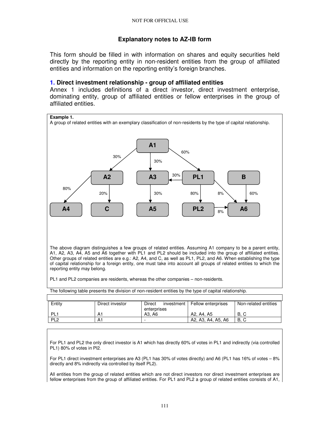# **Explanatory notes to AZ-IB form**

This form should be filled in with information on shares and equity securities held directly by the reporting entity in non-resident entities from the group of affiliated entities and information on the reporting entity's foreign branches.

#### **1. Direct investment relationship - group of affiliated entities**

Annex 1 includes definitions of a direct investor, direct investment enterprise, dominating entity, group of affiliated entities or fellow enterprises in the group of affiliated entities.



The above diagram distinguishes a few groups of related entities. Assuming A1 company to be a parent entity, A1, A2, A3, A4, A5 and A6 together with PL1 and PL2 should be included into the group of affiliated entities. Other groups of related entities are e.g.: A2, A4, and C, as well as PL1, PL2, and A6. When establishing the type of capital relationship for a foreign entity, one must take into account all groups of related entities to which the reporting entity may belong.

PL1 and PL2 companies are residents, whereas the other companies – non-residents.

| The following table presents the division of non-resident entities by the type of capital relationship. |  |
|---------------------------------------------------------------------------------------------------------|--|
|                                                                                                         |  |

| Entity          | Direct investor | Direct<br>investment | <b>Fellow enterprises</b> | Non-related entities |
|-----------------|-----------------|----------------------|---------------------------|----------------------|
|                 |                 | enterprises          |                           |                      |
| PL.             | А.              | A3. A6               | A2. A4. A5                | В.                   |
| PL <sub>2</sub> | A٠              | -                    | A2, A3, A4, A5, A6        | <b>B.C</b>           |

For PL1 and PL2 the only direct investor is A1 which has directly 60% of votes in PL1 and indirectly (via controlled PL1) 80% of votes in Pl2.

For PL1 direct investment enterprises are A3 (PL1 has 30% of votes directly) and A6 (PL1 has 16% of votes – 8% directly and 8% indirectly via controlled by itself PL2).

All entities from the group of related entities which are not direct investors nor direct investment enterprises are fellow enterprises from the group of affiliated entities. For PL1 and PL2 a group of related entities consists of A1,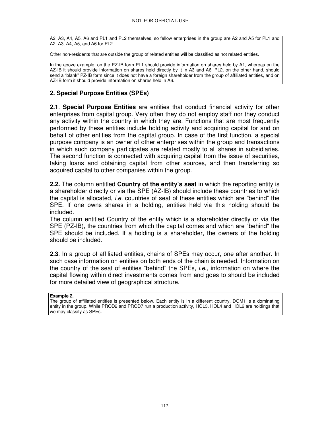A2, A3, A4, A5, A6 and PL1 and PL2 themselves, so fellow enterprises in the group are A2 and A5 for PL1 and A2, A3, A4, A5, and A6 for PL2.

Other non-residents that are outside the group of related entities will be classified as not related entities.

In the above example, on the PZ-IB form PL1 should provide information on shares held by A1, whereas on the AZ-IB it should provide information on shares held directly by it in A3 and A6. PL2, on the other hand, should send a "blank" PZ-IB form since it does not have a foreign shareholder from the group of affiliated entities, and on AZ-IB form it should provide information on shares held in A6.

# **2. Special Purpose Entities (SPEs)**

**2.1**. **Special Purpose Entities** are entities that conduct financial activity for other enterprises from capital group. Very often they do not employ staff nor they conduct any activity within the country in which they are. Functions that are most frequently performed by these entities include holding activity and acquiring capital for and on behalf of other entities from the capital group. In case of the first function, a special purpose company is an owner of other enterprises within the group and transactions in which such company participates are related mostly to all shares in subsidiaries. The second function is connected with acquiring capital from the issue of securities, taking loans and obtaining capital from other sources, and then transferring so acquired capital to other companies within the group.

**2.2.** The column entitled **Country of the entity's seat** in which the reporting entity is a shareholder directly or via the SPE (AZ-IB) should include these countries to which the capital is allocated, i.e. countries of seat of these entities which are "behind" the SPE. If one owns shares in a holding, entities held via this holding should be included.

The column entitled Country of the entity which is a shareholder directly or via the SPE (PZ-IB), the countries from which the capital comes and which are "behind" the SPE should be included. If a holding is a shareholder, the owners of the holding should be included.

**2.3**. In a group of affiliated entities, chains of SPEs may occur, one after another. In such case information on entities on both ends of the chain is needed. Information on the country of the seat of entities "behind" the SPEs, i.e., information on where the capital flowing within direct investments comes from and goes to should be included for more detailed view of geographical structure.

#### **Example 2.**

The group of affiliated entities is presented below. Each entity is in a different country. DOM1 is a dominating entity in the group. While PROD2 and PROD7 run a production activity, HOL3, HOL4 and HOL6 are holdings that we may classify as SPEs.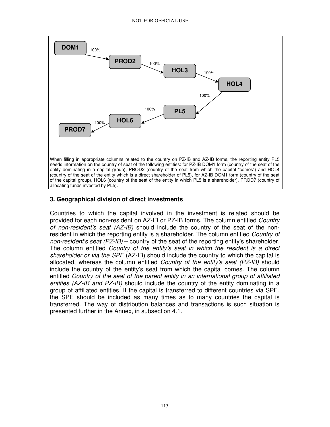

# **3. Geographical division of direct investments**

Countries to which the capital involved in the investment is related should be provided for each non-resident on AZ-IB or PZ-IB forms. The column entitled Country of non-resident's seat  $(AZ-IB)$  should include the country of the seat of the nonresident in which the reporting entity is a shareholder. The column entitled *Country of* non-resident's seat  $(PZ-IB)$  – country of the seat of the reporting entity's shareholder. The column entitled Country of the entity's seat in which the resident is a direct shareholder or via the SPE (AZ-IB) should include the country to which the capital is allocated, whereas the column entitled Country of the entity's seat  $(PZ-IB)$  should include the country of the entity's seat from which the capital comes. The column entitled Country of the seat of the parent entity in an international group of affiliated entities  $(AZ-IB$  and  $PZ-IB)$  should include the country of the entity dominating in a group of affiliated entities. If the capital is transferred to different countries via SPE, the SPE should be included as many times as to many countries the capital is transferred. The way of distribution balances and transactions is such situation is presented further in the Annex, in subsection 4.1.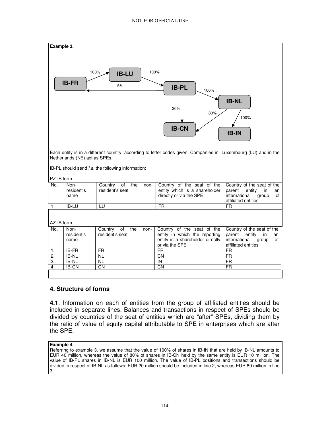

Each entity is in a different country, according to letter codes given. Companies in Luxembourg (LU) and in the Netherlands (NE) act as SPEs.

IB-PL should send *i.a.* the following information:

PZ-IB form

| .   |                            |                                                 |                                                                                                                   |                                                                                      |
|-----|----------------------------|-------------------------------------------------|-------------------------------------------------------------------------------------------------------------------|--------------------------------------------------------------------------------------|
| No. | Non-<br>resident's<br>name | the<br>of<br>Country<br>non-<br>resident's seat | Country of the seat of the Country of the seat of the<br>entity which is a shareholder<br>directly or via the SPE | parent<br>entitv<br>in.<br>an<br>international<br>of<br>aroup<br>affiliated entities |
|     | <b>IB-LU</b>               |                                                 | FR                                                                                                                | FR                                                                                   |

AZ-IB form

| No. | Non-<br>resident's<br>name | Country<br>of the<br>non-<br>resident's seat | Country of the seat of the $\vert$ Country of the seat of the<br>entity in which the reporting<br>entity is a shareholder directly<br>or via the SPE | parent entity<br>in.<br>an<br>international group<br>0f<br>affiliated entities |
|-----|----------------------------|----------------------------------------------|------------------------------------------------------------------------------------------------------------------------------------------------------|--------------------------------------------------------------------------------|
| -1. | IB-FR                      | FR                                           | FR                                                                                                                                                   | FR                                                                             |
| 2.  | IB-NL                      | <b>NL</b>                                    | CΝ                                                                                                                                                   | FR                                                                             |
| -3. | IB-NL                      | <b>NL</b>                                    | IN                                                                                                                                                   | <b>FR</b>                                                                      |
| 4.  | IB-CN                      | CN                                           | CΝ                                                                                                                                                   | FR                                                                             |
|     |                            |                                              |                                                                                                                                                      |                                                                                |

# **4. Structure of forms**

**4.1**. Information on each of entities from the group of affiliated entities should be included in separate lines. Balances and transactions in respect of SPEs should be divided by countries of the seat of entities which are "after" SPEs, dividing them by the ratio of value of equity capital attributable to SPE in enterprises which are after the SPE.

**Example 4.** 

Referring to example 3, we assume that the value of 100% of shares in IB-IN that are held by IB-NL amounts to EUR 40 million, whereas the value of 80% of shares in IB-CN held by the same entity is EUR 10 million. The value of IB-PL shares in IB-NL is EUR 100 million. The value of IB-PL positions and transactions should be divided in respect of IB-NL as follows: EUR 20 million should be included in line 2, whereas EUR 80 million in line 3.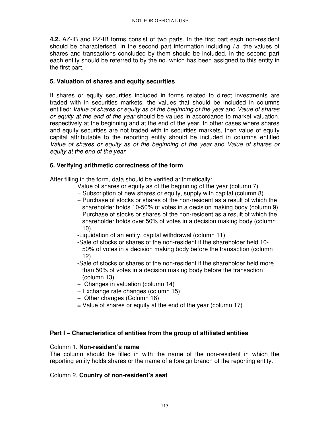**4.2.** AZ-IB and PZ-IB forms consist of two parts. In the first part each non-resident should be characterised. In the second part information including  $i.a.$  the values of shares and transactions concluded by them should be included. In the second part each entity should be referred to by the no. which has been assigned to this entity in the first part.

# **5. Valuation of shares and equity securities**

If shares or equity securities included in forms related to direct investments are traded with in securities markets, the values that should be included in columns entitled: Value of shares or equity as of the beginning of the year and Value of shares or equity at the end of the year should be values in accordance to market valuation, respectively at the beginning and at the end of the year. In other cases where shares and equity securities are not traded with in securities markets, then value of equity capital attributable to the reporting entity should be included in columns entitled Value of shares or equity as of the beginning of the year and Value of shares or equity at the end of the year.

# **6. Verifying arithmetic correctness of the form**

After filling in the form, data should be verified arithmetically:

- Value of shares or equity as of the beginning of the year (column 7)
- + Subscription of new shares or equity, supply with capital (column 8)
- + Purchase of stocks or shares of the non-resident as a result of which the shareholder holds 10-50% of votes in a decision making body (column 9)
- + Purchase of stocks or shares of the non-resident as a result of which the shareholder holds over 50% of votes in a decision making body (column 10)
- -Liquidation of an entity, capital withdrawal (column 11)
- -Sale of stocks or shares of the non-resident if the shareholder held 10- 50% of votes in a decision making body before the transaction (column 12)
- -Sale of stocks or shares of the non-resident if the shareholder held more than 50% of votes in a decision making body before the transaction (column 13)
- + Changes in valuation (column 14)
- + Exchange rate changes (column 15)
- + Other changes (Column 16)
- $=$  Value of shares or equity at the end of the year (column 17)

# **Part I – Characteristics of entities from the group of affiliated entities**

# Column 1. **Non-resident's name**

The column should be filled in with the name of the non-resident in which the reporting entity holds shares or the name of a foreign branch of the reporting entity.

# Column 2. **Country of non-resident's seat**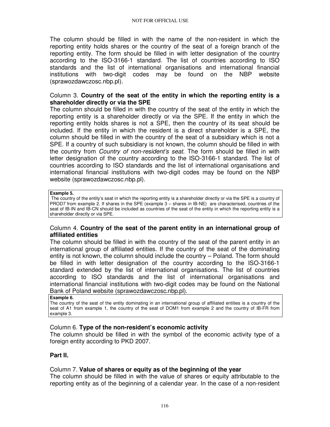The column should be filled in with the name of the non-resident in which the reporting entity holds shares or the country of the seat of a foreign branch of the reporting entity. The form should be filled in with letter designation of the country according to the ISO-3166-1 standard. The list of countries according to ISO standards and the list of international organisations and international financial institutions with two-digit codes may be found on the NBP website (sprawozdawczosc.nbp.pl).

#### Column 3. **Country of the seat of the entity in which the reporting entity is a shareholder directly or via the SPE**

The column should be filled in with the country of the seat of the entity in which the reporting entity is a shareholder directly or via the SPE. If the entity in which the reporting entity holds shares is not a SPE, then the country of its seat should be included. If the entity in which the resident is a direct shareholder is a SPE, the column should be filled in with the country of the seat of a subsidiary which is not a SPE. If a country of such subsidiary is not known, the column should be filled in with the country from *Country of non-resident's seat*. The form should be filled in with letter designation of the country according to the ISO-3166-1 standard. The list of countries according to ISO standards and the list of international organisations and international financial institutions with two-digit codes may be found on the NBP website (sprawozdawczosc.nbp.pl).

#### **Example 5.**

 The country of the entity's seat in which the reporting entity is a shareholder directly or via the SPE is a country of PROD7 from example 2. If shares in the SPE (example 3 – shares in IB-NE) are characterised, countries of the seat of IB-IN and IB-CN should be included as countries of the seat of the entity in which the reporting entity is a shareholder directly or via SPE.

#### Column 4. **Country of the seat of the parent entity in an international group of affiliated entities**

The column should be filled in with the country of the seat of the parent entity in an international group of affiliated entities. If the country of the seat of the dominating entity is not known, the column should include the country – Poland. The form should be filled in with letter designation of the country according to the ISO-3166-1 standard extended by the list of international organisations. The list of countries according to ISO standards and the list of international organisations and international financial institutions with two-digit codes may be found on the National Bank of Poland website (sprawozdawczosc**.**nbp**.**pl)**.** 

#### **Example 6.**

The country of the seat of the entity dominating in an international group of affiliated entities is a country of the seat of A1 from example 1, the country of the seat of DOM1 from example 2 and the country of IB-FR from example 3.

#### Column 6. **Type of the non-resident's economic activity**

The column should be filled in with the symbol of the economic activity type of a foreign entity according to PKD 2007.

#### **Part II.**

#### Column 7. **Value of shares or equity as of the beginning of the year**

The column should be filled in with the value of shares or equity attributable to the reporting entity as of the beginning of a calendar year. In the case of a non-resident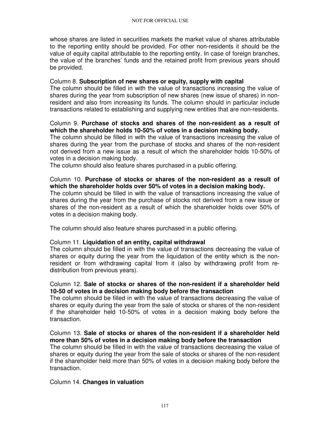whose shares are listed in securities markets the market value of shares attributable to the reporting entity should be provided. For other non-residents it should be the value of equity capital attributable to the reporting entity. In case of foreign branches, the value of the branches' funds and the retained profit from previous years should be provided.

#### Column 8. **Subscription of new shares or equity, supply with capital**

The column should be filled in with the value of transactions increasing the value of shares during the year from subscription of new shares (new issue of shares) in nonresident and also from increasing its funds. The column should in particular include transactions related to establishing and supplying new entities that are non-residents.

# Column 9. **Purchase of stocks and shares of the non-resident as a result of which the shareholder holds 10-50% of votes in a decision making body.**

The column should be filled in with the value of transactions increasing the value of shares during the year from the purchase of stocks and shares of the non-resident not derived from a new issue as a result of which the shareholder holds 10-50% of votes in a decision making body.

The column should also feature shares purchased in a public offering.

# Column 10. **Purchase of stocks or shares of the non-resident as a result of which the shareholder holds over 50% of votes in a decision making body.**

The column should be filled in with the value of transactions increasing the value of shares during the year from the purchase of stocks not derived from a new issue or shares of the non-resident as a result of which the shareholder holds over 50% of votes in a decision making body.

The column should also feature shares purchased in a public offering.

# Column 11. **Liquidation of an entity, capital withdrawal**

The column should be filled in with the value of transactions decreasing the value of shares or equity during the year from the liquidation of the entity which is the nonresident or from withdrawing capital from it (also by withdrawing profit from redistribution from previous years).

#### Column 12. **Sale of stocks or shares of the non-resident if a shareholder held 10-50 of votes in a decision making body before the transaction**

The column should be filled in with the value of transactions decreasing the value of shares or equity during the year from the sale of stocks or shares of the non-resident if the shareholder held 10-50% of votes in a decision making body before the transaction.

#### Column 13. **Sale of stocks or shares of the non-resident if a shareholder held more than 50% of votes in a decision making body before the transaction**

The column should be filled in with the value of transactions decreasing the value of shares or equity during the year from the sale of stocks or shares of the non-resident if the shareholder held more than 50% of votes in a decision making body before the transaction.

#### Column 14. **Changes in valuation**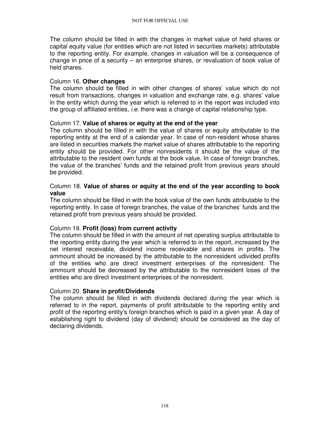The column should be filled in with the changes in market value of held shares or capital equity value (for entities which are not listed in securities markets) attributable to the reporting entity. For example, changes in valuation will be a consequence of change in price of a security – an enterprise shares, or revaluation of book value of held shares.

# Column 16. **Other changes**

The column should be filled in with other changes of shares' value which do not result from transactions, changes in valuation and exchange rate, e.g. shares' value in the entity which during the year which is referred to in the report was included into the group of affiliated entities, i.e. there was a change of capital relationship type.

# Column 17. **Value of shares or equity at the end of the year**

The column should be filled in with the value of shares or equity attributable to the reporting entity at the end of a calendar year. In case of non-resident whose shares are listed in securities markets the market value of shares attributable to the reporting entity should be provided. For other nonresidents it should be the value of the attributable to the resident own funds at the book value. In case of foreign branches, the value of the branches' funds and the retained profit from previous years should be provided.

# Column 18. **Value of shares or equity at the end of the year according to book value**

The column should be filled in with the book value of the own funds attributable to the reporting entity. In case of foreign branches, the value of the branches' funds and the retained profit from previous years should be provided.

# Column 19. **Profit (loss) from current activity**

The column should be filled in with the amount of net operating surplus attributable to the reporting entity during the year which is referred to in the report, increased by the net interest receivable, dividend income receivable and shares in profits. The ammount should be increased by the attributable to the nonresident udivided profits of the entities who are direct investment enterprises of the nonresident. The ammount should be decreased by the attributable to the nonresident loses of the entities who are direct investment enterprises of the nonresident.

# Column 20. **Share in profit/Dividends**

The column should be filled in with dividends declared during the year which is referred to in the report, payments of profit attributable to the reporting entity and profit of the reporting entity's foreign branches which is paid in a given year. A day of establishing right to dividend (day of dividend) should be considered as the day of declaring dividends.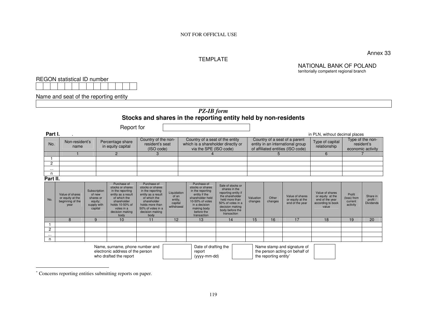NOT FOR OFFICIAL USE

#### TEMPLATE

NATIONAL BANK OF POLAND territorially competent regional branch

Annex 33

REGON statistical ID number

Name and seat of the reporting entity

# *PZ-IB form* **Stocks and shares in the reporting entity held by non-residents**

|                     |                                                                 |                                                                          |                                       | Report for                                                                                                                                                           |                                                                                                                                                                             |                                                          |                                                                                                                                                                          |                                                                                                                                                                          |                      |                                                                                                        |                                                               |                                                                                      |                                              |                                                     |
|---------------------|-----------------------------------------------------------------|--------------------------------------------------------------------------|---------------------------------------|----------------------------------------------------------------------------------------------------------------------------------------------------------------------|-----------------------------------------------------------------------------------------------------------------------------------------------------------------------------|----------------------------------------------------------|--------------------------------------------------------------------------------------------------------------------------------------------------------------------------|--------------------------------------------------------------------------------------------------------------------------------------------------------------------------|----------------------|--------------------------------------------------------------------------------------------------------|---------------------------------------------------------------|--------------------------------------------------------------------------------------|----------------------------------------------|-----------------------------------------------------|
| Part I.             |                                                                 |                                                                          |                                       |                                                                                                                                                                      |                                                                                                                                                                             |                                                          |                                                                                                                                                                          |                                                                                                                                                                          |                      |                                                                                                        |                                                               | in PLN, without decimal places                                                       |                                              |                                                     |
| No.                 | Non-resident's<br>name                                          |                                                                          | Percentage share<br>in equity capital |                                                                                                                                                                      | Country of the non-<br>resident's seat<br>(ISO code)                                                                                                                        |                                                          | Country of a seat of the entity<br>which is a shareholder directly or<br>via the SPE (ISO code)                                                                          |                                                                                                                                                                          |                      | Country of a seat of a parent<br>entity in an international group<br>of affiliated entities (ISO code) |                                                               | Type of capital<br>relationship                                                      |                                              | Type of the non-<br>resident's<br>economic activity |
|                     |                                                                 |                                                                          |                                       | $\overline{2}$                                                                                                                                                       | 3                                                                                                                                                                           |                                                          |                                                                                                                                                                          |                                                                                                                                                                          |                      | 5                                                                                                      |                                                               | 6                                                                                    |                                              |                                                     |
|                     |                                                                 |                                                                          |                                       |                                                                                                                                                                      |                                                                                                                                                                             |                                                          |                                                                                                                                                                          |                                                                                                                                                                          |                      |                                                                                                        |                                                               |                                                                                      |                                              |                                                     |
| $\overline{2}$      |                                                                 |                                                                          |                                       |                                                                                                                                                                      |                                                                                                                                                                             |                                                          |                                                                                                                                                                          |                                                                                                                                                                          |                      |                                                                                                        |                                                               |                                                                                      |                                              |                                                     |
| $\cdots$<br>n       |                                                                 |                                                                          |                                       |                                                                                                                                                                      |                                                                                                                                                                             |                                                          |                                                                                                                                                                          |                                                                                                                                                                          |                      |                                                                                                        |                                                               |                                                                                      |                                              |                                                     |
| Part II.            |                                                                 |                                                                          |                                       |                                                                                                                                                                      |                                                                                                                                                                             |                                                          |                                                                                                                                                                          |                                                                                                                                                                          |                      |                                                                                                        |                                                               |                                                                                      |                                              |                                                     |
| No.                 | Value of shares<br>or equity at the<br>beginning of the<br>year | Subscription<br>of new<br>shares or<br>equity;<br>supply with<br>capital |                                       | Purchase of<br>stocks or shares<br>in the reporting<br>entity as a result<br>of which the<br>shareholder<br>holds 10-50% of<br>votes in a<br>decision making<br>body | Purchase of<br>stocks or shares<br>in the reporting<br>entity as a result<br>of which the<br>shareholder<br>holds more than<br>50% of votes in a<br>decision making<br>body | Liquidation<br>of an<br>entity,<br>capital<br>withdrawal | Purchase of<br>stocks or shares<br>in the reporting<br>entity if the<br>shareholder held<br>10-50% of votes<br>in a decision<br>making body<br>before the<br>transaction | Sale of stocks or<br>shares in the<br>reporting entity if<br>the shareholder<br>held more than<br>50% of votes in a<br>decision making<br>body before the<br>transaction | Valuation<br>changes | Other<br>changes                                                                                       | Value of shares<br>or equity at the<br>end of the year        | Value of shares<br>or equity at the<br>end of the year<br>according to book<br>value | Profit<br>(loss) from<br>current<br>activity | Share in<br>profit /<br><b>Dividends</b>            |
|                     | 8                                                               | 9                                                                        |                                       | 10                                                                                                                                                                   | 11                                                                                                                                                                          | 12                                                       | 13                                                                                                                                                                       | 14                                                                                                                                                                       | 15                   | 16                                                                                                     | 17                                                            | 18                                                                                   | 19                                           | 20                                                  |
| f<br>$\overline{c}$ |                                                                 |                                                                          |                                       |                                                                                                                                                                      |                                                                                                                                                                             |                                                          |                                                                                                                                                                          |                                                                                                                                                                          |                      |                                                                                                        |                                                               |                                                                                      |                                              |                                                     |
|                     |                                                                 |                                                                          |                                       |                                                                                                                                                                      |                                                                                                                                                                             |                                                          |                                                                                                                                                                          |                                                                                                                                                                          |                      |                                                                                                        |                                                               |                                                                                      |                                              |                                                     |
| $\cdots$<br>n       |                                                                 |                                                                          |                                       |                                                                                                                                                                      |                                                                                                                                                                             |                                                          |                                                                                                                                                                          |                                                                                                                                                                          |                      |                                                                                                        |                                                               |                                                                                      |                                              |                                                     |
|                     |                                                                 |                                                                          |                                       | Name, surname, phone number and<br>electronic address of the person<br>who drafted the report                                                                        |                                                                                                                                                                             |                                                          | Date of drafting the<br>report<br>(yyyy-mm-dd)                                                                                                                           |                                                                                                                                                                          |                      | the reporting entity*                                                                                  | Name stamp and signature of<br>the person acting on behalf of |                                                                                      |                                              |                                                     |

<sup>∗</sup> Concerns reporting entities submitting reports on paper.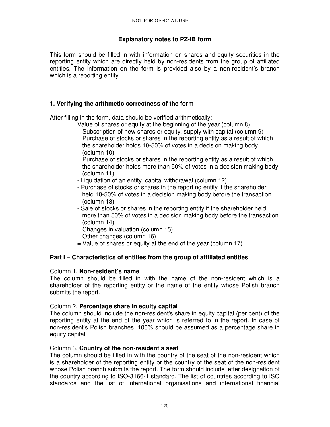# **Explanatory notes to PZ-IB form**

This form should be filled in with information on shares and equity securities in the reporting entity which are directly held by non-residents from the group of affiliated entities. The information on the form is provided also by a non-resident's branch which is a reporting entity.

# **1. Verifying the arithmetic correctness of the form**

After filling in the form, data should be verified arithmetically:

- Value of shares or equity at the beginning of the year (column 8)
- + Subscription of new shares or equity, supply with capital (column 9)
- + Purchase of stocks or shares in the reporting entity as a result of which the shareholder holds 10-50% of votes in a decision making body (column 10)
- + Purchase of stocks or shares in the reporting entity as a result of which the shareholder holds more than 50% of votes in a decision making body (column 11)
- Liquidation of an entity, capital withdrawal (column 12)
- Purchase of stocks or shares in the reporting entity if the shareholder held 10-50% of votes in a decision making body before the transaction (column 13)
- Sale of stocks or shares in the reporting entity if the shareholder held more than 50% of votes in a decision making body before the transaction (column 14)
- + Changes in valuation (column 15)
- + Other changes (column 16)
- $=$  Value of shares or equity at the end of the year (column 17)

# **Part I – Characteristics of entities from the group of affiliated entities**

# Column 1. **Non-resident's name**

The column should be filled in with the name of the non-resident which is a shareholder of the reporting entity or the name of the entity whose Polish branch submits the report.

# Column 2. **Percentage share in equity capital**

The column should include the non-resident's share in equity capital (per cent) of the reporting entity at the end of the year which is referred to in the report. In case of non-resident's Polish branches, 100% should be assumed as a percentage share in equity capital.

# Column 3. **Country of the non-resident's seat**

The column should be filled in with the country of the seat of the non-resident which is a shareholder of the reporting entity or the country of the seat of the non-resident whose Polish branch submits the report. The form should include letter designation of the country according to ISO-3166-1 standard. The list of countries according to ISO standards and the list of international organisations and international financial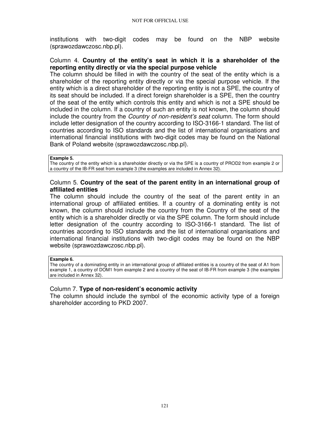institutions with two-digit codes may be found on the NBP website (sprawozdawczosc.nbp.pl).

#### Column 4. **Country of the entity's seat in which it is a shareholder of the reporting entity directly or via the special purpose vehicle**

The column should be filled in with the country of the seat of the entity which is a shareholder of the reporting entity directly or via the special purpose vehicle. If the entity which is a direct shareholder of the reporting entity is not a SPE, the country of its seat should be included. If a direct foreign shareholder is a SPE, then the country of the seat of the entity which controls this entity and which is not a SPE should be included in the column. If a country of such an entity is not known, the column should include the country from the Country of non-resident's seat column. The form should include letter designation of the country according to ISO-3166-1 standard. The list of countries according to ISO standards and the list of international organisations and international financial institutions with two-digit codes may be found on the National Bank of Poland website (sprawozdawczosc.nbp.pl).

#### **Example 5.**

The country of the entity which is a shareholder directly or via the SPE is a country of PROD2 from example 2 or a country of the IB-FR seat from example 3 (the examples are included in Annex 32).

#### Column 5. **Country of the seat of the parent entity in an international group of affiliated entities**

The column should include the country of the seat of the parent entity in an international group of affiliated entities. If a country of a dominating entity is not known, the column should include the country from the Country of the seat of the entity which is a shareholder directly or via the SPE column. The form should include letter designation of the country according to ISO-3166-1 standard. The list of countries according to ISO standards and the list of international organisations and international financial institutions with two-digit codes may be found on the NBP website (sprawozdawczosc.nbp.pl).

#### **Example 6.**

The country of a dominating entity in an international group of affiliated entities is a country of the seat of A1 from example 1, a country of DOM1 from example 2 and a country of the seat of IB-FR from example 3 (the examples are included in Annex 32).

#### Column 7. **Type of non-resident's economic activity**

The column should include the symbol of the economic activity type of a foreign shareholder according to PKD 2007.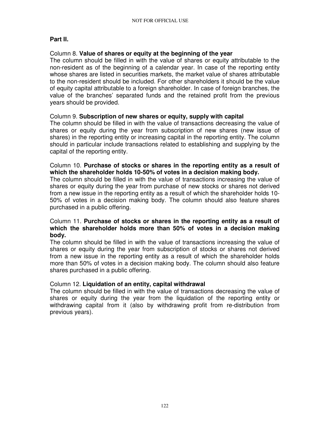# **Part II.**

# Column 8. **Value of shares or equity at the beginning of the year**

The column should be filled in with the value of shares or equity attributable to the non-resident as of the beginning of a calendar year. In case of the reporting entity whose shares are listed in securities markets, the market value of shares attributable to the non-resident should be included. For other shareholders it should be the value of equity capital attributable to a foreign shareholder. In case of foreign branches, the value of the branches' separated funds and the retained profit from the previous years should be provided.

# Column 9. **Subscription of new shares or equity, supply with capital**

The column should be filled in with the value of transactions decreasing the value of shares or equity during the year from subscription of new shares (new issue of shares) in the reporting entity or increasing capital in the reporting entity. The column should in particular include transactions related to establishing and supplying by the capital of the reporting entity.

# Column 10. **Purchase of stocks or shares in the reporting entity as a result of which the shareholder holds 10-50% of votes in a decision making body.**

The column should be filled in with the value of transactions increasing the value of shares or equity during the year from purchase of new stocks or shares not derived from a new issue in the reporting entity as a result of which the shareholder holds 10- 50% of votes in a decision making body. The column should also feature shares purchased in a public offering.

# Column 11. **Purchase of stocks or shares in the reporting entity as a result of which the shareholder holds more than 50% of votes in a decision making body.**

The column should be filled in with the value of transactions increasing the value of shares or equity during the year from subscription of stocks or shares not derived from a new issue in the reporting entity as a result of which the shareholder holds more than 50% of votes in a decision making body. The column should also feature shares purchased in a public offering.

# Column 12. **Liquidation of an entity, capital withdrawal**

The column should be filled in with the value of transactions decreasing the value of shares or equity during the year from the liquidation of the reporting entity or withdrawing capital from it (also by withdrawing profit from re-distribution from previous years).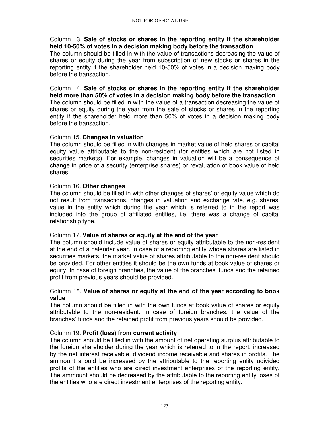# Column 13. **Sale of stocks or shares in the reporting entity if the shareholder held 10-50% of votes in a decision making body before the transaction**

The column should be filled in with the value of transactions decreasing the value of shares or equity during the year from subscription of new stocks or shares in the reporting entity if the shareholder held 10-50% of votes in a decision making body before the transaction.

# Column 14. **Sale of stocks or shares in the reporting entity if the shareholder held more than 50% of votes in a decision making body before the transaction**

The column should be filled in with the value of a transaction decreasing the value of shares or equity during the year from the sale of stocks or shares in the reporting entity if the shareholder held more than 50% of votes in a decision making body before the transaction.

# Column 15. **Changes in valuation**

The column should be filled in with changes in market value of held shares or capital equity value attributable to the non-resident (for entities which are not listed in securities markets). For example, changes in valuation will be a consequence of change in price of a security (enterprise shares) or revaluation of book value of held shares.

# Column 16. **Other changes**

The column should be filled in with other changes of shares' or equity value which do not result from transactions, changes in valuation and exchange rate, e.g. shares' value in the entity which during the year which is referred to in the report was included into the group of affiliated entities, i.e. there was a change of capital relationship type.

# Column 17. **Value of shares or equity at the end of the year**

The column should include value of shares or equity attributable to the non-resident at the end of a calendar year. In case of a reporting entity whose shares are listed in securities markets, the market value of shares attributable to the non-resident should be provided. For other entities it should be the own funds at book value of shares or equity. In case of foreign branches, the value of the branches' funds and the retained profit from previous years should be provided.

# Column 18. **Value of shares or equity at the end of the year according to book value**

The column should be filled in with the own funds at book value of shares or equity attributable to the non-resident. In case of foreign branches, the value of the branches' funds and the retained profit from previous years should be provided.

# Column 19. **Profit (loss) from current activity**

The column should be filled in with the amount of net operating surplus attributable to the foreign shareholder during the year which is referred to in the report, increased by the net interest receivable, dividend income receivable and shares in profits. The ammount should be increased by the attributable to the reporting entity udivided profits of the entities who are direct investment enterprises of the reporting entity. The ammount should be decreased by the attributable to the reporting entity loses of the entities who are direct investment enterprises of the reporting entity.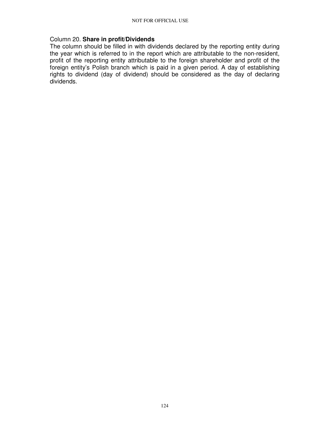#### Column 20. **Share in profit/Dividends**

The column should be filled in with dividends declared by the reporting entity during the year which is referred to in the report which are attributable to the non-resident, profit of the reporting entity attributable to the foreign shareholder and profit of the foreign entity's Polish branch which is paid in a given period. A day of establishing rights to dividend (day of dividend) should be considered as the day of declaring dividends.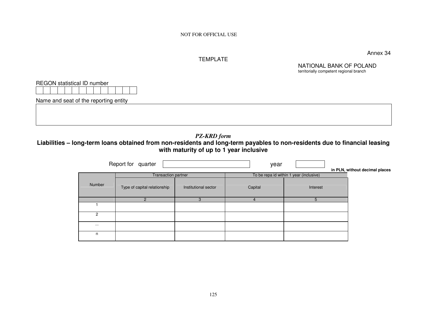NOT FOR OFFICIAL USE

#### TEMPLATE

Annex 34

NATIONAL BANK OF POLAND territorially competent regional branch

| <b>REGON</b> statistical ID number    |  |
|---------------------------------------|--|
| Name and seat of the reporting entity |  |
|                                       |  |
|                                       |  |

*PZ-KRD form* 

 **Liabilities – long-term loans obtained from non-residents and long-term payables to non-residents due to financial leasing with maturity of up to 1 year inclusive** 

|          | Report for quarter           |                      | year                                    |          | in PLN, without decimal places |
|----------|------------------------------|----------------------|-----------------------------------------|----------|--------------------------------|
|          | Transaction partner          |                      | To be repa id within 1 year (inclusive) |          |                                |
| Number   | Type of capital relationship | Institutional sector | Capital                                 | Interest |                                |
|          | 2                            | 3                    | 4                                       | 5.       |                                |
|          |                              |                      |                                         |          |                                |
| 2        |                              |                      |                                         |          |                                |
| $\cdots$ |                              |                      |                                         |          |                                |
| n        |                              |                      |                                         |          |                                |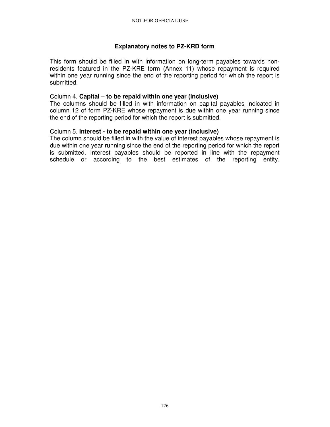# **Explanatory notes to PZ-KRD form**

This form should be filled in with information on long-term payables towards nonresidents featured in the PZ-KRE form (Annex 11) whose repayment is required within one year running since the end of the reporting period for which the report is submitted.

#### Column 4. **Capital – to be repaid within one year (inclusive)**

The columns should be filled in with information on capital payables indicated in column 12 of form PZ-KRE whose repayment is due within one year running since the end of the reporting period for which the report is submitted.

#### Column 5. **Interest - to be repaid within one year (inclusive)**

The column should be filled in with the value of interest payables whose repayment is due within one year running since the end of the reporting period for which the report is submitted. Interest payables should be reported in line with the repayment schedule or according to the best estimates of the reporting entity.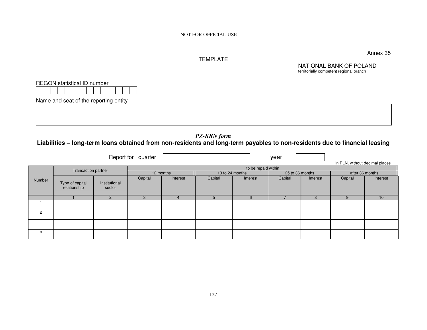NOT FOR OFFICIAL USE

# TEMPLATE

Annex 35

NATIONAL BANK OF POLAND territorially competent regional branch

| REGON statistical ID number           |  |
|---------------------------------------|--|
|                                       |  |
| Name and seat of the reporting entity |  |
|                                       |  |
|                                       |  |

# *PZ-KRN form*<br>Liabilities – long-term loans obtained from non-residents and long-term payables to non-residents due to financial leasing

|                |                                 |                         | Report for quarter |                     |                 |          | year            |          |                                |                 |  |
|----------------|---------------------------------|-------------------------|--------------------|---------------------|-----------------|----------|-----------------|----------|--------------------------------|-----------------|--|
|                |                                 |                         |                    |                     |                 |          |                 |          | in PLN, without decimal places |                 |  |
|                | <b>Transaction partner</b>      |                         |                    | to be repaid within |                 |          |                 |          |                                |                 |  |
|                |                                 |                         | 12 months          |                     | 13 to 24 months |          | 25 to 36 months |          | after 36 months                |                 |  |
| Number         | Type of capital<br>relationship | Institutional<br>sector | Capital            | Interest            | Capital         | Interest | Capital         | Interest | Capital                        | Interest        |  |
|                |                                 | $\overline{2}$          |                    | 4                   | 5               | 6        |                 | 8        | 9                              | 10 <sup>1</sup> |  |
|                |                                 |                         |                    |                     |                 |          |                 |          |                                |                 |  |
| $\overline{2}$ |                                 |                         |                    |                     |                 |          |                 |          |                                |                 |  |
| $\cdots$       |                                 |                         |                    |                     |                 |          |                 |          |                                |                 |  |
| n              |                                 |                         |                    |                     |                 |          |                 |          |                                |                 |  |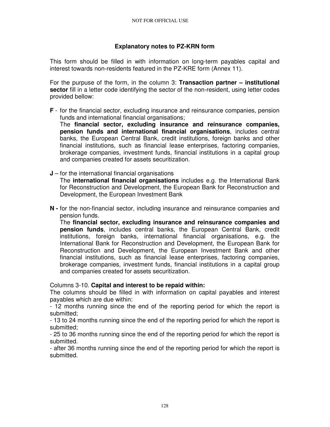# **Explanatory notes to PZ-KRN form**

This form should be filled in with information on long-term payables capital and interest towards non-residents featured in the PZ-KRE form (Annex 11).

For the purpuse of the form, in the column 3: **Transaction partner – institutional sector** fill in a letter code identifying the sector of the non-resident, using letter codes provided bellow:

**F** - for the financial sector, excluding insurance and reinsurance companies, pension funds and international financial organisations;

The **financial sector, excluding insurance and reinsurance companies, pension funds and international financial organisations**, includes central banks, the European Central Bank, credit institutions, foreign banks and other financial institutions, such as financial lease enterprises, factoring companies, brokerage companies, investment funds, financial institutions in a capital group and companies created for assets securitization.

- **J**  for the international financial organisations The **international financial organisations** includes e.g. the International Bank for Reconstruction and Development, the European Bank for Reconstruction and Development, the European Investment Bank
- **N -** for the non-financial sector, including insurance and reinsurance companies and pension funds.

The **financial sector, excluding insurance and reinsurance companies and pension funds**, includes central banks, the European Central Bank, credit institutions, foreign banks, international financial organisations, e.g. the International Bank for Reconstruction and Development, the European Bank for Reconstruction and Development, the European Investment Bank and other financial institutions, such as financial lease enterprises, factoring companies, brokerage companies, investment funds, financial institutions in a capital group and companies created for assets securitization.

#### Columns 3-10. **Capital and interest to be repaid within:**

The columns should be filled in with information on capital payables and interest payables which are due within:

- 12 months running since the end of the reporting period for which the report is submitted;

- 13 to 24 months running since the end of the reporting period for which the report is submitted;

- 25 to 36 months running since the end of the reporting period for which the report is submitted.

- after 36 months running since the end of the reporting period for which the report is submitted.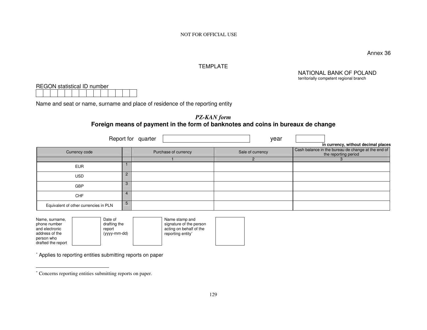NOT FOR OFFICIAL USE

Annex 36

#### TEMPLATE

NATIONAL BANK OF POLAND territorially competent regional branch

REGON statistical ID number

Name and seat or name, surname and place of residence of the reporting entity

*PZ-KAN form* **Foreign means of payment in the form of banknotes and coins in bureaux de change** 

|                                       |               | Report for quarter   | year             |                                                                                                                   |
|---------------------------------------|---------------|----------------------|------------------|-------------------------------------------------------------------------------------------------------------------|
| Currency code                         |               | Purchase of currency | Sale of currency | in currency, without decimal places<br>Cash balance in the bureau de change at the end of<br>the reporting period |
|                                       |               |                      |                  |                                                                                                                   |
| <b>EUR</b>                            |               |                      |                  |                                                                                                                   |
| <b>USD</b>                            | $\mathcal{P}$ |                      |                  |                                                                                                                   |
| GBP                                   | 3             |                      |                  |                                                                                                                   |
| <b>CHF</b>                            | 4             |                      |                  |                                                                                                                   |
| Equivalent of other currencies in PLN | 5             |                      |                  |                                                                                                                   |

| Name, surname,                   | Date of      | Name stamp and          |
|----------------------------------|--------------|-------------------------|
| phone number                     | drafting the | signature of the person |
| and electronic                   | report       | acting on behalf of the |
| address of the                   | (yyyy-mm-dd) | reporting entity*       |
| person who<br>drafted the report |              |                         |

∗ Applies to reporting entities submitting reports on paper

<sup>∗</sup> Concerns reporting entities submitting reports on paper.